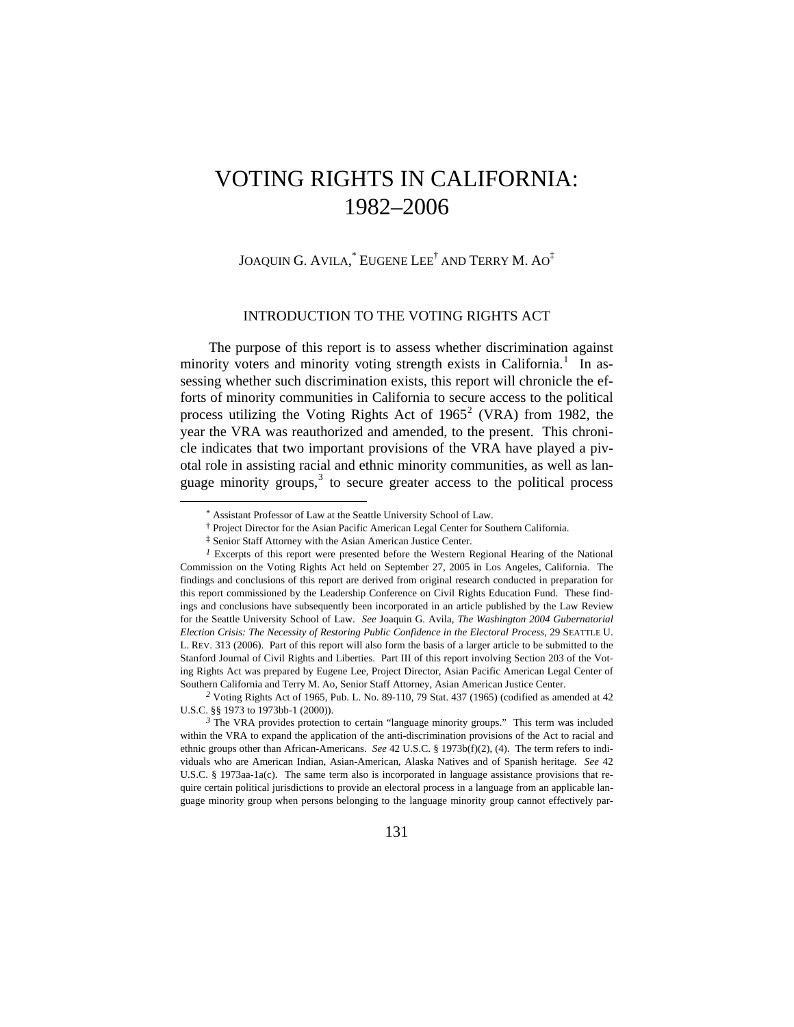# VOTING RIGHTS IN CALIFORNIA: 1982–2006

JOAQUIN G. AVILA, $^*$  EUGENE LEE $^\dagger$  and Terry M. A0 $^\ddagger$ 

# INTRODUCTION TO THE VOTING RIGHTS ACT

The purpose of this report is to assess whether discrimination against minority voters and minority voting strength exists in California.<sup>[1](#page-0-0)</sup> In assessing whether such discrimination exists, this report will chronicle the efforts of minority communities in California to secure access to the political process utilizing the Voting Rights Act of  $1965^2$  $1965^2$  (VRA) from 1982, the year the VRA was reauthorized and amended, to the present. This chronicle indicates that two important provisions of the VRA have played a pivotal role in assisting racial and ethnic minority communities, as well as language minority groups, $3$  to secure greater access to the political process

<sup>\*</sup> Assistant Professor of Law at the Seattle University School of Law.

<sup>†</sup> Project Director for the Asian Pacific American Legal Center for Southern California.

<sup>‡</sup> Senior Staff Attorney with the Asian American Justice Center.

<span id="page-0-0"></span>*<sup>1</sup>* Excerpts of this report were presented before the Western Regional Hearing of the National Commission on the Voting Rights Act held on September 27, 2005 in Los Angeles, California. The findings and conclusions of this report are derived from original research conducted in preparation for this report commissioned by the Leadership Conference on Civil Rights Education Fund. These findings and conclusions have subsequently been incorporated in an article published by the Law Review for the Seattle University School of Law. *See* Joaquin G. Avila, *The Washington 2004 Gubernatorial Election Crisis: The Necessity of Restoring Public Confidence in the Electoral Process*, 29 SEATTLE U. L. REV. 313 (2006). Part of this report will also form the basis of a larger article to be submitted to the Stanford Journal of Civil Rights and Liberties. Part III of this report involving Section 203 of the Voting Rights Act was prepared by Eugene Lee, Project Director, Asian Pacific American Legal Center of Southern California and Terry M. Ao, Senior Staff Attorney, Asian American Justice Center.

<span id="page-0-1"></span>*<sup>2</sup>* Voting Rights Act of 1965, Pub. L. No. 89-110, 79 Stat. 437 (1965) (codified as amended at 42 U.S.C. §§ 1973 to 1973bb-1 (2000)).

<span id="page-0-2"></span><sup>&</sup>lt;sup>3</sup> The VRA provides protection to certain "language minority groups." This term was included within the VRA to expand the application of the anti-discrimination provisions of the Act to racial and ethnic groups other than African-Americans. *See* 42 U.S.C. § 1973b(f)(2), (4). The term refers to individuals who are American Indian, Asian-American, Alaska Natives and of Spanish heritage. *See* 42 U.S.C. § 1973aa-1a(c). The same term also is incorporated in language assistance provisions that require certain political jurisdictions to provide an electoral process in a language from an applicable language minority group when persons belonging to the language minority group cannot effectively par-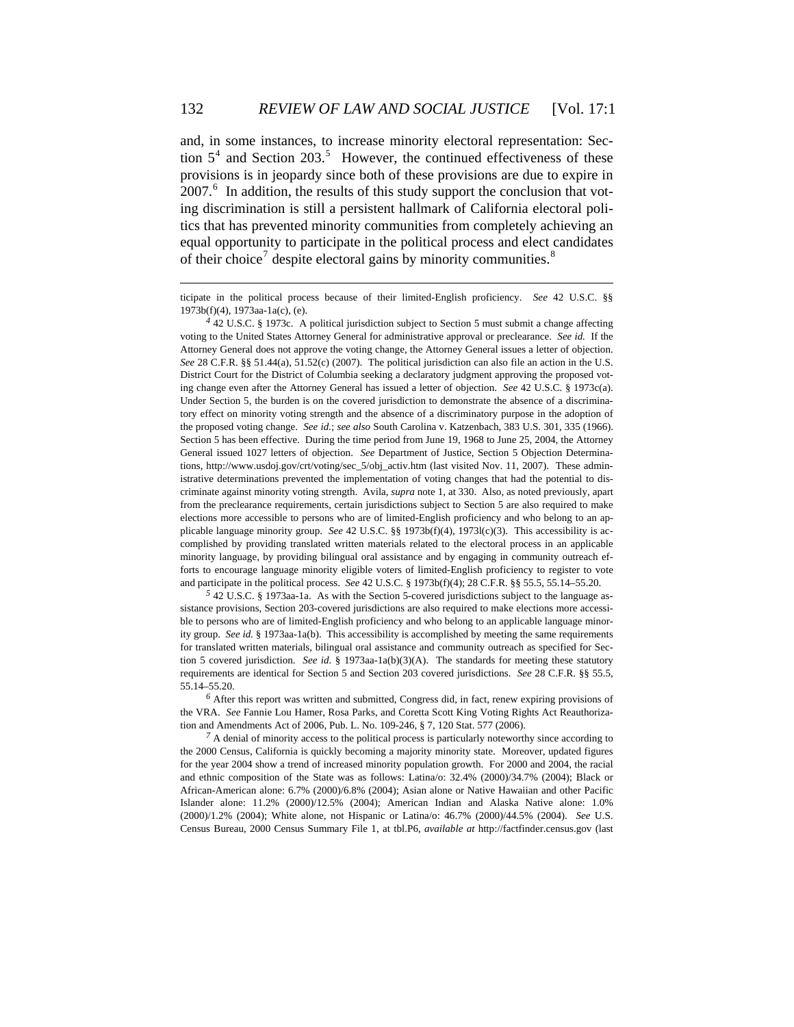and, in some instances, to increase minority electoral representation: Section  $5<sup>4</sup>$  $5<sup>4</sup>$  $5<sup>4</sup>$  and Section 203.<sup>[5](#page-1-1)</sup> However, the continued effectiveness of these provisions is in jeopardy since both of these provisions are due to expire in 2007.<sup>[6](#page-1-2)</sup> In addition, the results of this study support the conclusion that voting discrimination is still a persistent hallmark of California electoral politics that has prevented minority communities from completely achieving an equal opportunity to participate in the political process and elect candidates of their choice<sup>[7](#page-1-3)</sup> despite electoral gains by minority communities.<sup>[8](#page-1-4)</sup>

<u>.</u>

<span id="page-1-4"></span><span id="page-1-1"></span>*<sup>5</sup>* 42 U.S.C. § 1973aa-1a. As with the Section 5-covered jurisdictions subject to the language assistance provisions, Section 203-covered jurisdictions are also required to make elections more accessible to persons who are of limited-English proficiency and who belong to an applicable language minority group. *See id.* § 1973aa-1a(b). This accessibility is accomplished by meeting the same requirements for translated written materials, bilingual oral assistance and community outreach as specified for Section 5 covered jurisdiction. *See id.* § 1973aa-1a(b)(3)(A). The standards for meeting these statutory requirements are identical for Section 5 and Section 203 covered jurisdictions. *See* 28 C.F.R. §§ 55.5, 55.14–55.20.

<span id="page-1-2"></span>*<sup>6</sup>* After this report was written and submitted, Congress did, in fact, renew expiring provisions of the VRA. *See* Fannie Lou Hamer, Rosa Parks, and Coretta Scott King Voting Rights Act Reauthorization and Amendments Act of 2006, Pub. L. No. 109-246, § 7, 120 Stat. 577 (2006).

<span id="page-1-3"></span>*<sup>7</sup>* A denial of minority access to the political process is particularly noteworthy since according to the 2000 Census, California is quickly becoming a majority minority state. Moreover, updated figures for the year 2004 show a trend of increased minority population growth. For 2000 and 2004, the racial and ethnic composition of the State was as follows: Latina/o: 32.4% (2000)/34.7% (2004); Black or African-American alone: 6.7% (2000)/6.8% (2004); Asian alone or Native Hawaiian and other Pacific Islander alone: 11.2% (2000)/12.5% (2004); American Indian and Alaska Native alone: 1.0% (2000)/1.2% (2004); White alone, not Hispanic or Latina/o: 46.7% (2000)/44.5% (2004). *See* U.S. Census Bureau, 2000 Census Summary File 1, at tbl.P6, *available at* http://factfinder.census.gov (last

ticipate in the political process because of their limited-English proficiency. *See* 42 U.S.C. §§ 1973b(f)(4), 1973aa-1a(c), (e).

<span id="page-1-0"></span>*<sup>4</sup>* 42 U.S.C. § 1973c. A political jurisdiction subject to Section 5 must submit a change affecting voting to the United States Attorney General for administrative approval or preclearance. *See id.* If the Attorney General does not approve the voting change, the Attorney General issues a letter of objection. *See* 28 C.F.R. §§ 51.44(a), 51.52(c) (2007). The political jurisdiction can also file an action in the U.S. District Court for the District of Columbia seeking a declaratory judgment approving the proposed voting change even after the Attorney General has issued a letter of objection. *See* 42 U.S.C. § 1973c(a). Under Section 5, the burden is on the covered jurisdiction to demonstrate the absence of a discriminatory effect on minority voting strength and the absence of a discriminatory purpose in the adoption of the proposed voting change. *See id.*; *see also* South Carolina v. Katzenbach, 383 U.S. 301, 335 (1966). Section 5 has been effective. During the time period from June 19, 1968 to June 25, 2004, the Attorney General issued 1027 letters of objection. *See* Department of Justice, Section 5 Objection Determinations, http://www.usdoj.gov/crt/voting/sec\_5/obj\_activ.htm (last visited Nov. 11, 2007). These administrative determinations prevented the implementation of voting changes that had the potential to discriminate against minority voting strength. Avila, *supra* note 1, at 330. Also, as noted previously, apart from the preclearance requirements, certain jurisdictions subject to Section 5 are also required to make elections more accessible to persons who are of limited-English proficiency and who belong to an applicable language minority group. *See* 42 U.S.C. §§ 1973b(f)(4), 1973l(c)(3). This accessibility is accomplished by providing translated written materials related to the electoral process in an applicable minority language, by providing bilingual oral assistance and by engaging in community outreach efforts to encourage language minority eligible voters of limited-English proficiency to register to vote and participate in the political process. *See* 42 U.S.C. § 1973b(f)(4); 28 C.F.R. §§ 55.5, 55.14–55.20.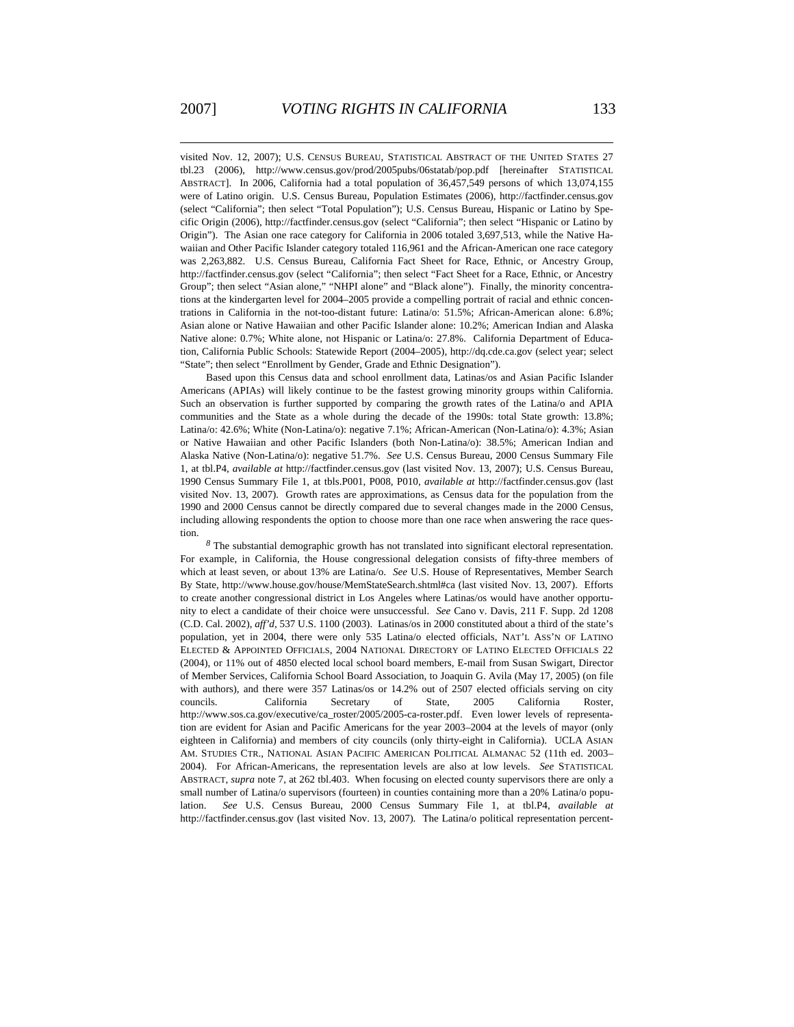visited Nov. 12, 2007); U.S. CENSUS BUREAU, STATISTICAL ABSTRACT OF THE UNITED STATES 27 tbl.23 (2006), http://www.census.gov/prod/2005pubs/06statab/pop.pdf [hereinafter STATISTICAL ABSTRACT]. In 2006, California had a total population of 36,457,549 persons of which 13,074,155 were of Latino origin. U.S. Census Bureau, Population Estimates (2006), http://factfinder.census.gov (select "California"; then select "Total Population"); U.S. Census Bureau, Hispanic or Latino by Specific Origin (2006), http://factfinder.census.gov (select "California"; then select "Hispanic or Latino by Origin"). The Asian one race category for California in 2006 totaled 3,697,513, while the Native Hawaiian and Other Pacific Islander category totaled 116,961 and the African-American one race category was 2,263,882. U.S. Census Bureau, California Fact Sheet for Race, Ethnic, or Ancestry Group, http://factfinder.census.gov (select "California"; then select "Fact Sheet for a Race, Ethnic, or Ancestry Group"; then select "Asian alone," "NHPI alone" and "Black alone"). Finally, the minority concentrations at the kindergarten level for 2004–2005 provide a compelling portrait of racial and ethnic concentrations in California in the not-too-distant future: Latina/o: 51.5%; African-American alone: 6.8%; Asian alone or Native Hawaiian and other Pacific Islander alone: 10.2%; American Indian and Alaska Native alone: 0.7%; White alone, not Hispanic or Latina/o: 27.8%. California Department of Education, California Public Schools: Statewide Report (2004–2005), http://dq.cde.ca.gov (select year; select "State"; then select "Enrollment by Gender, Grade and Ethnic Designation").

Based upon this Census data and school enrollment data, Latinas/os and Asian Pacific Islander Americans (APIAs) will likely continue to be the fastest growing minority groups within California. Such an observation is further supported by comparing the growth rates of the Latina/o and APIA communities and the State as a whole during the decade of the 1990s: total State growth: 13.8%; Latina/o: 42.6%; White (Non-Latina/o): negative 7.1%; African-American (Non-Latina/o): 4.3%; Asian or Native Hawaiian and other Pacific Islanders (both Non-Latina/o): 38.5%; American Indian and Alaska Native (Non-Latina/o): negative 51.7%. *See* U.S. Census Bureau, 2000 Census Summary File 1, at tbl.P4, *available at* http://factfinder.census.gov (last visited Nov. 13, 2007); U.S. Census Bureau, 1990 Census Summary File 1, at tbls.P001, P008, P010, *available at* http://factfinder.census.gov (last visited Nov. 13, 2007). Growth rates are approximations, as Census data for the population from the 1990 and 2000 Census cannot be directly compared due to several changes made in the 2000 Census, including allowing respondents the option to choose more than one race when answering the race question.

*<sup>8</sup>* The substantial demographic growth has not translated into significant electoral representation. For example, in California, the House congressional delegation consists of fifty-three members of which at least seven, or about 13% are Latina/o. *See* U.S. House of Representatives, Member Search By State, http://www.house.gov/house/MemStateSearch.shtml#ca (last visited Nov. 13, 2007). Efforts to create another congressional district in Los Angeles where Latinas/os would have another opportunity to elect a candidate of their choice were unsuccessful. *See* Cano v. Davis, 211 F. Supp. 2d 1208 (C.D. Cal. 2002), *aff'd*, 537 U.S. 1100 (2003). Latinas/os in 2000 constituted about a third of the state's population, yet in 2004, there were only 535 Latina/o elected officials, NAT'L ASS'N OF LATINO ELECTED & APPOINTED OFFICIALS, 2004 NATIONAL DIRECTORY OF LATINO ELECTED OFFICIALS 22 (2004), or 11% out of 4850 elected local school board members, E-mail from Susan Swigart, Director of Member Services, California School Board Association, to Joaquin G. Avila (May 17, 2005) (on file with authors), and there were 357 Latinas/os or 14.2% out of 2507 elected officials serving on city councils. California Secretary of State, 2005 California Roster, http://www.sos.ca.gov/executive/ca\_roster/2005/2005-ca-roster.pdf. Even lower levels of representation are evident for Asian and Pacific Americans for the year 2003–2004 at the levels of mayor (only eighteen in California) and members of city councils (only thirty-eight in California). UCLA ASIAN AM. STUDIES CTR., NATIONAL ASIAN PACIFIC AMERICAN POLITICAL ALMANAC 52 (11th ed. 2003– 2004). For African-Americans, the representation levels are also at low levels. *See* STATISTICAL ABSTRACT, *supra* note 7, at 262 tbl.403. When focusing on elected county supervisors there are only a small number of Latina/o supervisors (fourteen) in counties containing more than a 20% Latina/o population. *See* U.S. Census Bureau, 2000 Census Summary File 1, at tbl.P4, *available at* http://factfinder.census.gov (last visited Nov. 13, 2007). The Latina/o political representation percent-

1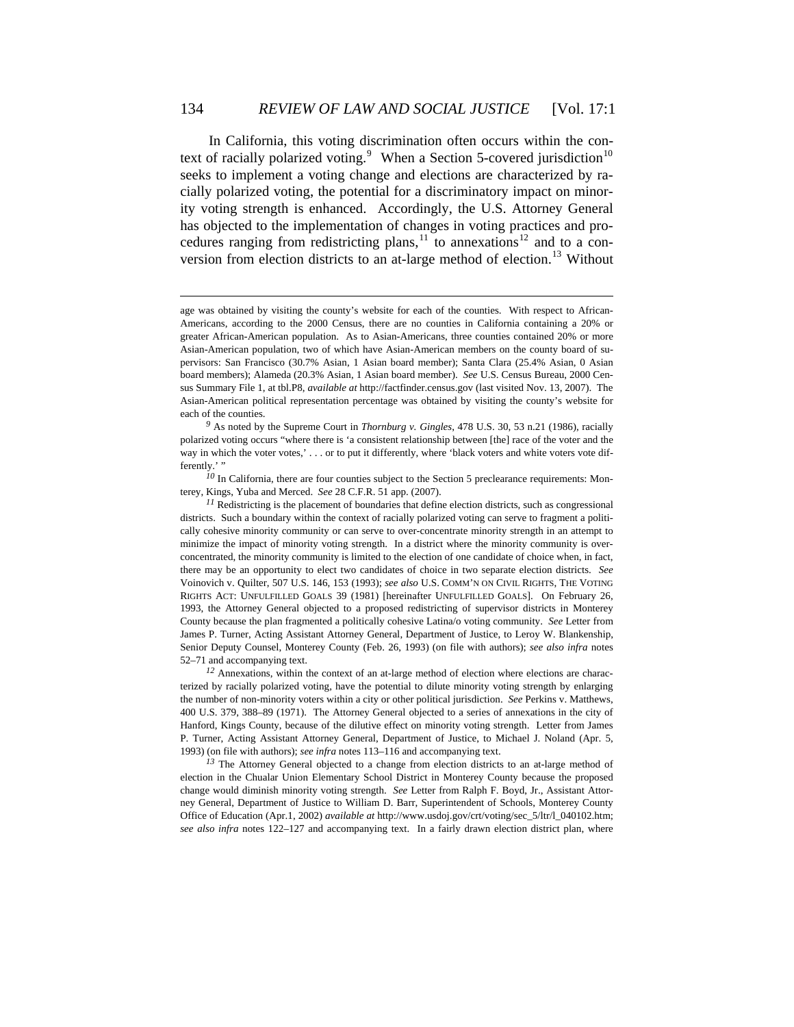In California, this voting discrimination often occurs within the con-text of racially polarized voting.<sup>[9](#page-3-0)</sup> When a Section 5-covered jurisdiction<sup>[10](#page-3-1)</sup> seeks to implement a voting change and elections are characterized by racially polarized voting, the potential for a discriminatory impact on minority voting strength is enhanced. Accordingly, the U.S. Attorney General has objected to the implementation of changes in voting practices and procedures ranging from redistricting plans,  $\frac{11}{10}$  $\frac{11}{10}$  $\frac{11}{10}$  to annexations  $\frac{12}{10}$  $\frac{12}{10}$  $\frac{12}{10}$  and to a con-version from election districts to an at-large method of election.<sup>[13](#page-3-4)</sup> Without

1

<span id="page-3-4"></span>*<sup>13</sup>* The Attorney General objected to a change from election districts to an at-large method of election in the Chualar Union Elementary School District in Monterey County because the proposed change would diminish minority voting strength. *See* Letter from Ralph F. Boyd, Jr., Assistant Attorney General, Department of Justice to William D. Barr, Superintendent of Schools, Monterey County Office of Education (Apr.1, 2002) *available at* http://www.usdoj.gov/crt/voting/sec\_5/ltr/l\_040102.htm; *see also infra* notes 122–127 and accompanying text. In a fairly drawn election district plan, where

age was obtained by visiting the county's website for each of the counties. With respect to African-Americans, according to the 2000 Census, there are no counties in California containing a 20% or greater African-American population. As to Asian-Americans, three counties contained 20% or more Asian-American population, two of which have Asian-American members on the county board of supervisors: San Francisco (30.7% Asian, 1 Asian board member); Santa Clara (25.4% Asian, 0 Asian board members); Alameda (20.3% Asian, 1 Asian board member). *See* U.S. Census Bureau, 2000 Census Summary File 1, at tbl.P8, *available at* http://factfinder.census.gov (last visited Nov. 13, 2007). The Asian-American political representation percentage was obtained by visiting the county's website for each of the counties.

<span id="page-3-0"></span>*<sup>9</sup>* As noted by the Supreme Court in *Thornburg v. Gingles*, 478 U.S. 30, 53 n.21 (1986), racially polarized voting occurs "where there is 'a consistent relationship between [the] race of the voter and the way in which the voter votes,' . . . or to put it differently, where 'black voters and white voters vote differently.' "

<span id="page-3-1"></span><sup>&</sup>lt;sup>10</sup> In California, there are four counties subject to the Section 5 preclearance requirements: Monterey, Kings, Yuba and Merced. *See* 28 C.F.R. 51 app. (2007).

<span id="page-3-2"></span>*<sup>11</sup>* Redistricting is the placement of boundaries that define election districts, such as congressional districts. Such a boundary within the context of racially polarized voting can serve to fragment a politically cohesive minority community or can serve to over-concentrate minority strength in an attempt to minimize the impact of minority voting strength. In a district where the minority community is overconcentrated, the minority community is limited to the election of one candidate of choice when, in fact, there may be an opportunity to elect two candidates of choice in two separate election districts. *See*  Voinovich v. Quilter, 507 U.S. 146, 153 (1993); *see also* U.S. COMM'N ON CIVIL RIGHTS, THE VOTING RIGHTS ACT: UNFULFILLED GOALS 39 (1981) [hereinafter UNFULFILLED GOALS]. On February 26, 1993, the Attorney General objected to a proposed redistricting of supervisor districts in Monterey County because the plan fragmented a politically cohesive Latina/o voting community. *See* Letter from James P. Turner, Acting Assistant Attorney General, Department of Justice, to Leroy W. Blankenship, Senior Deputy Counsel, Monterey County (Feb. 26, 1993) (on file with authors); *see also infra* notes 52–71 and accompanying text.

<span id="page-3-3"></span><sup>&</sup>lt;sup>12</sup> Annexations, within the context of an at-large method of election where elections are characterized by racially polarized voting, have the potential to dilute minority voting strength by enlarging the number of non-minority voters within a city or other political jurisdiction. *See* Perkins v. Matthews, 400 U.S. 379, 388–89 (1971). The Attorney General objected to a series of annexations in the city of Hanford, Kings County, because of the dilutive effect on minority voting strength. Letter from James P. Turner, Acting Assistant Attorney General, Department of Justice, to Michael J. Noland (Apr. 5, 1993) (on file with authors); *see infra* notes 113–116 and accompanying text.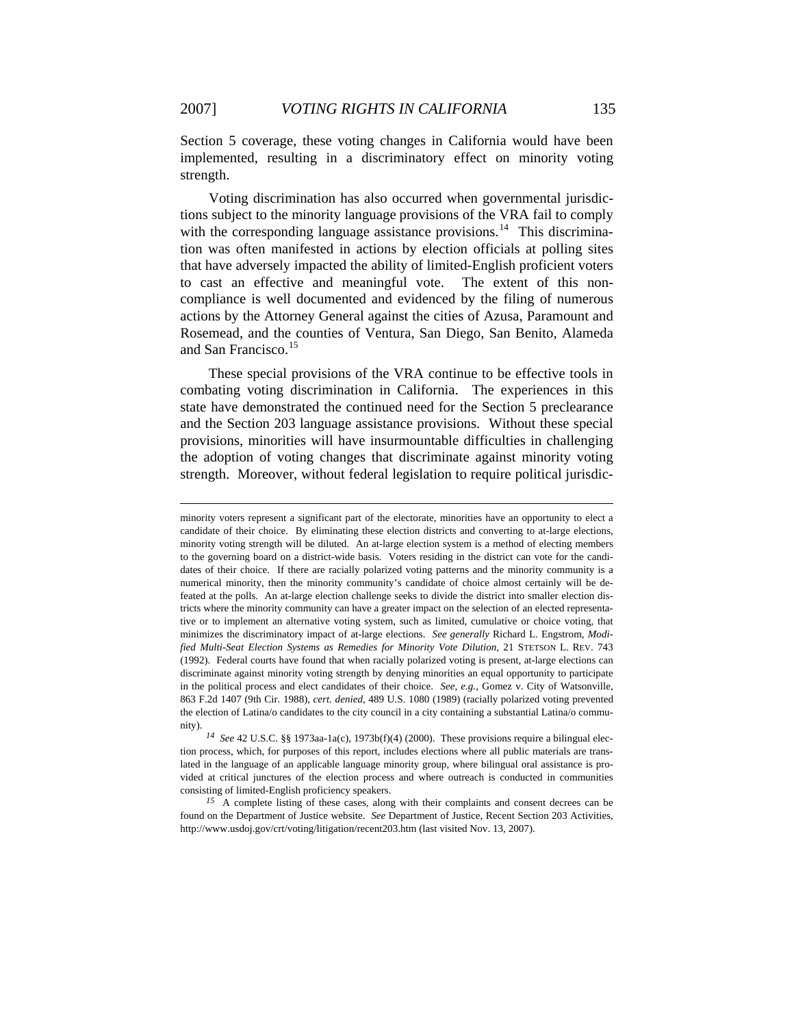Section 5 coverage, these voting changes in California would have been implemented, resulting in a discriminatory effect on minority voting strength.

Voting discrimination has also occurred when governmental jurisdictions subject to the minority language provisions of the VRA fail to comply with the corresponding language assistance provisions.<sup>[14](#page-4-0)</sup> This discrimination was often manifested in actions by election officials at polling sites that have adversely impacted the ability of limited-English proficient voters to cast an effective and meaningful vote. The extent of this noncompliance is well documented and evidenced by the filing of numerous actions by the Attorney General against the cities of Azusa, Paramount and Rosemead, and the counties of Ventura, San Diego, San Benito, Alameda and San Francisco.<sup>[15](#page-4-1)</sup>

These special provisions of the VRA continue to be effective tools in combating voting discrimination in California. The experiences in this state have demonstrated the continued need for the Section 5 preclearance and the Section 203 language assistance provisions. Without these special provisions, minorities will have insurmountable difficulties in challenging the adoption of voting changes that discriminate against minority voting strength. Moreover, without federal legislation to require political jurisdic-

1

<span id="page-4-1"></span><sup>15</sup> A complete listing of these cases, along with their complaints and consent decrees can be found on the Department of Justice website. *See* Department of Justice, Recent Section 203 Activities, http://www.usdoj.gov/crt/voting/litigation/recent203.htm (last visited Nov. 13, 2007).

minority voters represent a significant part of the electorate, minorities have an opportunity to elect a candidate of their choice. By eliminating these election districts and converting to at-large elections, minority voting strength will be diluted. An at-large election system is a method of electing members to the governing board on a district-wide basis. Voters residing in the district can vote for the candidates of their choice. If there are racially polarized voting patterns and the minority community is a numerical minority, then the minority community's candidate of choice almost certainly will be defeated at the polls. An at-large election challenge seeks to divide the district into smaller election districts where the minority community can have a greater impact on the selection of an elected representative or to implement an alternative voting system, such as limited, cumulative or choice voting, that minimizes the discriminatory impact of at-large elections. *See generally* Richard L. Engstrom, *Modified Multi-Seat Election Systems as Remedies for Minority Vote Dilution*, 21 STETSON L. REV. 743 (1992). Federal courts have found that when racially polarized voting is present, at-large elections can discriminate against minority voting strength by denying minorities an equal opportunity to participate in the political process and elect candidates of their choice. *See, e.g.*, Gomez v. City of Watsonville, 863 F.2d 1407 (9th Cir. 1988), *cert. denied*, 489 U.S. 1080 (1989) (racially polarized voting prevented the election of Latina/o candidates to the city council in a city containing a substantial Latina/o community)

<span id="page-4-0"></span>*<sup>14</sup> See* 42 U.S.C. §§ 1973aa-1a(c), 1973b(f)(4) (2000). These provisions require a bilingual election process, which, for purposes of this report, includes elections where all public materials are translated in the language of an applicable language minority group, where bilingual oral assistance is provided at critical junctures of the election process and where outreach is conducted in communities consisting of limited-English proficiency speakers.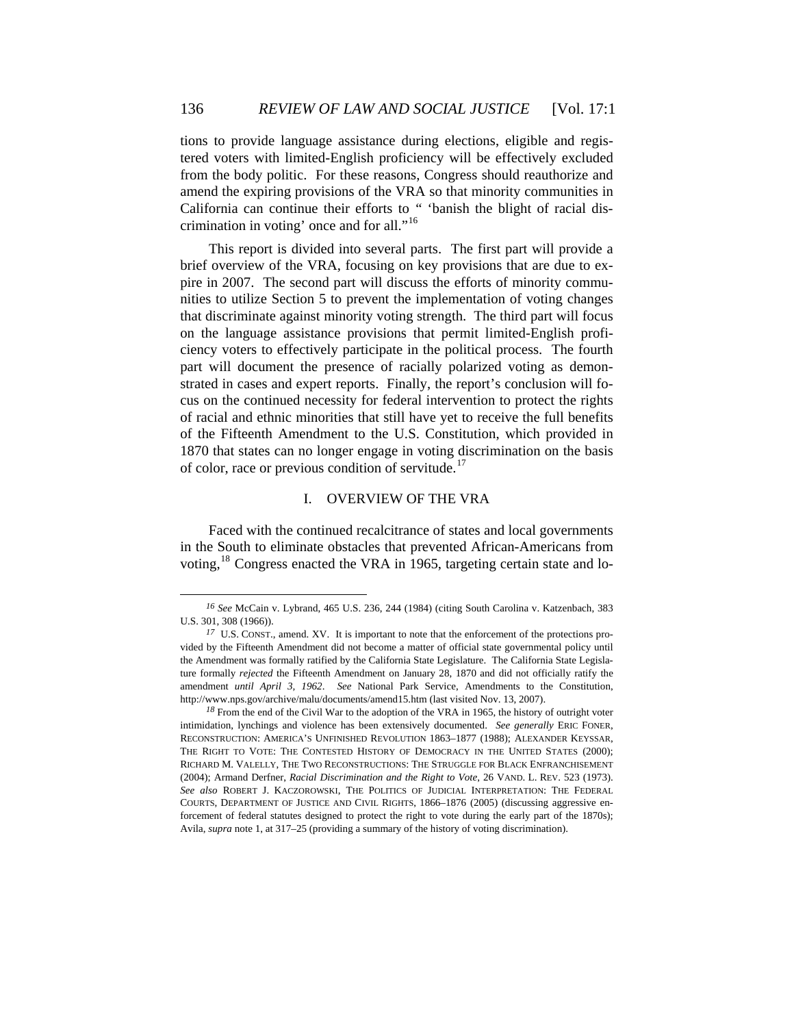tions to provide language assistance during elections, eligible and registered voters with limited-English proficiency will be effectively excluded from the body politic. For these reasons, Congress should reauthorize and amend the expiring provisions of the VRA so that minority communities in California can continue their efforts to " 'banish the blight of racial discrimination in voting' once and for all."[16](#page-5-0)

This report is divided into several parts. The first part will provide a brief overview of the VRA, focusing on key provisions that are due to expire in 2007. The second part will discuss the efforts of minority communities to utilize Section 5 to prevent the implementation of voting changes that discriminate against minority voting strength. The third part will focus on the language assistance provisions that permit limited-English proficiency voters to effectively participate in the political process. The fourth part will document the presence of racially polarized voting as demonstrated in cases and expert reports. Finally, the report's conclusion will focus on the continued necessity for federal intervention to protect the rights of racial and ethnic minorities that still have yet to receive the full benefits of the Fifteenth Amendment to the U.S. Constitution, which provided in 1870 that states can no longer engage in voting discrimination on the basis of color, race or previous condition of servitude.<sup>[17](#page-5-1)</sup>

# I. OVERVIEW OF THE VRA

Faced with the continued recalcitrance of states and local governments in the South to eliminate obstacles that prevented African-Americans from voting, $18$  Congress enacted the VRA in 1965, targeting certain state and lo-

<span id="page-5-0"></span>*<sup>16</sup> See* McCain v. Lybrand, 465 U.S. 236, 244 (1984) (citing South Carolina v. Katzenbach, 383 U.S. 301, 308 (1966)).

<span id="page-5-1"></span><sup>&</sup>lt;sup>17</sup> U.S. CONST., amend. XV. It is important to note that the enforcement of the protections provided by the Fifteenth Amendment did not become a matter of official state governmental policy until the Amendment was formally ratified by the California State Legislature. The California State Legislature formally *rejected* the Fifteenth Amendment on January 28, 1870 and did not officially ratify the amendment *until April 3, 1962*. *See* National Park Service, Amendments to the Constitution, http://www.nps.gov/archive/malu/documents/amend15.htm (last visited Nov. 13, 2007).

<span id="page-5-2"></span><sup>&</sup>lt;sup>18</sup> From the end of the Civil War to the adoption of the VRA in 1965, the history of outright voter intimidation, lynchings and violence has been extensively documented. *See generally* ERIC FONER, RECONSTRUCTION: AMERICA'S UNFINISHED REVOLUTION 1863–1877 (1988); ALEXANDER KEYSSAR, THE RIGHT TO VOTE: THE CONTESTED HISTORY OF DEMOCRACY IN THE UNITED STATES (2000); RICHARD M. VALELLY, THE TWO RECONSTRUCTIONS: THE STRUGGLE FOR BLACK ENFRANCHISEMENT (2004); Armand Derfner, *Racial Discrimination and the Right to Vote*, 26 VAND. L. REV. 523 (1973). *See also* ROBERT J. KACZOROWSKI, THE POLITICS OF JUDICIAL INTERPRETATION: THE FEDERAL COURTS, DEPARTMENT OF JUSTICE AND CIVIL RIGHTS, 1866–1876 (2005) (discussing aggressive enforcement of federal statutes designed to protect the right to vote during the early part of the 1870s); Avila, *supra* note 1, at 317–25 (providing a summary of the history of voting discrimination).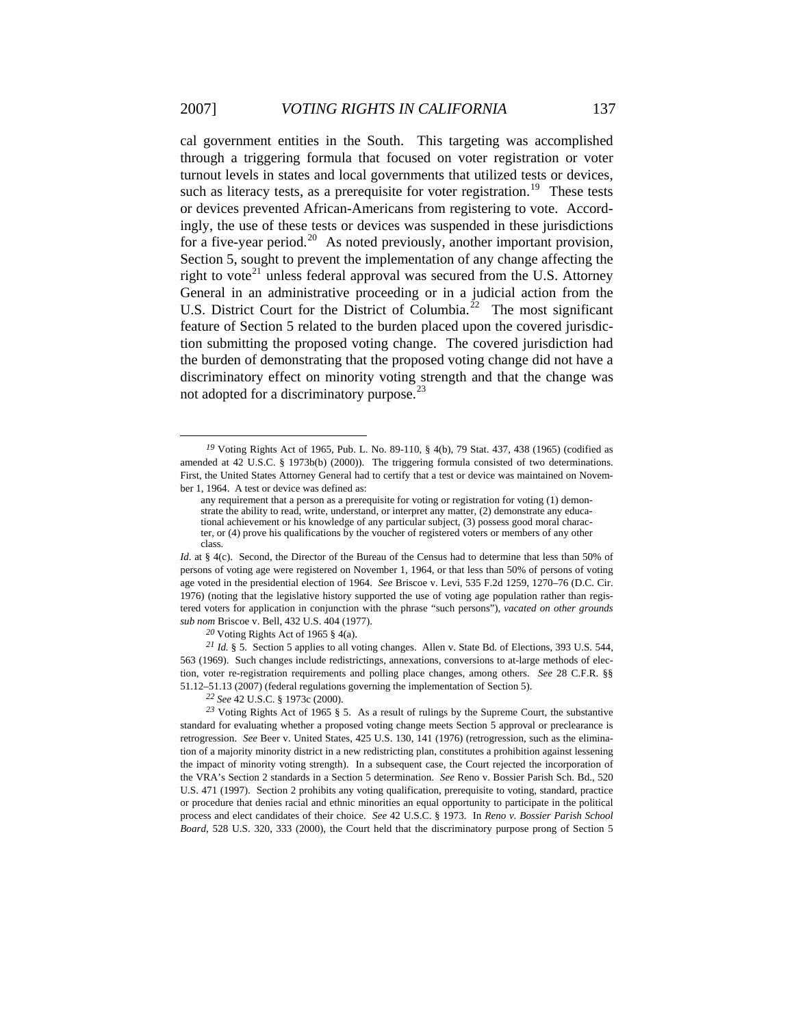cal government entities in the South. This targeting was accomplished through a triggering formula that focused on voter registration or voter turnout levels in states and local governments that utilized tests or devices, such as literacy tests, as a prerequisite for voter registration.<sup>[19](#page-6-0)</sup> These tests or devices prevented African-Americans from registering to vote. Accordingly, the use of these tests or devices was suspended in these jurisdictions for a five-year period.<sup>[20](#page-6-1)</sup> As noted previously, another important provision, Section 5, sought to prevent the implementation of any change affecting the right to vote<sup>[21](#page-6-2)</sup> unless federal approval was secured from the U.S. Attorney General in an administrative proceeding or in a judicial action from the U.S. District Court for the District of Columbia.<sup>[22](#page-6-3)</sup> The most significant feature of Section 5 related to the burden placed upon the covered jurisdiction submitting the proposed voting change. The covered jurisdiction had the burden of demonstrating that the proposed voting change did not have a discriminatory effect on minority voting strength and that the change was not adopted for a discriminatory purpose. $^{23}$  $^{23}$  $^{23}$ 

*<sup>20</sup>* Voting Rights Act of 1965 § 4(a).

<span id="page-6-0"></span><sup>&</sup>lt;sup>19</sup> Voting Rights Act of 1965, Pub. L. No. 89-110, § 4(b), 79 Stat. 437, 438 (1965) (codified as amended at 42 U.S.C. § 1973b(b) (2000)). The triggering formula consisted of two determinations. First, the United States Attorney General had to certify that a test or device was maintained on November 1, 1964. A test or device was defined as:

any requirement that a person as a prerequisite for voting or registration for voting (1) demonstrate the ability to read, write, understand, or interpret any matter, (2) demonstrate any educational achievement or his knowledge of any particular subject, (3) possess good moral character, or (4) prove his qualifications by the voucher of registered voters or members of any other class.

*Id.* at § 4(c). Second, the Director of the Bureau of the Census had to determine that less than 50% of persons of voting age were registered on November 1, 1964, or that less than 50% of persons of voting age voted in the presidential election of 1964. *See* Briscoe v. Levi, 535 F.2d 1259, 1270–76 (D.C. Cir. 1976) (noting that the legislative history supported the use of voting age population rather than registered voters for application in conjunction with the phrase "such persons"), *vacated on other grounds sub nom* Briscoe v. Bell, 432 U.S. 404 (1977).

<span id="page-6-2"></span><span id="page-6-1"></span>*<sup>21</sup> Id.* § 5. Section 5 applies to all voting changes. Allen v. State Bd. of Elections, 393 U.S. 544, 563 (1969). Such changes include redistrictings, annexations, conversions to at-large methods of election, voter re-registration requirements and polling place changes, among others. *See* 28 C.F.R. §§ 51.12–51.13 (2007) (federal regulations governing the implementation of Section 5).

*<sup>22</sup> See* 42 U.S.C. § 1973c (2000).

<span id="page-6-4"></span><span id="page-6-3"></span>*<sup>23</sup>* Voting Rights Act of 1965 § 5. As a result of rulings by the Supreme Court, the substantive standard for evaluating whether a proposed voting change meets Section 5 approval or preclearance is retrogression. *See* Beer v. United States, 425 U.S. 130, 141 (1976) (retrogression, such as the elimination of a majority minority district in a new redistricting plan, constitutes a prohibition against lessening the impact of minority voting strength). In a subsequent case, the Court rejected the incorporation of the VRA's Section 2 standards in a Section 5 determination. *See* Reno v. Bossier Parish Sch. Bd., 520 U.S. 471 (1997). Section 2 prohibits any voting qualification, prerequisite to voting, standard, practice or procedure that denies racial and ethnic minorities an equal opportunity to participate in the political process and elect candidates of their choice. *See* 42 U.S.C. § 1973. In *Reno v. Bossier Parish School Board*, 528 U.S. 320, 333 (2000), the Court held that the discriminatory purpose prong of Section 5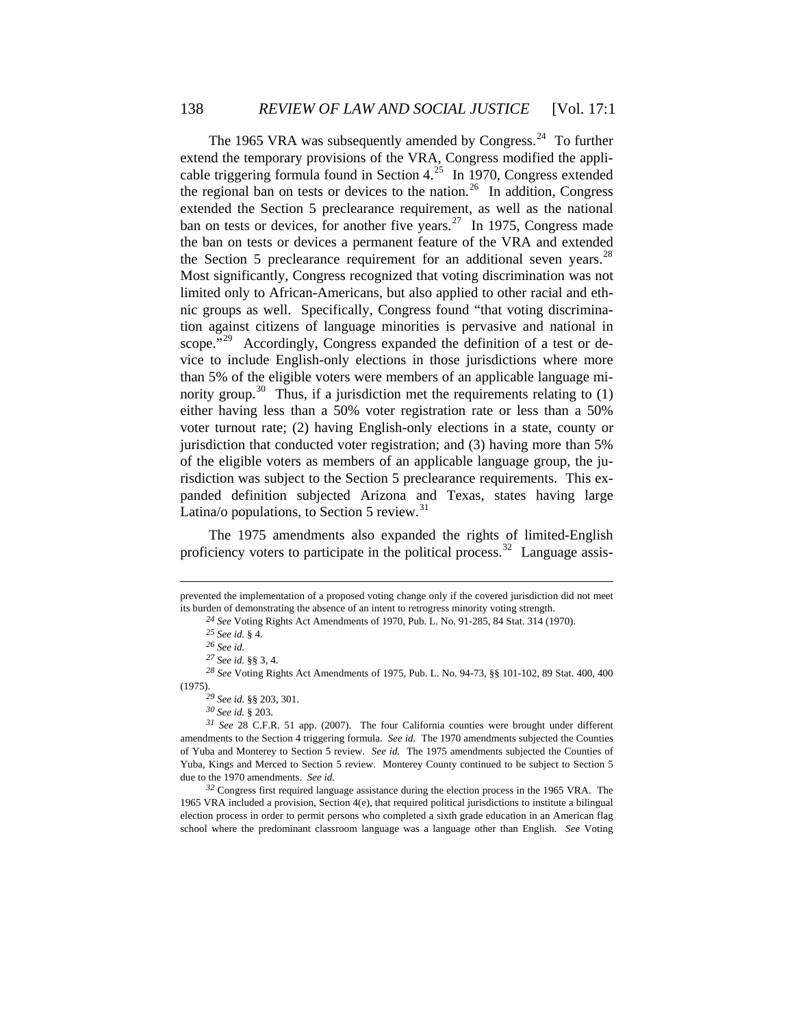The 1965 VRA was subsequently amended by Congress.<sup>[24](#page-7-0)</sup> To further extend the temporary provisions of the VRA, Congress modified the appli-cable triggering formula found in Section 4.<sup>[25](#page-7-1)</sup> In 1970, Congress extended the regional ban on tests or devices to the nation.<sup>[26](#page-7-2)</sup> In addition, Congress extended the Section 5 preclearance requirement, as well as the national ban on tests or devices, for another five years.<sup>[27](#page-7-3)</sup> In 1975, Congress made the ban on tests or devices a permanent feature of the VRA and extended the Section 5 preclearance requirement for an additional seven years.<sup>[28](#page-7-4)</sup> Most significantly, Congress recognized that voting discrimination was not limited only to African-Americans, but also applied to other racial and ethnic groups as well. Specifically, Congress found "that voting discrimination against citizens of language minorities is pervasive and national in scope."<sup>[29](#page-7-5)</sup> Accordingly, Congress expanded the definition of a test or device to include English-only elections in those jurisdictions where more than 5% of the eligible voters were members of an applicable language mi-nority group.<sup>[30](#page-7-6)</sup> Thus, if a jurisdiction met the requirements relating to  $(1)$ either having less than a 50% voter registration rate or less than a 50% voter turnout rate; (2) having English-only elections in a state, county or jurisdiction that conducted voter registration; and (3) having more than 5% of the eligible voters as members of an applicable language group, the jurisdiction was subject to the Section 5 preclearance requirements. This expanded definition subjected Arizona and Texas, states having large Latina/o populations, to Section 5 review.<sup>[31](#page-7-7)</sup>

The 1975 amendments also expanded the rights of limited-English proficiency voters to participate in the political process.<sup>[32](#page-7-8)</sup> Language assis-

1

<span id="page-7-0"></span>prevented the implementation of a proposed voting change only if the covered jurisdiction did not meet its burden of demonstrating the absence of an intent to retrogress minority voting strength.

*<sup>24</sup> See* Voting Rights Act Amendments of 1970, Pub. L. No. 91-285, 84 Stat. 314 (1970).

*<sup>25</sup> See id.* § 4.

*<sup>26</sup> See id.*

*<sup>27</sup> See id.* §§ 3, 4.

<span id="page-7-4"></span><span id="page-7-3"></span><span id="page-7-2"></span><span id="page-7-1"></span>*<sup>28</sup> See* Voting Rights Act Amendments of 1975, Pub. L. No. 94-73, §§ 101-102, 89 Stat. 400, 400 (1975).

*<sup>29</sup> See id.* §§ 203, 301.

*<sup>30</sup> See id.* § 203.

<span id="page-7-7"></span><span id="page-7-6"></span><span id="page-7-5"></span>*<sup>31</sup> See* 28 C.F.R. 51 app. (2007). The four California counties were brought under different amendments to the Section 4 triggering formula. *See id.* The 1970 amendments subjected the Counties of Yuba and Monterey to Section 5 review. *See id.* The 1975 amendments subjected the Counties of Yuba, Kings and Merced to Section 5 review. Monterey County continued to be subject to Section 5 due to the 1970 amendments. *See id.*

<span id="page-7-8"></span>*<sup>32</sup>* Congress first required language assistance during the election process in the 1965 VRA. The 1965 VRA included a provision, Section 4(e), that required political jurisdictions to institute a bilingual election process in order to permit persons who completed a sixth grade education in an American flag school where the predominant classroom language was a language other than English. *See* Voting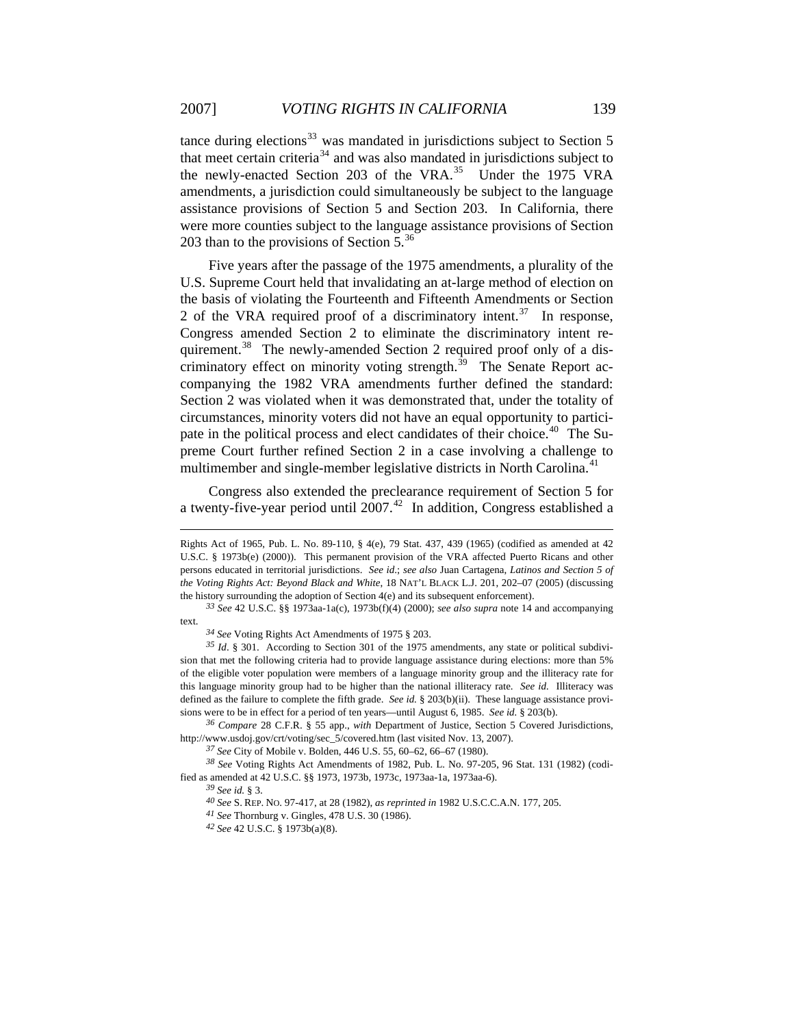tance during elections $33$  was mandated in jurisdictions subject to Section 5 that meet certain criteria<sup>[34](#page-8-1)</sup> and was also mandated in jurisdictions subject to the newly-enacted Section 203 of the VRA.<sup>[35](#page-8-2)</sup> Under the 1975 VRA amendments, a jurisdiction could simultaneously be subject to the language assistance provisions of Section 5 and Section 203. In California, there were more counties subject to the language assistance provisions of Section 203 than to the provisions of Section  $5^{36}$  $5^{36}$  $5^{36}$ 

Five years after the passage of the 1975 amendments, a plurality of the U.S. Supreme Court held that invalidating an at-large method of election on the basis of violating the Fourteenth and Fifteenth Amendments or Section 2 of the VRA required proof of a discriminatory intent.<sup>[37](#page-8-4)</sup> In response, Congress amended Section 2 to eliminate the discriminatory intent re-quirement.<sup>[38](#page-8-5)</sup> The newly-amended Section 2 required proof only of a discriminatory effect on minority voting strength. $^{39}$  $^{39}$  $^{39}$  The Senate Report accompanying the 1982 VRA amendments further defined the standard: Section 2 was violated when it was demonstrated that, under the totality of circumstances, minority voters did not have an equal opportunity to partici-pate in the political process and elect candidates of their choice.<sup>[40](#page-8-7)</sup> The Supreme Court further refined Section 2 in a case involving a challenge to multimember and single-member legislative districts in North Carolina.<sup>[41](#page-8-8)</sup>

Congress also extended the preclearance requirement of Section 5 for a twenty-five-year period until  $2007<sup>42</sup>$  $2007<sup>42</sup>$  $2007<sup>42</sup>$  In addition, Congress established a

1

Rights Act of 1965, Pub. L. No. 89-110, § 4(e), 79 Stat. 437, 439 (1965) (codified as amended at 42 U.S.C. § 1973b(e) (2000)). This permanent provision of the VRA affected Puerto Ricans and other persons educated in territorial jurisdictions. *See id*.; *see also* Juan Cartagena, *Latinos and Section 5 of the Voting Rights Act: Beyond Black and White*, 18 NAT'L BLACK L.J. 201, 202–07 (2005) (discussing the history surrounding the adoption of Section 4(e) and its subsequent enforcement).

<span id="page-8-0"></span>*<sup>33</sup> See* 42 U.S.C. §§ 1973aa-1a(c), 1973b(f)(4) (2000); *see also supra* note 14 and accompanying text.

*<sup>34</sup> See* Voting Rights Act Amendments of 1975 § 203.

<span id="page-8-2"></span><span id="page-8-1"></span>*<sup>35</sup> Id*. § 301. According to Section 301 of the 1975 amendments, any state or political subdivision that met the following criteria had to provide language assistance during elections: more than 5% of the eligible voter population were members of a language minority group and the illiteracy rate for this language minority group had to be higher than the national illiteracy rate. *See id.* Illiteracy was defined as the failure to complete the fifth grade. *See id.* § 203(b)(ii). These language assistance provisions were to be in effect for a period of ten years—until August 6, 1985. *See id.* § 203(b).

<span id="page-8-3"></span>*<sup>36</sup> Compare* 28 C.F.R. § 55 app., *with* Department of Justice, Section 5 Covered Jurisdictions, http://www.usdoj.gov/crt/voting/sec\_5/covered.htm (last visited Nov. 13, 2007).

*<sup>37</sup> See* City of Mobile v. Bolden, 446 U.S. 55, 60–62, 66–67 (1980).

<span id="page-8-9"></span><span id="page-8-8"></span><span id="page-8-7"></span><span id="page-8-6"></span><span id="page-8-5"></span><span id="page-8-4"></span>*<sup>38</sup> See* Voting Rights Act Amendments of 1982, Pub. L. No. 97-205, 96 Stat. 131 (1982) (codified as amended at 42 U.S.C. §§ 1973, 1973b, 1973c, 1973aa-1a, 1973aa-6).

*<sup>39</sup> See id.* § 3.

*<sup>40</sup> See* S. REP. NO. 97-417, at 28 (1982), *as reprinted in* 1982 U.S.C.C.A.N. 177, 205.

*<sup>41</sup> See* Thornburg v. Gingles, 478 U.S. 30 (1986).

*<sup>42</sup> See* 42 U.S.C. § 1973b(a)(8).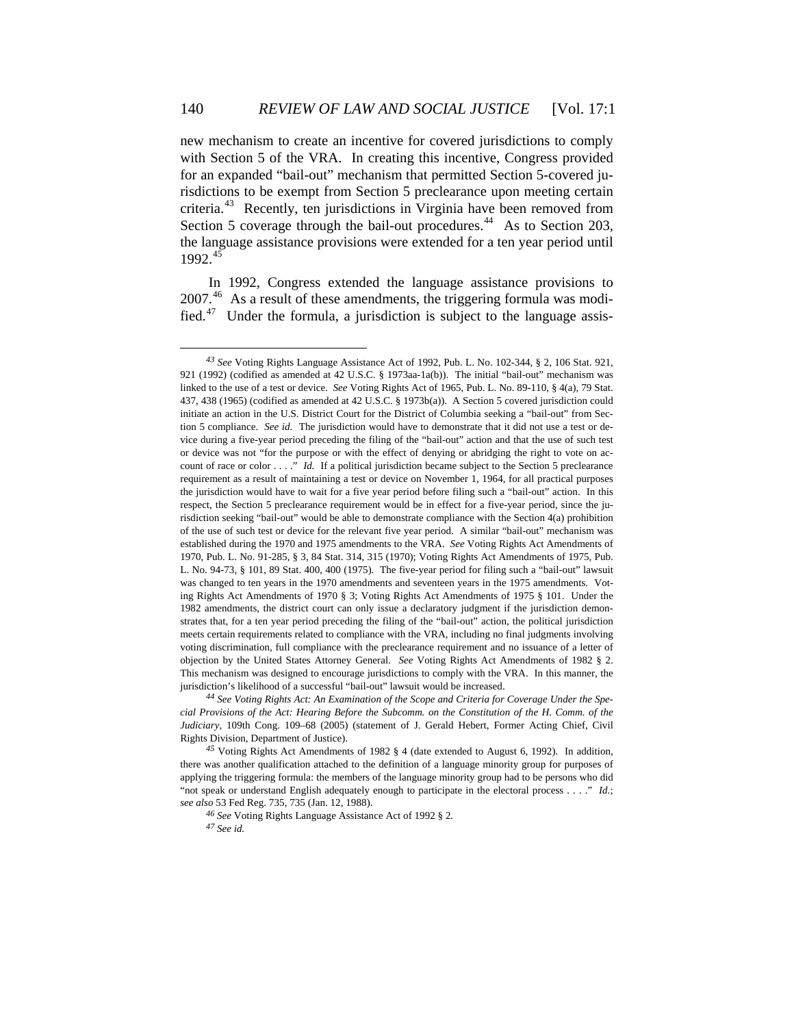new mechanism to create an incentive for covered jurisdictions to comply with Section 5 of the VRA. In creating this incentive, Congress provided for an expanded "bail-out" mechanism that permitted Section 5-covered jurisdictions to be exempt from Section 5 preclearance upon meeting certain criteria.[43](#page-9-0) Recently, ten jurisdictions in Virginia have been removed from Section 5 coverage through the bail-out procedures.<sup>[44](#page-9-1)</sup> As to Section 203, the language assistance provisions were extended for a ten year period until  $1992.<sup>45</sup>$  $1992.<sup>45</sup>$  $1992.<sup>45</sup>$ 

In 1992, Congress extended the language assistance provisions to 2007.[46](#page-9-3) As a result of these amendments, the triggering formula was modified.[47](#page-9-4) Under the formula, a jurisdiction is subject to the language assis-

*<sup>46</sup> See* Voting Rights Language Assistance Act of 1992 § 2*.*

<span id="page-9-0"></span>*<sup>43</sup> See* Voting Rights Language Assistance Act of 1992, Pub. L. No. 102-344, § 2, 106 Stat. 921, 921 (1992) (codified as amended at 42 U.S.C. § 1973aa-1a(b)). The initial "bail-out" mechanism was linked to the use of a test or device. *See* Voting Rights Act of 1965, Pub. L. No. 89-110, § 4(a), 79 Stat. 437, 438 (1965) (codified as amended at 42 U.S.C. § 1973b(a)). A Section 5 covered jurisdiction could initiate an action in the U.S. District Court for the District of Columbia seeking a "bail-out" from Section 5 compliance. *See id.* The jurisdiction would have to demonstrate that it did not use a test or device during a five-year period preceding the filing of the "bail-out" action and that the use of such test or device was not "for the purpose or with the effect of denying or abridging the right to vote on account of race or color . . . ." *Id.* If a political jurisdiction became subject to the Section 5 preclearance requirement as a result of maintaining a test or device on November 1, 1964, for all practical purposes the jurisdiction would have to wait for a five year period before filing such a "bail-out" action. In this respect, the Section 5 preclearance requirement would be in effect for a five-year period, since the jurisdiction seeking "bail-out" would be able to demonstrate compliance with the Section 4(a) prohibition of the use of such test or device for the relevant five year period. A similar "bail-out" mechanism was established during the 1970 and 1975 amendments to the VRA. *See* Voting Rights Act Amendments of 1970, Pub. L. No. 91-285, § 3, 84 Stat. 314, 315 (1970); Voting Rights Act Amendments of 1975, Pub. L. No. 94-73, § 101, 89 Stat. 400, 400 (1975). The five-year period for filing such a "bail-out" lawsuit was changed to ten years in the 1970 amendments and seventeen years in the 1975 amendments. Voting Rights Act Amendments of 1970 § 3; Voting Rights Act Amendments of 1975 § 101. Under the 1982 amendments, the district court can only issue a declaratory judgment if the jurisdiction demonstrates that, for a ten year period preceding the filing of the "bail-out" action, the political jurisdiction meets certain requirements related to compliance with the VRA, including no final judgments involving voting discrimination, full compliance with the preclearance requirement and no issuance of a letter of objection by the United States Attorney General. *See* Voting Rights Act Amendments of 1982 § 2. This mechanism was designed to encourage jurisdictions to comply with the VRA. In this manner, the jurisdiction's likelihood of a successful "bail-out" lawsuit would be increased.

<span id="page-9-1"></span>*<sup>44</sup> See Voting Rights Act: An Examination of the Scope and Criteria for Coverage Under the Special Provisions of the Act: Hearing Before the Subcomm. on the Constitution of the H. Comm. of the Judiciary*, 109th Cong. 109–68 (2005) (statement of J. Gerald Hebert, Former Acting Chief, Civil Rights Division, Department of Justice).

<span id="page-9-4"></span><span id="page-9-3"></span><span id="page-9-2"></span>*<sup>45</sup>* Voting Rights Act Amendments of 1982 § 4 (date extended to August 6, 1992). In addition, there was another qualification attached to the definition of a language minority group for purposes of applying the triggering formula: the members of the language minority group had to be persons who did "not speak or understand English adequately enough to participate in the electoral process . . . ." *Id.*; *see also* 53 Fed Reg. 735, 735 (Jan. 12, 1988).

*<sup>47</sup> See id.*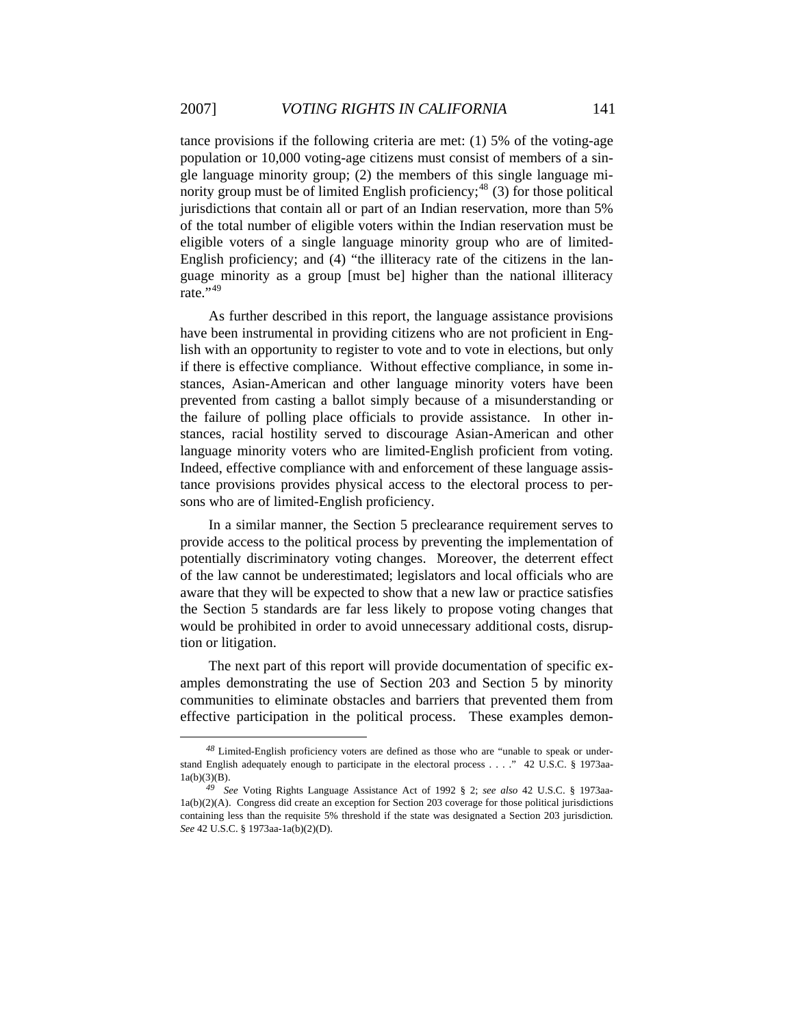tance provisions if the following criteria are met: (1) 5% of the voting-age population or 10,000 voting-age citizens must consist of members of a single language minority group; (2) the members of this single language minority group must be of limited English proficiency; $48$  (3) for those political jurisdictions that contain all or part of an Indian reservation, more than 5% of the total number of eligible voters within the Indian reservation must be eligible voters of a single language minority group who are of limited-English proficiency; and (4) "the illiteracy rate of the citizens in the language minority as a group [must be] higher than the national illiteracy rate.",[49](#page-10-1)

As further described in this report, the language assistance provisions have been instrumental in providing citizens who are not proficient in English with an opportunity to register to vote and to vote in elections, but only if there is effective compliance. Without effective compliance, in some instances, Asian-American and other language minority voters have been prevented from casting a ballot simply because of a misunderstanding or the failure of polling place officials to provide assistance. In other instances, racial hostility served to discourage Asian-American and other language minority voters who are limited-English proficient from voting. Indeed, effective compliance with and enforcement of these language assistance provisions provides physical access to the electoral process to persons who are of limited-English proficiency.

In a similar manner, the Section 5 preclearance requirement serves to provide access to the political process by preventing the implementation of potentially discriminatory voting changes. Moreover, the deterrent effect of the law cannot be underestimated; legislators and local officials who are aware that they will be expected to show that a new law or practice satisfies the Section 5 standards are far less likely to propose voting changes that would be prohibited in order to avoid unnecessary additional costs, disruption or litigation.

The next part of this report will provide documentation of specific examples demonstrating the use of Section 203 and Section 5 by minority communities to eliminate obstacles and barriers that prevented them from effective participation in the political process. These examples demon-

<span id="page-10-0"></span>*<sup>48</sup>* Limited-English proficiency voters are defined as those who are "unable to speak or understand English adequately enough to participate in the electoral process . . . ." 42 U.S.C. § 1973aa- $1a(b)(3)(B)$ .

<span id="page-10-1"></span>*<sup>49</sup> See* Voting Rights Language Assistance Act of 1992 § 2; *see also* 42 U.S.C. § 1973aa-1a(b)(2)(A). Congress did create an exception for Section 203 coverage for those political jurisdictions containing less than the requisite 5% threshold if the state was designated a Section 203 jurisdiction*. See* 42 U.S.C. § 1973aa-1a(b)(2)(D).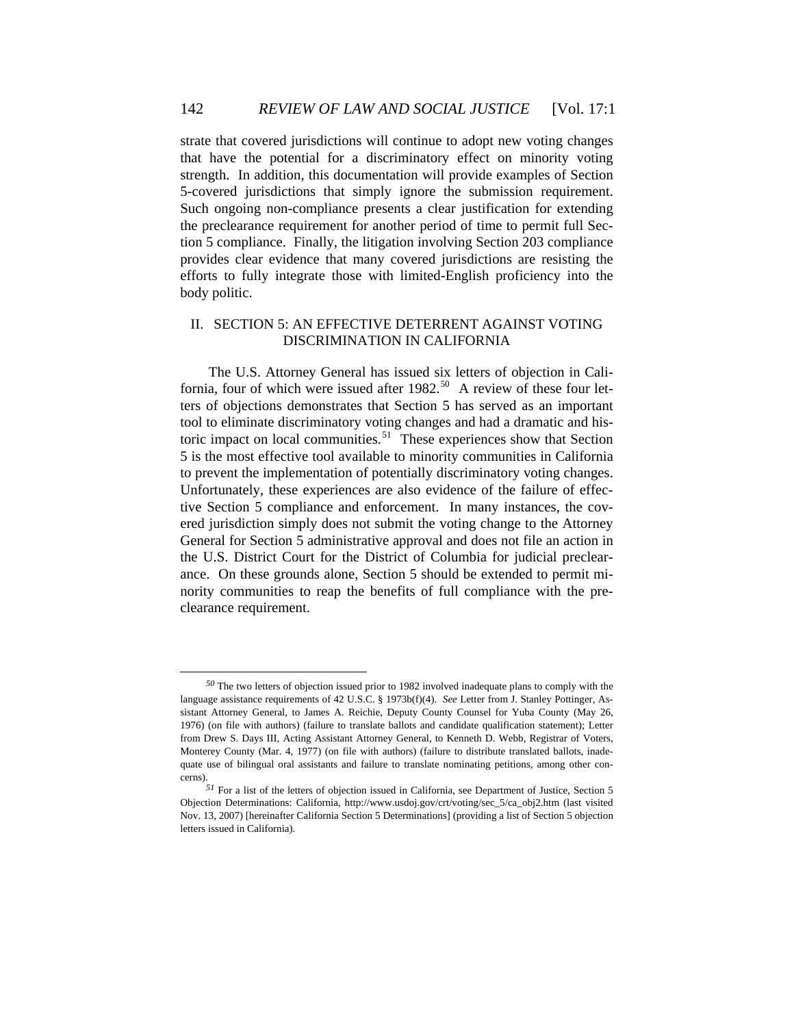strate that covered jurisdictions will continue to adopt new voting changes that have the potential for a discriminatory effect on minority voting strength. In addition, this documentation will provide examples of Section 5-covered jurisdictions that simply ignore the submission requirement. Such ongoing non-compliance presents a clear justification for extending the preclearance requirement for another period of time to permit full Section 5 compliance. Finally, the litigation involving Section 203 compliance provides clear evidence that many covered jurisdictions are resisting the efforts to fully integrate those with limited-English proficiency into the body politic.

# II. SECTION 5: AN EFFECTIVE DETERRENT AGAINST VOTING DISCRIMINATION IN CALIFORNIA

The U.S. Attorney General has issued six letters of objection in California, four of which were issued after  $1982$ .<sup>[50](#page-11-0)</sup> A review of these four letters of objections demonstrates that Section 5 has served as an important tool to eliminate discriminatory voting changes and had a dramatic and his-toric impact on local communities.<sup>[51](#page-11-1)</sup> These experiences show that Section 5 is the most effective tool available to minority communities in California to prevent the implementation of potentially discriminatory voting changes. Unfortunately, these experiences are also evidence of the failure of effective Section 5 compliance and enforcement. In many instances, the covered jurisdiction simply does not submit the voting change to the Attorney General for Section 5 administrative approval and does not file an action in the U.S. District Court for the District of Columbia for judicial preclearance. On these grounds alone, Section 5 should be extended to permit minority communities to reap the benefits of full compliance with the preclearance requirement.

<span id="page-11-0"></span>*<sup>50</sup>* The two letters of objection issued prior to 1982 involved inadequate plans to comply with the language assistance requirements of 42 U.S.C. § 1973b(f)(4). *See* Letter from J. Stanley Pottinger, Assistant Attorney General, to James A. Reichie, Deputy County Counsel for Yuba County (May 26, 1976) (on file with authors) (failure to translate ballots and candidate qualification statement); Letter from Drew S. Days III, Acting Assistant Attorney General, to Kenneth D. Webb, Registrar of Voters, Monterey County (Mar. 4, 1977) (on file with authors) (failure to distribute translated ballots, inadequate use of bilingual oral assistants and failure to translate nominating petitions, among other concerns).

<span id="page-11-1"></span>*<sup>51</sup>* For a list of the letters of objection issued in California, see Department of Justice, Section 5 Objection Determinations: California, http://www.usdoj.gov/crt/voting/sec\_5/ca\_obj2.htm (last visited Nov. 13, 2007) [hereinafter California Section 5 Determinations] (providing a list of Section 5 objection letters issued in California).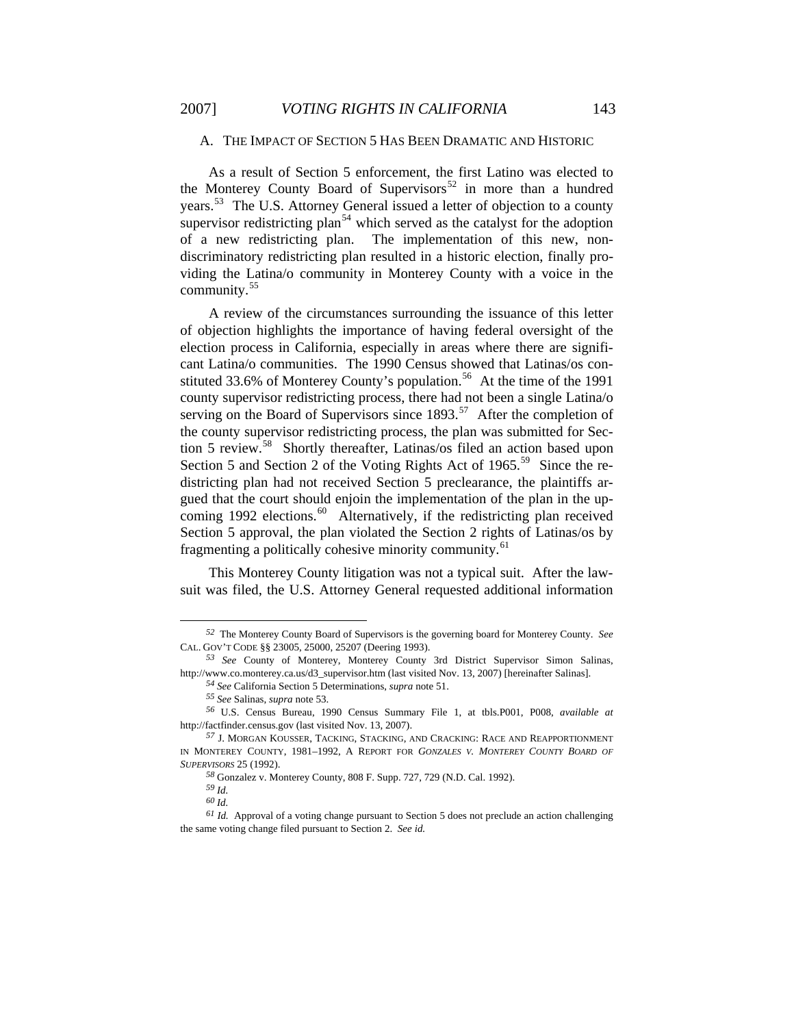# A. THE IMPACT OF SECTION 5 HAS BEEN DRAMATIC AND HISTORIC

As a result of Section 5 enforcement, the first Latino was elected to the Monterey County Board of Supervisors<sup>[52](#page-12-0)</sup> in more than a hundred years.<sup>[53](#page-12-1)</sup> The U.S. Attorney General issued a letter of objection to a county supervisor redistricting plan<sup>[54](#page-12-2)</sup> which served as the catalyst for the adoption of a new redistricting plan. The implementation of this new, nondiscriminatory redistricting plan resulted in a historic election, finally providing the Latina/o community in Monterey County with a voice in the community.[55](#page-12-3)

A review of the circumstances surrounding the issuance of this letter of objection highlights the importance of having federal oversight of the election process in California, especially in areas where there are significant Latina/o communities. The 1990 Census showed that Latinas/os con-stituted 33.6% of Monterey County's population.<sup>[56](#page-12-4)</sup> At the time of the 1991 county supervisor redistricting process, there had not been a single Latina/o serving on the Board of Supervisors since  $1893$ <sup>[57](#page-12-5)</sup> After the completion of the county supervisor redistricting process, the plan was submitted for Sec-tion 5 review.<sup>[58](#page-12-6)</sup> Shortly thereafter, Latinas/os filed an action based upon Section 5 and Section 2 of the Voting Rights Act of  $1965$ <sup>[59](#page-12-7)</sup> Since the redistricting plan had not received Section 5 preclearance, the plaintiffs argued that the court should enjoin the implementation of the plan in the up-coming 1992 elections.<sup>[60](#page-12-8)</sup> Alternatively, if the redistricting plan received Section 5 approval, the plan violated the Section 2 rights of Latinas/os by fragmenting a politically cohesive minority community.<sup>[61](#page-12-9)</sup>

This Monterey County litigation was not a typical suit. After the lawsuit was filed, the U.S. Attorney General requested additional information

<span id="page-12-0"></span>*<sup>52</sup>* The Monterey County Board of Supervisors is the governing board for Monterey County. *See*  CAL. GOV'T CODE §§ 23005, 25000, 25207 (Deering 1993).

<span id="page-12-1"></span>*<sup>53</sup> See* County of Monterey, Monterey County 3rd District Supervisor Simon Salinas, http://www.co.monterey.ca.us/d3\_supervisor.htm (last visited Nov. 13, 2007) [hereinafter Salinas].

*<sup>54</sup> See* California Section 5 Determinations, *supra* note 51.

*<sup>55</sup> See* Salinas, *supra* note 53.

<span id="page-12-4"></span><span id="page-12-3"></span><span id="page-12-2"></span>*<sup>56</sup>* U.S. Census Bureau, 1990 Census Summary File 1, at tbls.P001, P008, *available at* http://factfinder.census.gov (last visited Nov. 13, 2007).

<span id="page-12-5"></span>*<sup>57</sup>* J. MORGAN KOUSSER, TACKING, STACKING, AND CRACKING: RACE AND REAPPORTIONMENT IN MONTEREY COUNTY, 1981–1992, A REPORT FOR *GONZALES V. MONTEREY COUNTY BOARD OF SUPERVISORS* 25 (1992).

*<sup>58</sup>* Gonzalez v. Monterey County, 808 F. Supp. 727, 729 (N.D. Cal. 1992).

*<sup>59</sup> Id.*

*<sup>60</sup> Id.*

<span id="page-12-9"></span><span id="page-12-8"></span><span id="page-12-7"></span><span id="page-12-6"></span>*<sup>61</sup> Id.* Approval of a voting change pursuant to Section 5 does not preclude an action challenging the same voting change filed pursuant to Section 2. *See id.*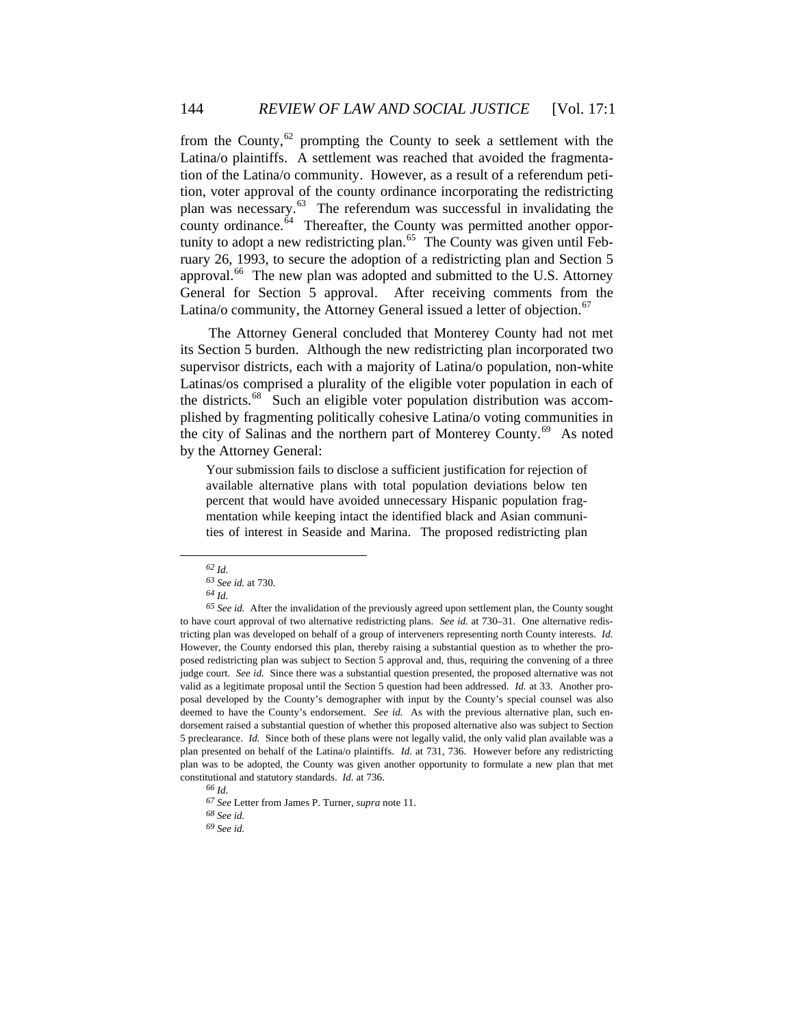from the County, $62$  prompting the County to seek a settlement with the Latina/o plaintiffs. A settlement was reached that avoided the fragmentation of the Latina/o community. However, as a result of a referendum petition, voter approval of the county ordinance incorporating the redistricting plan was necessary.[63](#page-13-1) The referendum was successful in invalidating the county ordinance. $\overset{\text{64}}{}$  $\overset{\text{64}}{}$  $\overset{\text{64}}{}$  Thereafter, the County was permitted another oppor-tunity to adopt a new redistricting plan.<sup>[65](#page-13-3)</sup> The County was given until February 26, 1993, to secure the adoption of a redistricting plan and Section 5 approval.<sup>[66](#page-13-4)</sup> The new plan was adopted and submitted to the U.S. Attorney General for Section 5 approval. After receiving comments from the Latina/o community, the Attorney General issued a letter of objection.<sup>[67](#page-13-5)</sup>

The Attorney General concluded that Monterey County had not met its Section 5 burden. Although the new redistricting plan incorporated two supervisor districts, each with a majority of Latina/o population, non-white Latinas/os comprised a plurality of the eligible voter population in each of the districts.<sup>[68](#page-13-6)</sup> Such an eligible voter population distribution was accomplished by fragmenting politically cohesive Latina/o voting communities in the city of Salinas and the northern part of Monterey County.<sup>[69](#page-13-7)</sup> As noted by the Attorney General:

Your submission fails to disclose a sufficient justification for rejection of available alternative plans with total population deviations below ten percent that would have avoided unnecessary Hispanic population fragmentation while keeping intact the identified black and Asian communities of interest in Seaside and Marina. The proposed redistricting plan

*<sup>62</sup> Id.*

*<sup>63</sup> See id.* at 730.

*<sup>64</sup> Id.*

<span id="page-13-3"></span><span id="page-13-2"></span><span id="page-13-1"></span><span id="page-13-0"></span>*<sup>65</sup> See id.* After the invalidation of the previously agreed upon settlement plan, the County sought to have court approval of two alternative redistricting plans. *See id.* at 730–31. One alternative redistricting plan was developed on behalf of a group of interveners representing north County interests. *Id.* However, the County endorsed this plan, thereby raising a substantial question as to whether the proposed redistricting plan was subject to Section 5 approval and, thus, requiring the convening of a three judge court. *See id.* Since there was a substantial question presented, the proposed alternative was not valid as a legitimate proposal until the Section 5 question had been addressed. *Id.* at 33. Another proposal developed by the County's demographer with input by the County's special counsel was also deemed to have the County's endorsement. *See id.* As with the previous alternative plan, such endorsement raised a substantial question of whether this proposed alternative also was subject to Section 5 preclearance. *Id.* Since both of these plans were not legally valid, the only valid plan available was a plan presented on behalf of the Latina/o plaintiffs. *Id.* at 731, 736. However before any redistricting plan was to be adopted, the County was given another opportunity to formulate a new plan that met constitutional and statutory standards. *Id.* at 736.

*<sup>66</sup> Id.*

<span id="page-13-4"></span>*<sup>67</sup> See* Letter from James P. Turner, *supra* note 11.

<span id="page-13-6"></span><span id="page-13-5"></span>*<sup>68</sup> See id.*

<span id="page-13-7"></span>*<sup>69</sup> See id.*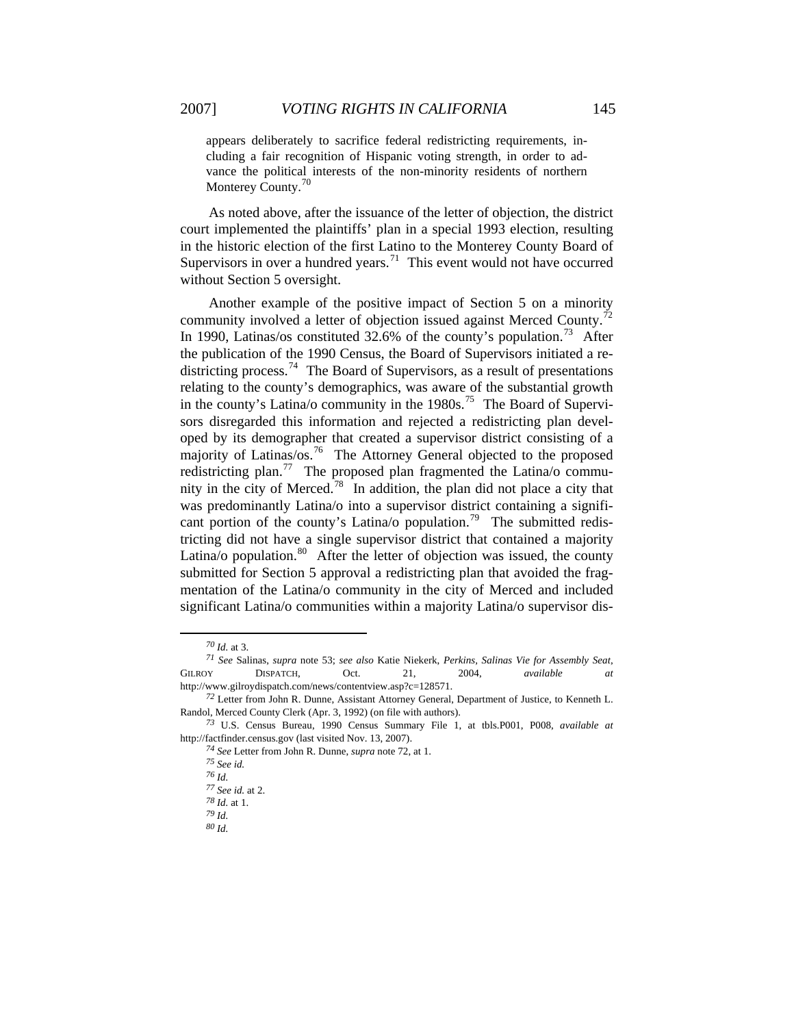appears deliberately to sacrifice federal redistricting requirements, including a fair recognition of Hispanic voting strength, in order to advance the political interests of the non-minority residents of northern Monterey County.<sup>[70](#page-14-0)</sup>

As noted above, after the issuance of the letter of objection, the district court implemented the plaintiffs' plan in a special 1993 election, resulting in the historic election of the first Latino to the Monterey County Board of Supervisors in over a hundred years.<sup>[71](#page-14-1)</sup> This event would not have occurred without Section 5 oversight.

significant Latina/o communities within a majority Latina/o supervisor dis- Another example of the positive impact of Section 5 on a minority community involved a letter of objection issued against Merced County.<sup>[72](#page-14-2)</sup> In 1990, Latinas/os constituted 32.6% of the county's population.<sup>[73](#page-14-3)</sup> After the publication of the 1990 Census, the Board of Supervisors initiated a re-districting process.<sup>[74](#page-14-4)</sup> The Board of Supervisors, as a result of presentations relating to the county's demographics, was aware of the substantial growth in the county's Latina/o community in the  $1980s$ .<sup>[75](#page-14-5)</sup> The Board of Supervisors disregarded this information and rejected a redistricting plan developed by its demographer that created a supervisor district consisting of a majority of Latinas/os.<sup>[76](#page-14-6)</sup> The Attorney General objected to the proposed redistricting plan.<sup>[77](#page-14-7)</sup> The proposed plan fragmented the Latina/o commu-nity in the city of Merced.<sup>[78](#page-14-8)</sup> In addition, the plan did not place a city that was predominantly Latina/o into a supervisor district containing a signifi-cant portion of the county's Latina/o population.<sup>[79](#page-14-9)</sup> The submitted redistricting did not have a single supervisor district that contained a majority Latina/o population. $80$  After the letter of objection was issued, the county submitted for Section 5 approval a redistricting plan that avoided the fragmentation of the Latina/o community in the city of Merced and included

*<sup>70</sup> Id.* at 3.

<span id="page-14-1"></span><span id="page-14-0"></span>*<sup>71</sup> See* Salinas, *supra* note 53; *see also* Katie Niekerk, *Perkins, Salinas Vie for Assembly Seat*, GILROY DISPATCH, Oct. 21, 2004, *available at* http://www.gilroydispatch.com/news/contentview.asp?c=128571.

<span id="page-14-2"></span>*<sup>72</sup>* Letter from John R. Dunne, Assistant Attorney General, Department of Justice, to Kenneth L. Randol, Merced County Clerk (Apr. 3, 1992) (on file with authors).

<span id="page-14-8"></span><span id="page-14-7"></span><span id="page-14-6"></span><span id="page-14-5"></span><span id="page-14-4"></span><span id="page-14-3"></span>*<sup>73</sup>* U.S. Census Bureau, 1990 Census Summary File 1, at tbls.P001, P008, *available at* http://factfinder.census.gov (last visited Nov. 13, 2007).

*<sup>74</sup> See* Letter from John R. Dunne, *supra* note 72, at 1.

*<sup>75</sup> See id.*

*<sup>76</sup> Id.*

*<sup>77</sup> See id.* at 2.

<span id="page-14-10"></span><span id="page-14-9"></span>*<sup>78</sup> Id.* at 1.

*<sup>79</sup> Id.*

*<sup>80</sup> Id.*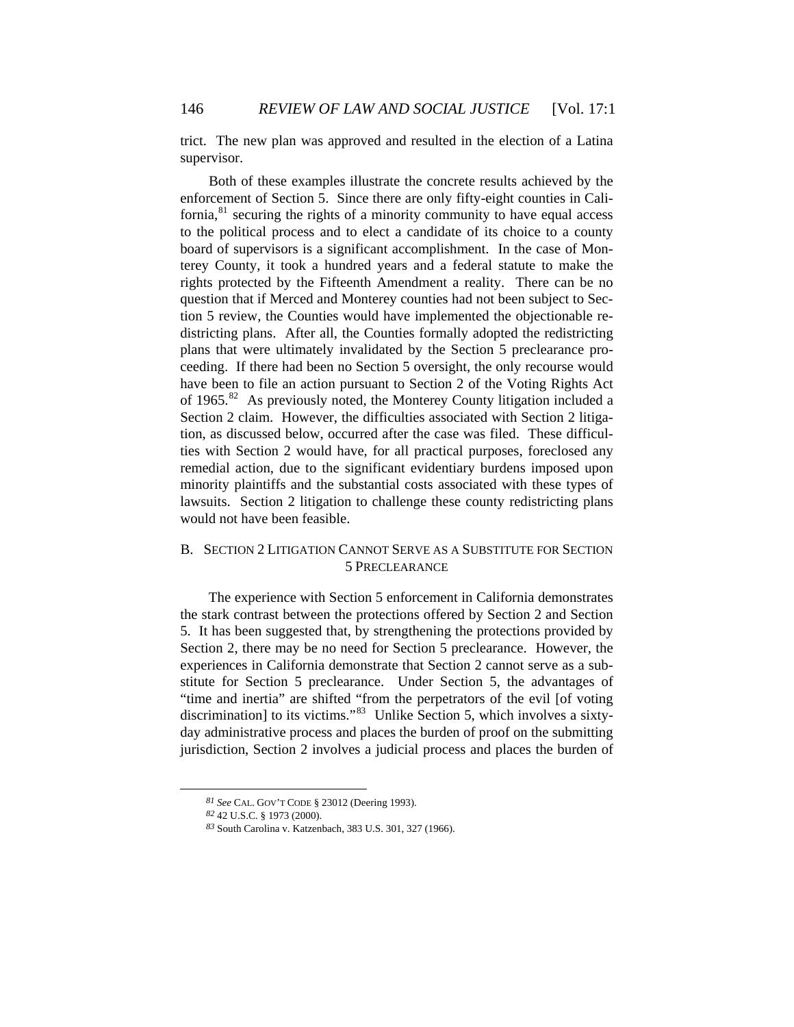trict. The new plan was approved and resulted in the election of a Latina supervisor.

Both of these examples illustrate the concrete results achieved by the enforcement of Section 5. Since there are only fifty-eight counties in California, $81$  securing the rights of a minority community to have equal access to the political process and to elect a candidate of its choice to a county board of supervisors is a significant accomplishment. In the case of Monterey County, it took a hundred years and a federal statute to make the rights protected by the Fifteenth Amendment a reality. There can be no question that if Merced and Monterey counties had not been subject to Section 5 review, the Counties would have implemented the objectionable redistricting plans. After all, the Counties formally adopted the redistricting plans that were ultimately invalidated by the Section 5 preclearance proceeding. If there had been no Section 5 oversight, the only recourse would have been to file an action pursuant to Section 2 of the Voting Rights Act of 1965.<sup>[82](#page-15-1)</sup> As previously noted, the Monterey County litigation included a Section 2 claim. However, the difficulties associated with Section 2 litigation, as discussed below, occurred after the case was filed. These difficulties with Section 2 would have, for all practical purposes, foreclosed any remedial action, due to the significant evidentiary burdens imposed upon minority plaintiffs and the substantial costs associated with these types of lawsuits. Section 2 litigation to challenge these county redistricting plans would not have been feasible.

# B. SECTION 2 LITIGATION CANNOT SERVE AS A SUBSTITUTE FOR SECTION 5 PRECLEARANCE

The experience with Section 5 enforcement in California demonstrates the stark contrast between the protections offered by Section 2 and Section 5. It has been suggested that, by strengthening the protections provided by Section 2, there may be no need for Section 5 preclearance. However, the experiences in California demonstrate that Section 2 cannot serve as a substitute for Section 5 preclearance. Under Section 5, the advantages of "time and inertia" are shifted "from the perpetrators of the evil [of voting discrimination] to its victims."<sup>[83](#page-15-2)</sup> Unlike Section 5, which involves a sixtyday administrative process and places the burden of proof on the submitting jurisdiction, Section 2 involves a judicial process and places the burden of

*<sup>81</sup> See* CAL. GOV'T CODE § 23012 (Deering 1993).

<span id="page-15-2"></span><span id="page-15-1"></span><span id="page-15-0"></span>*<sup>82</sup>* 42 U.S.C. § 1973 (2000).

*<sup>83</sup>* South Carolina v. Katzenbach, 383 U.S. 301, 327 (1966).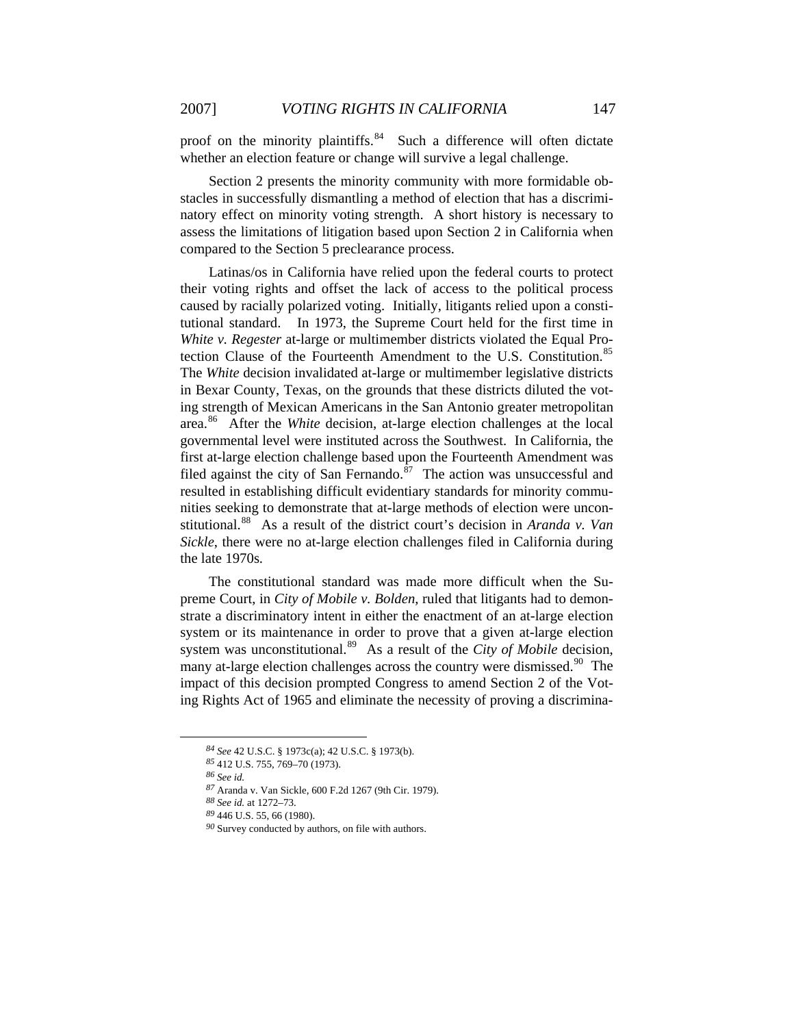proof on the minority plaintiffs.<sup>[84](#page-16-0)</sup> Such a difference will often dictate whether an election feature or change will survive a legal challenge.

Section 2 presents the minority community with more formidable obstacles in successfully dismantling a method of election that has a discriminatory effect on minority voting strength. A short history is necessary to assess the limitations of litigation based upon Section 2 in California when compared to the Section 5 preclearance process.

Latinas/os in California have relied upon the federal courts to protect their voting rights and offset the lack of access to the political process caused by racially polarized voting. Initially, litigants relied upon a constitutional standard. In 1973, the Supreme Court held for the first time in *White v. Regester* at-large or multimember districts violated the Equal Pro-tection Clause of the Fourteenth Amendment to the U.S. Constitution.<sup>[85](#page-16-1)</sup> The *White* decision invalidated at-large or multimember legislative districts in Bexar County, Texas, on the grounds that these districts diluted the voting strength of Mexican Americans in the San Antonio greater metropolitan area.[86](#page-16-2) After the *White* decision, at-large election challenges at the local governmental level were instituted across the Southwest. In California, the first at-large election challenge based upon the Fourteenth Amendment was filed against the city of San Fernando.<sup>[87](#page-16-3)</sup> The action was unsuccessful and resulted in establishing difficult evidentiary standards for minority communities seeking to demonstrate that at-large methods of election were unconstitutional.[88](#page-16-4) As a result of the district court's decision in *Aranda v. Van Sickle*, there were no at-large election challenges filed in California during the late 1970s.

The constitutional standard was made more difficult when the Supreme Court, in *City of Mobile v. Bolden*, ruled that litigants had to demonstrate a discriminatory intent in either the enactment of an at-large election system or its maintenance in order to prove that a given at-large election system was unconstitutional.<sup>[89](#page-16-5)</sup> As a result of the *City of Mobile* decision, many at-large election challenges across the country were dismissed.<sup>[90](#page-16-6)</sup> The impact of this decision prompted Congress to amend Section 2 of the Voting Rights Act of 1965 and eliminate the necessity of proving a discrimina-

<span id="page-16-0"></span>*<sup>84</sup> See* 42 U.S.C. § 1973c(a); 42 U.S.C. § 1973(b).

<span id="page-16-1"></span>*<sup>85</sup>* 412 U.S. 755, 769–70 (1973).

<span id="page-16-2"></span>*<sup>86</sup> See id.*

<span id="page-16-3"></span>*<sup>87</sup>* Aranda v. Van Sickle, 600 F.2d 1267 (9th Cir. 1979).

<span id="page-16-4"></span>*<sup>88</sup> See id.* at 1272–73.

<span id="page-16-6"></span><span id="page-16-5"></span>*<sup>89</sup>* 446 U.S. 55, 66 (1980).

*<sup>90</sup>* Survey conducted by authors, on file with authors.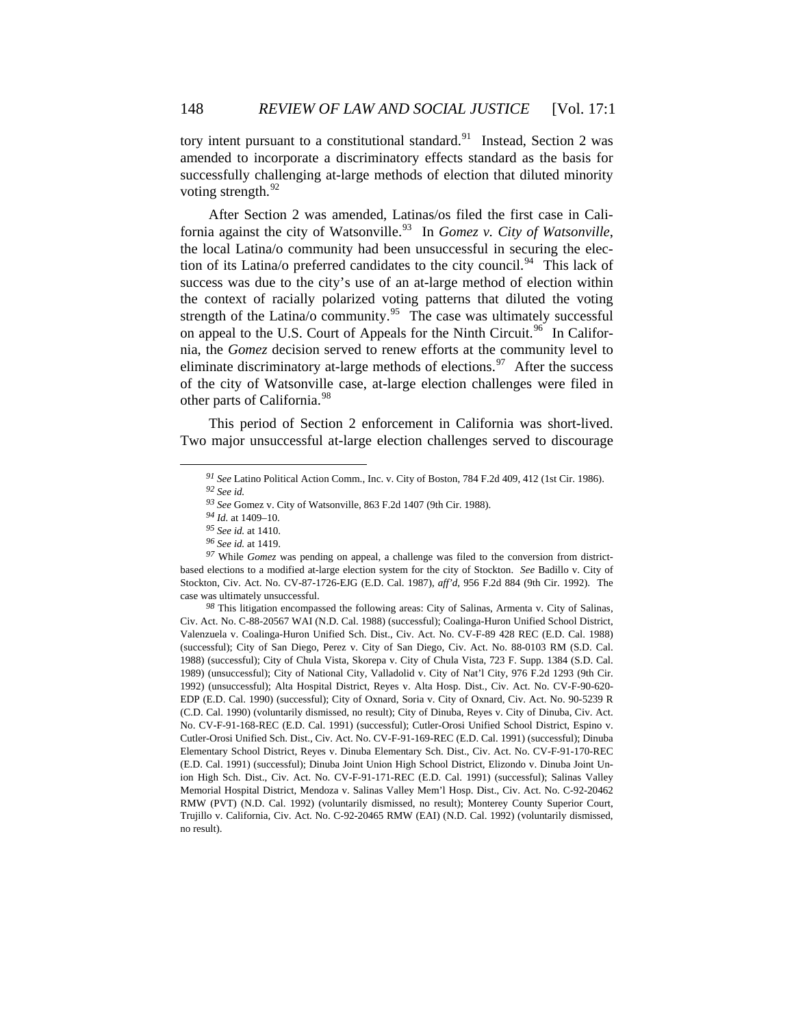tory intent pursuant to a constitutional standard.<sup>[91](#page-17-0)</sup> Instead, Section 2 was amended to incorporate a discriminatory effects standard as the basis for successfully challenging at-large methods of election that diluted minority voting strength. $92$ 

After Section 2 was amended, Latinas/os filed the first case in Cali-fornia against the city of Watsonville.<sup>[93](#page-17-2)</sup> In *Gomez v. City of Watsonville*, the local Latina/o community had been unsuccessful in securing the elec-tion of its Latina/o preferred candidates to the city council.<sup>[94](#page-17-3)</sup> This lack of success was due to the city's use of an at-large method of election within the context of racially polarized voting patterns that diluted the voting strength of the Latina/o community.<sup>[95](#page-17-4)</sup> The case was ultimately successful on appeal to the U.S. Court of Appeals for the Ninth Circuit.<sup>[96](#page-17-5)</sup> In California, the *Gomez* decision served to renew efforts at the community level to eliminate discriminatory at-large methods of elections.<sup>[97](#page-17-6)</sup> After the success of the city of Watsonville case, at-large election challenges were filed in other parts of California.<sup>[98](#page-17-7)</sup>

<span id="page-17-0"></span>This period of Section 2 enforcement in California was short-lived. Two major unsuccessful at-large election challenges served to discourage

*<sup>91</sup> See* Latino Political Action Comm., Inc. v. City of Boston, 784 F.2d 409, 412 (1st Cir. 1986). *<sup>92</sup> See id.*

*<sup>93</sup> See* Gomez v. City of Watsonville, 863 F.2d 1407 (9th Cir. 1988).

*<sup>94</sup> Id.* at 1409–10.

*<sup>95</sup> See id.* at 1410.

*<sup>96</sup> See id.* at 1419.

<span id="page-17-6"></span><span id="page-17-5"></span><span id="page-17-4"></span><span id="page-17-3"></span><span id="page-17-2"></span><span id="page-17-1"></span>*<sup>97</sup>* While *Gomez* was pending on appeal, a challenge was filed to the conversion from districtbased elections to a modified at-large election system for the city of Stockton. *See* Badillo v. City of Stockton, Civ. Act. No. CV-87-1726-EJG (E.D. Cal. 1987), *aff'd*, 956 F.2d 884 (9th Cir. 1992). The case was ultimately unsuccessful.

<span id="page-17-7"></span>*<sup>98</sup>* This litigation encompassed the following areas: City of Salinas, Armenta v. City of Salinas, Civ. Act. No. C-88-20567 WAI (N.D. Cal. 1988) (successful); Coalinga-Huron Unified School District, Valenzuela v. Coalinga-Huron Unified Sch. Dist., Civ. Act. No. CV-F-89 428 REC (E.D. Cal. 1988) (successful); City of San Diego, Perez v. City of San Diego, Civ. Act. No. 88-0103 RM (S.D. Cal. 1988) (successful); City of Chula Vista, Skorepa v. City of Chula Vista, 723 F. Supp. 1384 (S.D. Cal. 1989) (unsuccessful); City of National City, Valladolid v. City of Nat'l City, 976 F.2d 1293 (9th Cir. 1992) (unsuccessful); Alta Hospital District, Reyes v. Alta Hosp. Dist., Civ. Act. No. CV-F-90-620- EDP (E.D. Cal. 1990) (successful); City of Oxnard, Soria v. City of Oxnard, Civ. Act. No. 90-5239 R (C.D. Cal. 1990) (voluntarily dismissed, no result); City of Dinuba, Reyes v. City of Dinuba, Civ. Act. No. CV-F-91-168-REC (E.D. Cal. 1991) (successful); Cutler-Orosi Unified School District, Espino v. Cutler-Orosi Unified Sch. Dist., Civ. Act. No. CV-F-91-169-REC (E.D. Cal. 1991) (successful); Dinuba Elementary School District, Reyes v. Dinuba Elementary Sch. Dist., Civ. Act. No. CV-F-91-170-REC (E.D. Cal. 1991) (successful); Dinuba Joint Union High School District, Elizondo v. Dinuba Joint Union High Sch. Dist., Civ. Act. No. CV-F-91-171-REC (E.D. Cal. 1991) (successful); Salinas Valley Memorial Hospital District, Mendoza v. Salinas Valley Mem'l Hosp. Dist., Civ. Act. No. C-92-20462 RMW (PVT) (N.D. Cal. 1992) (voluntarily dismissed, no result); Monterey County Superior Court, Trujillo v. California, Civ. Act. No. C-92-20465 RMW (EAI) (N.D. Cal. 1992) (voluntarily dismissed, no result).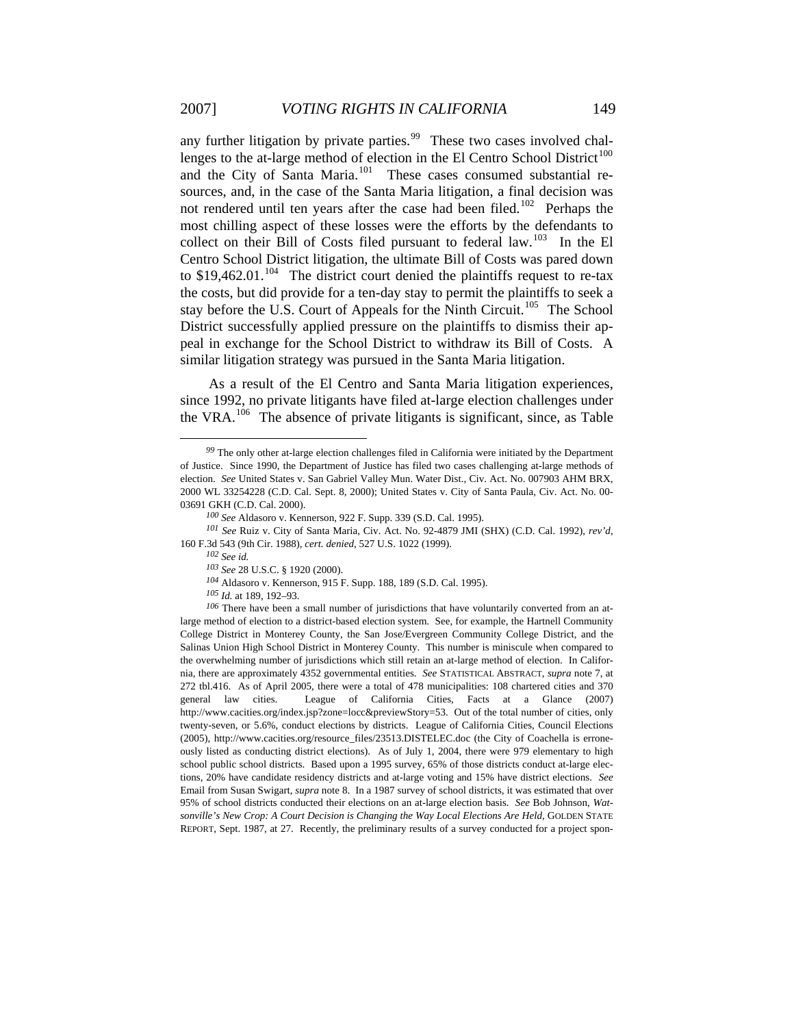any further litigation by private parties.<sup>[99](#page-18-0)</sup> These two cases involved chal-lenges to the at-large method of election in the El Centro School District<sup>[100](#page-18-1)</sup> and the City of Santa Maria.<sup>[101](#page-18-2)</sup> These cases consumed substantial resources, and, in the case of the Santa Maria litigation, a final decision was not rendered until ten years after the case had been filed.<sup>[102](#page-18-3)</sup> Perhaps the most chilling aspect of these losses were the efforts by the defendants to collect on their Bill of Costs filed pursuant to federal law.<sup>[103](#page-18-4)</sup> In the El Centro School District litigation, the ultimate Bill of Costs was pared down to  $$19,462.01$ .<sup>[104](#page-18-5)</sup> The district court denied the plaintiffs request to re-tax the costs, but did provide for a ten-day stay to permit the plaintiffs to seek a stay before the U.S. Court of Appeals for the Ninth Circuit.<sup>[105](#page-18-6)</sup> The School District successfully applied pressure on the plaintiffs to dismiss their appeal in exchange for the School District to withdraw its Bill of Costs. A similar litigation strategy was pursued in the Santa Maria litigation.

As a result of the El Centro and Santa Maria litigation experiences, since 1992, no private litigants have filed at-large election challenges under the VRA.[106](#page-18-7) The absence of private litigants is significant, since, as Table

<span id="page-18-0"></span>*<sup>99</sup>* The only other at-large election challenges filed in California were initiated by the Department of Justice. Since 1990, the Department of Justice has filed two cases challenging at-large methods of election. *See* United States v. San Gabriel Valley Mun. Water Dist., Civ. Act. No. 007903 AHM BRX, 2000 WL 33254228 (C.D. Cal. Sept. 8, 2000); United States v. City of Santa Paula, Civ. Act. No. 00- 03691 GKH (C.D. Cal. 2000).

*<sup>100</sup> See* Aldasoro v. Kennerson, 922 F. Supp. 339 (S.D. Cal. 1995).

<span id="page-18-4"></span><span id="page-18-3"></span><span id="page-18-2"></span><span id="page-18-1"></span>*<sup>101</sup> See* Ruiz v. City of Santa Maria, Civ. Act. No. 92-4879 JMI (SHX) (C.D. Cal. 1992), *rev'd*, 160 F.3d 543 (9th Cir. 1988), *cert. denied*, 527 U.S. 1022 (1999).

*<sup>102</sup> See id.*

*<sup>103</sup> See* 28 U.S.C. § 1920 (2000).

*<sup>104</sup>* Aldasoro v. Kennerson, 915 F. Supp. 188, 189 (S.D. Cal. 1995).

*<sup>105</sup> Id.* at 189, 192–93.

<span id="page-18-7"></span><span id="page-18-6"></span><span id="page-18-5"></span>*<sup>106</sup>* There have been a small number of jurisdictions that have voluntarily converted from an atlarge method of election to a district-based election system. See, for example, the Hartnell Community College District in Monterey County, the San Jose/Evergreen Community College District, and the Salinas Union High School District in Monterey County. This number is miniscule when compared to the overwhelming number of jurisdictions which still retain an at-large method of election. In California, there are approximately 4352 governmental entities. *See* STATISTICAL ABSTRACT, *supra* note 7, at 272 tbl.416. As of April 2005, there were a total of 478 municipalities: 108 chartered cities and 370 general law cities. League of California Cities, Facts at a Glance (2007) http://www.cacities.org/index.jsp?zone=locc&previewStory=53. Out of the total number of cities, only twenty-seven, or 5.6%, conduct elections by districts. League of California Cities, Council Elections (2005), http://www.cacities.org/resource\_files/23513.DISTELEC.doc (the City of Coachella is erroneously listed as conducting district elections). As of July 1, 2004, there were 979 elementary to high school public school districts. Based upon a 1995 survey, 65% of those districts conduct at-large elections, 20% have candidate residency districts and at-large voting and 15% have district elections. *See*  Email from Susan Swigart, *supra* note 8. In a 1987 survey of school districts, it was estimated that over 95% of school districts conducted their elections on an at-large election basis. *See* Bob Johnson, *Watsonville's New Crop: A Court Decision is Changing the Way Local Elections Are Held*, GOLDEN STATE REPORT, Sept. 1987, at 27. Recently, the preliminary results of a survey conducted for a project spon-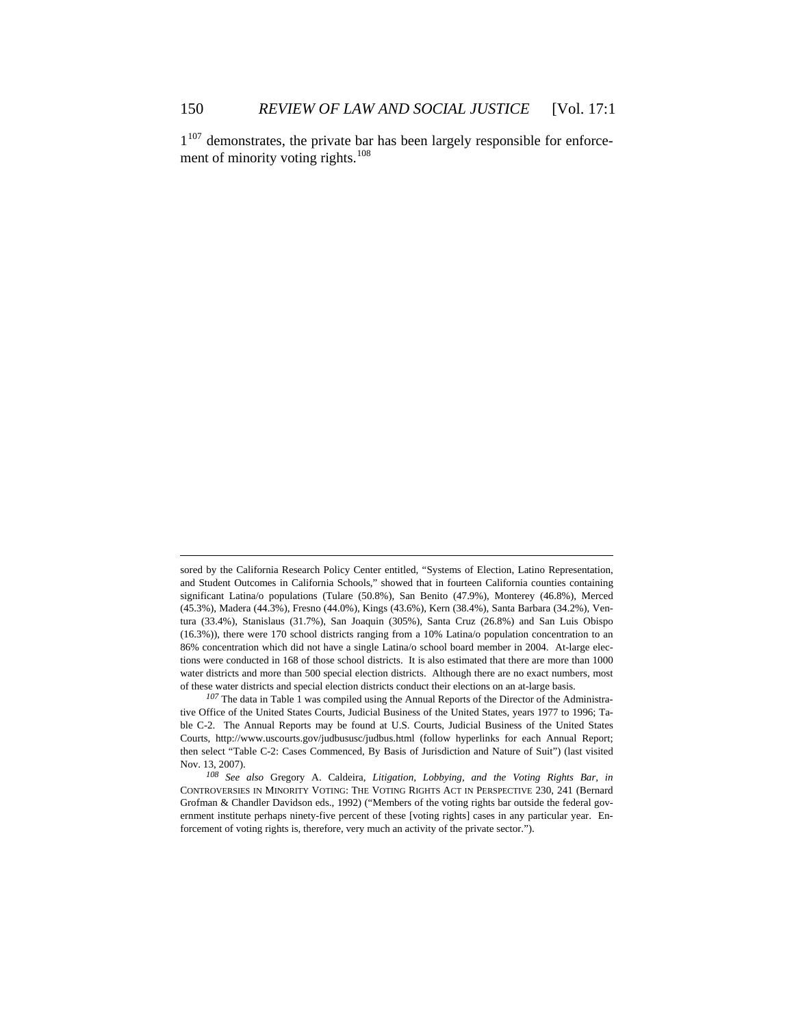$1^{107}$  $1^{107}$  $1^{107}$  demonstrates, the private bar has been largely responsible for enforcement of minority voting rights. $108$ 

<u>.</u>

sored by the California Research Policy Center entitled, "Systems of Election, Latino Representation, and Student Outcomes in California Schools," showed that in fourteen California counties containing significant Latina/o populations (Tulare (50.8%), San Benito (47.9%), Monterey (46.8%), Merced (45.3%), Madera (44.3%), Fresno (44.0%), Kings (43.6%), Kern (38.4%), Santa Barbara (34.2%), Ventura (33.4%), Stanislaus (31.7%), San Joaquin (305%), Santa Cruz (26.8%) and San Luis Obispo (16.3%)), there were 170 school districts ranging from a 10% Latina/o population concentration to an 86% concentration which did not have a single Latina/o school board member in 2004. At-large elections were conducted in 168 of those school districts. It is also estimated that there are more than 1000 water districts and more than 500 special election districts. Although there are no exact numbers, most of these water districts and special election districts conduct their elections on an at-large basis.

<span id="page-19-0"></span>*<sup>107</sup>* The data in Table 1 was compiled using the Annual Reports of the Director of the Administrative Office of the United States Courts, Judicial Business of the United States, years 1977 to 1996; Table C-2. The Annual Reports may be found at U.S. Courts, Judicial Business of the United States Courts, http://www.uscourts.gov/judbususc/judbus.html (follow hyperlinks for each Annual Report; then select "Table C-2: Cases Commenced, By Basis of Jurisdiction and Nature of Suit") (last visited Nov. 13, 2007).

<span id="page-19-1"></span>*<sup>108</sup> See also* Gregory A. Caldeira, *Litigation, Lobbying, and the Voting Rights Bar, in* CONTROVERSIES IN MINORITY VOTING: THE VOTING RIGHTS ACT IN PERSPECTIVE 230, 241 (Bernard Grofman & Chandler Davidson eds., 1992) ("Members of the voting rights bar outside the federal government institute perhaps ninety-five percent of these [voting rights] cases in any particular year. Enforcement of voting rights is, therefore, very much an activity of the private sector.").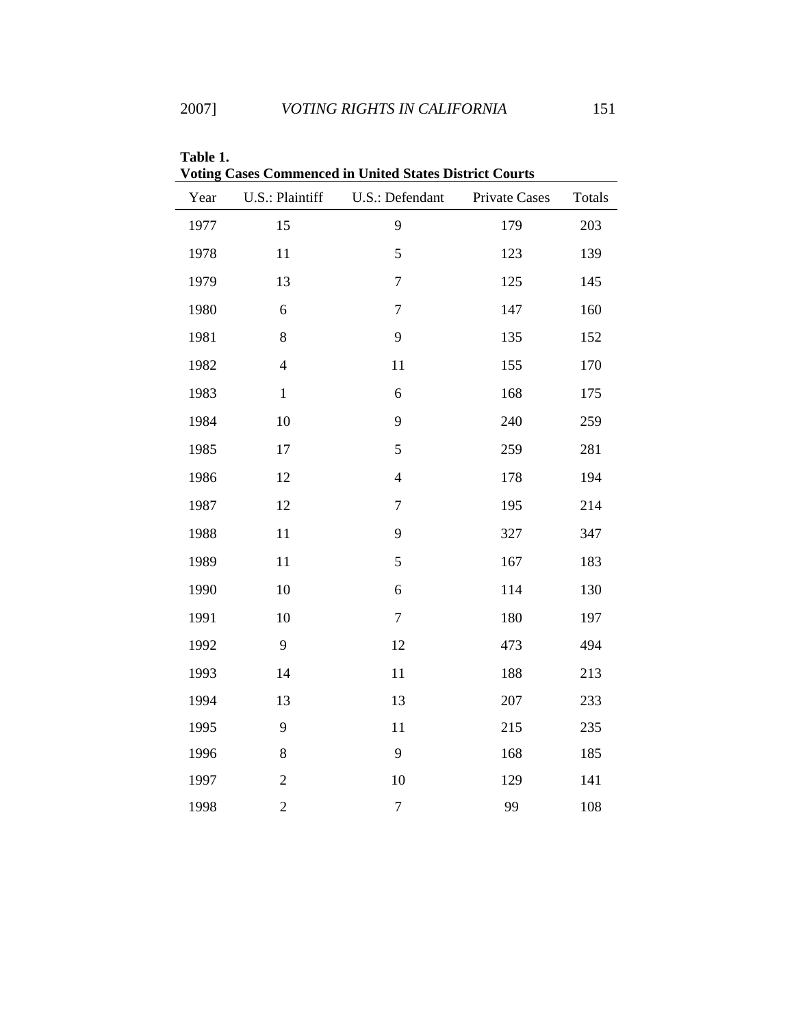| Year | U.S.: Plaintiff | U.S.: Defendant | Private Cases | Totals |
|------|-----------------|-----------------|---------------|--------|
| 1977 | 15              | 9               | 179           | 203    |
| 1978 | 11              | 5               | 123           | 139    |
| 1979 | 13              | $\tau$          | 125           | 145    |
| 1980 | 6               | $\tau$          | 147           | 160    |
| 1981 | 8               | 9               | 135           | 152    |
| 1982 | $\overline{4}$  | 11              | 155           | 170    |
| 1983 | $\,1$           | 6               | 168           | 175    |
| 1984 | 10              | 9               | 240           | 259    |
| 1985 | 17              | 5               | 259           | 281    |
| 1986 | 12              | $\overline{4}$  | 178           | 194    |
| 1987 | 12              | $\tau$          | 195           | 214    |
| 1988 | 11              | 9               | 327           | 347    |
| 1989 | 11              | 5               | 167           | 183    |
| 1990 | 10              | 6               | 114           | 130    |
| 1991 | 10              | $\overline{7}$  | 180           | 197    |
| 1992 | 9               | 12              | 473           | 494    |
| 1993 | 14              | 11              | 188           | 213    |
| 1994 | 13              | 13              | 207           | 233    |
| 1995 | 9               | 11              | 215           | 235    |
| 1996 | 8               | 9               | 168           | 185    |
| 1997 | $\overline{c}$  | 10              | 129           | 141    |
| 1998 | $\overline{c}$  | $\overline{7}$  | 99            | 108    |

**Table 1. Voting Cases Commenced in United States District Courts**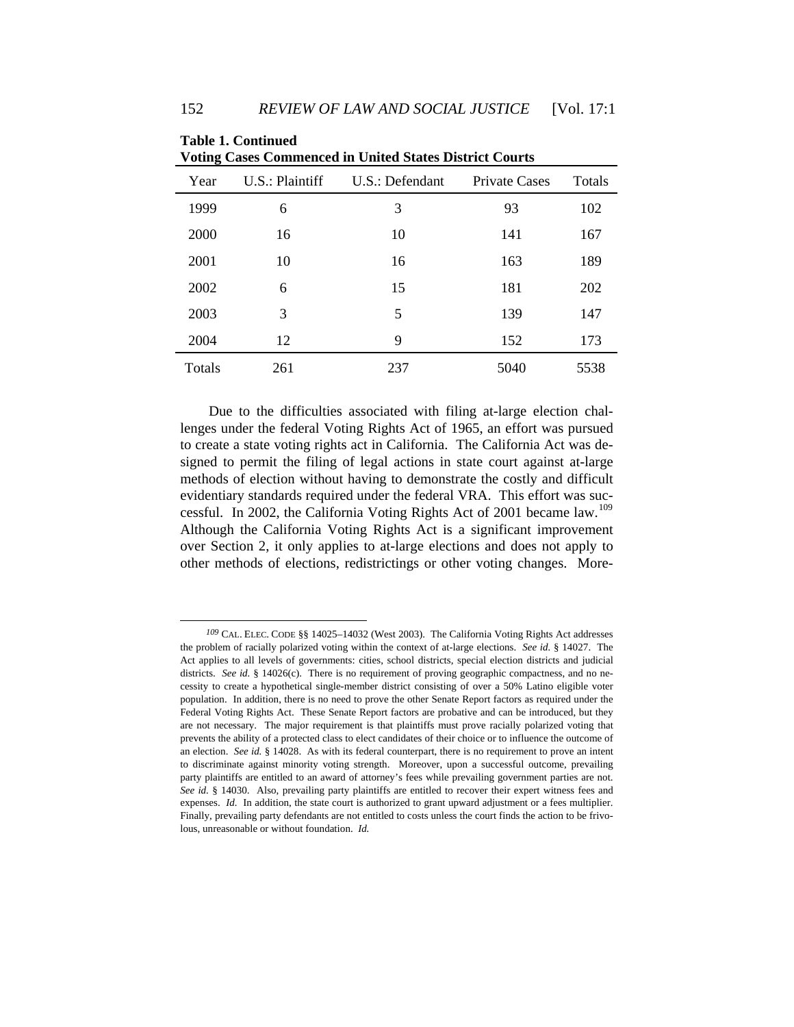| Voting Cases Commenced in United States District Courts |                 |                 |               |        |  |  |
|---------------------------------------------------------|-----------------|-----------------|---------------|--------|--|--|
| Year                                                    | U.S.: Plaintiff | U.S.: Defendant | Private Cases | Totals |  |  |
| 1999                                                    | 6               | 3               | 93            | 102    |  |  |
| 2000                                                    | 16              | 10              | 141           | 167    |  |  |
| 2001                                                    | 10              | 16              | 163           | 189    |  |  |
| 2002                                                    | 6               | 15              | 181           | 202    |  |  |
| 2003                                                    | 3               | 5               | 139           | 147    |  |  |
| 2004                                                    | 12              | 9               | 152           | 173    |  |  |
| Totals                                                  | 261             | 237             | 5040          | 5538   |  |  |

| <b>Table 1. Continued</b>                                      |
|----------------------------------------------------------------|
| <b>Voting Cases Commenced in United States District Courts</b> |
|                                                                |

Due to the difficulties associated with filing at-large election challenges under the federal Voting Rights Act of 1965, an effort was pursued to create a state voting rights act in California. The California Act was designed to permit the filing of legal actions in state court against at-large methods of election without having to demonstrate the costly and difficult evidentiary standards required under the federal VRA. This effort was suc-cessful. In 2002, the California Voting Rights Act of 2001 became law.<sup>[109](#page-21-0)</sup> Although the California Voting Rights Act is a significant improvement over Section 2, it only applies to at-large elections and does not apply to other methods of elections, redistrictings or other voting changes. More-

<span id="page-21-0"></span>*<sup>109</sup>* CAL. ELEC. CODE §§ 14025–14032 (West 2003). The California Voting Rights Act addresses the problem of racially polarized voting within the context of at-large elections. *See id.* § 14027. The Act applies to all levels of governments: cities, school districts, special election districts and judicial districts. *See id.* § 14026(c). There is no requirement of proving geographic compactness, and no necessity to create a hypothetical single-member district consisting of over a 50% Latino eligible voter population. In addition, there is no need to prove the other Senate Report factors as required under the Federal Voting Rights Act. These Senate Report factors are probative and can be introduced, but they are not necessary. The major requirement is that plaintiffs must prove racially polarized voting that prevents the ability of a protected class to elect candidates of their choice or to influence the outcome of an election. *See id.* § 14028. As with its federal counterpart, there is no requirement to prove an intent to discriminate against minority voting strength. Moreover, upon a successful outcome, prevailing party plaintiffs are entitled to an award of attorney's fees while prevailing government parties are not. See id. § 14030. Also, prevailing party plaintiffs are entitled to recover their expert witness fees and expenses. *Id.* In addition, the state court is authorized to grant upward adjustment or a fees multiplier. Finally, prevailing party defendants are not entitled to costs unless the court finds the action to be frivolous, unreasonable or without foundation. *Id.*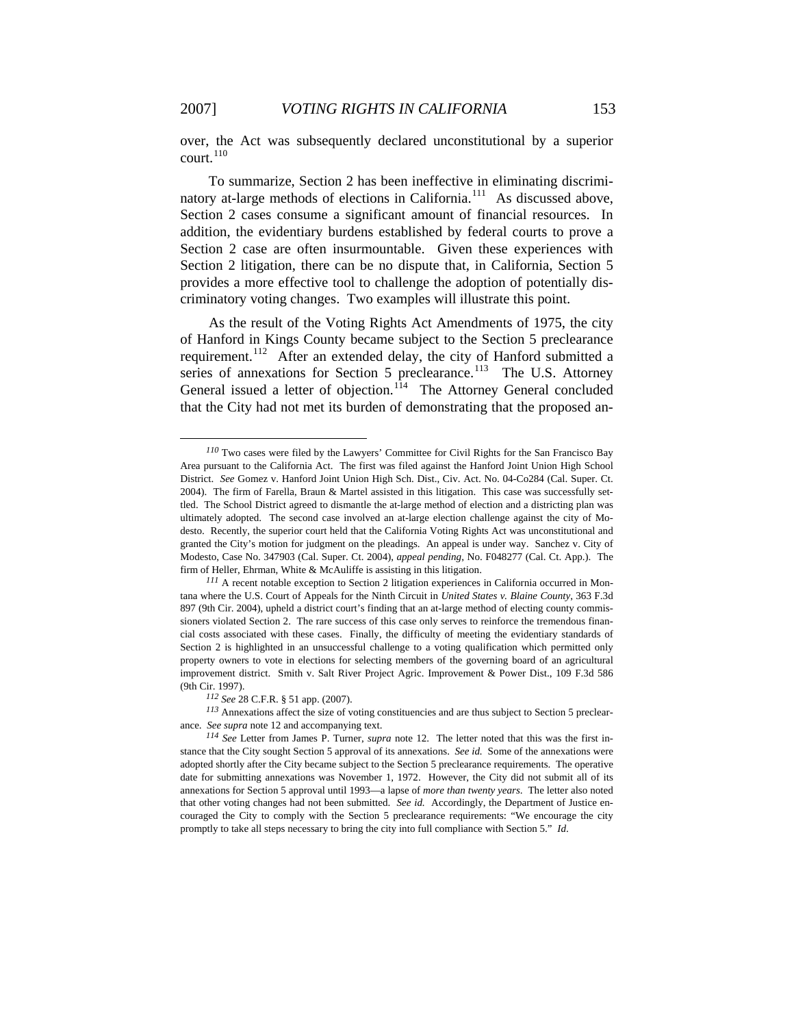over, the Act was subsequently declared unconstitutional by a superior court.<sup>[110](#page-22-0)</sup>

To summarize, Section 2 has been ineffective in eliminating discrimi-natory at-large methods of elections in California.<sup>[111](#page-22-1)</sup> As discussed above, Section 2 cases consume a significant amount of financial resources. In addition, the evidentiary burdens established by federal courts to prove a Section 2 case are often insurmountable. Given these experiences with Section 2 litigation, there can be no dispute that, in California, Section 5 provides a more effective tool to challenge the adoption of potentially discriminatory voting changes. Two examples will illustrate this point.

As the result of the Voting Rights Act Amendments of 1975, the city of Hanford in Kings County became subject to the Section 5 preclearance requirement.<sup>[112](#page-22-2)</sup> After an extended delay, the city of Hanford submitted a series of annexations for Section 5 preclearance.<sup>[113](#page-22-3)</sup> The U.S. Attorney General issued a letter of objection.<sup>[114](#page-22-4)</sup> The Attorney General concluded that the City had not met its burden of demonstrating that the proposed an-

<span id="page-22-0"></span>*<sup>110</sup>* Two cases were filed by the Lawyers' Committee for Civil Rights for the San Francisco Bay Area pursuant to the California Act. The first was filed against the Hanford Joint Union High School District. *See* Gomez v. Hanford Joint Union High Sch. Dist., Civ. Act. No. 04-Co284 (Cal. Super. Ct. 2004). The firm of Farella, Braun & Martel assisted in this litigation. This case was successfully settled. The School District agreed to dismantle the at-large method of election and a districting plan was ultimately adopted. The second case involved an at-large election challenge against the city of Modesto. Recently, the superior court held that the California Voting Rights Act was unconstitutional and granted the City's motion for judgment on the pleadings. An appeal is under way. Sanchez v. City of Modesto, Case No. 347903 (Cal. Super. Ct. 2004), *appeal pending*, No. F048277 (Cal. Ct. App.). The firm of Heller, Ehrman, White & McAuliffe is assisting in this litigation.

<span id="page-22-1"></span>*<sup>111</sup>* A recent notable exception to Section 2 litigation experiences in California occurred in Montana where the U.S. Court of Appeals for the Ninth Circuit in *United States v. Blaine County*, 363 F.3d 897 (9th Cir. 2004), upheld a district court's finding that an at-large method of electing county commissioners violated Section 2. The rare success of this case only serves to reinforce the tremendous financial costs associated with these cases. Finally, the difficulty of meeting the evidentiary standards of Section 2 is highlighted in an unsuccessful challenge to a voting qualification which permitted only property owners to vote in elections for selecting members of the governing board of an agricultural improvement district. Smith v. Salt River Project Agric. Improvement & Power Dist., 109 F.3d 586 (9th Cir. 1997).

*<sup>112</sup> See* 28 C.F.R. § 51 app. (2007).

<span id="page-22-3"></span><span id="page-22-2"></span>*<sup>113</sup>* Annexations affect the size of voting constituencies and are thus subject to Section 5 preclearance. *See supra* note 12 and accompanying text.

<span id="page-22-4"></span>*<sup>114</sup> See* Letter from James P. Turner, *supra* note 12. The letter noted that this was the first instance that the City sought Section 5 approval of its annexations. *See id.* Some of the annexations were adopted shortly after the City became subject to the Section 5 preclearance requirements. The operative date for submitting annexations was November 1, 1972. However, the City did not submit all of its annexations for Section 5 approval until 1993—a lapse of *more than twenty years*. The letter also noted that other voting changes had not been submitted. *See id.* Accordingly, the Department of Justice encouraged the City to comply with the Section 5 preclearance requirements: "We encourage the city promptly to take all steps necessary to bring the city into full compliance with Section 5." *Id*.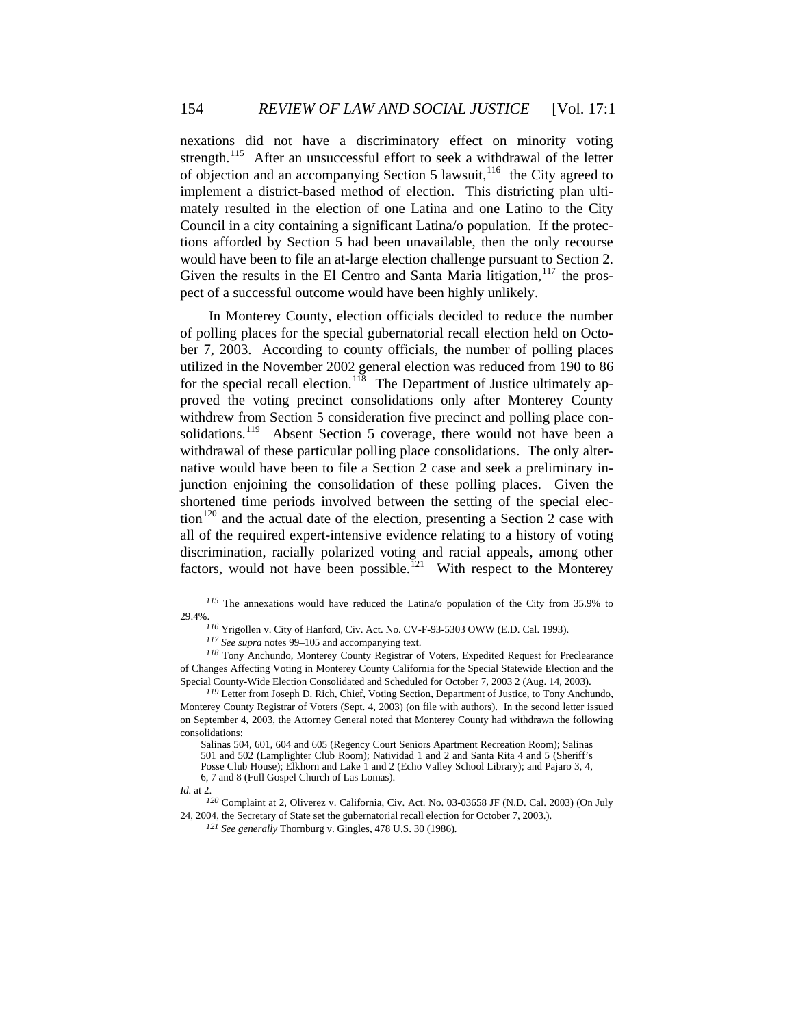nexations did not have a discriminatory effect on minority voting strength.<sup>[115](#page-23-0)</sup> After an unsuccessful effort to seek a withdrawal of the letter of objection and an accompanying Section 5 lawsuit,  $116$  the City agreed to implement a district-based method of election. This districting plan ultimately resulted in the election of one Latina and one Latino to the City Council in a city containing a significant Latina/o population. If the protections afforded by Section 5 had been unavailable, then the only recourse would have been to file an at-large election challenge pursuant to Section 2. Given the results in the El Centro and Santa Maria litigation,  $117$  the prospect of a successful outcome would have been highly unlikely.

In Monterey County, election officials decided to reduce the number of polling places for the special gubernatorial recall election held on October 7, 2003. According to county officials, the number of polling places utilized in the November 2002 general election was reduced from 190 to 86 for the special recall election.<sup>[118](#page-23-3)</sup> The Department of Justice ultimately approved the voting precinct consolidations only after Monterey County withdrew from Section 5 consideration five precinct and polling place con-solidations.<sup>[119](#page-23-4)</sup> Absent Section 5 coverage, there would not have been a withdrawal of these particular polling place consolidations. The only alternative would have been to file a Section 2 case and seek a preliminary injunction enjoining the consolidation of these polling places. Given the shortened time periods involved between the setting of the special elec- $\frac{120}{2}$  $\frac{120}{2}$  $\frac{120}{2}$  and the actual date of the election, presenting a Section 2 case with all of the required expert-intensive evidence relating to a history of voting discrimination, racially polarized voting and racial appeals, among other factors, would not have been possible.<sup>[121](#page-23-6)</sup> With respect to the Monterey

<span id="page-23-0"></span>*<sup>115</sup>* The annexations would have reduced the Latina/o population of the City from 35.9% to 29.4%.

*<sup>116</sup>* Yrigollen v. City of Hanford, Civ. Act. No. CV-F-93-5303 OWW (E.D. Cal. 1993).

*<sup>117</sup> See supra* notes 99–105 and accompanying text.

<span id="page-23-3"></span><span id="page-23-2"></span><span id="page-23-1"></span>*<sup>118</sup>* Tony Anchundo, Monterey County Registrar of Voters, Expedited Request for Preclearance of Changes Affecting Voting in Monterey County California for the Special Statewide Election and the Special County-Wide Election Consolidated and Scheduled for October 7, 2003 2 (Aug. 14, 2003).

<span id="page-23-4"></span>*<sup>119</sup>* Letter from Joseph D. Rich, Chief, Voting Section, Department of Justice, to Tony Anchundo, Monterey County Registrar of Voters (Sept. 4, 2003) (on file with authors). In the second letter issued on September 4, 2003, the Attorney General noted that Monterey County had withdrawn the following consolidations:

Salinas 504, 601, 604 and 605 (Regency Court Seniors Apartment Recreation Room); Salinas 501 and 502 (Lamplighter Club Room); Natividad 1 and 2 and Santa Rita 4 and 5 (Sheriff's Posse Club House); Elkhorn and Lake 1 and 2 (Echo Valley School Library); and Pajaro 3, 4, 6, 7 and 8 (Full Gospel Church of Las Lomas).

<span id="page-23-5"></span>*Id.* at 2.

<span id="page-23-6"></span>*<sup>120</sup>* Complaint at 2, Oliverez v. California, Civ. Act. No. 03-03658 JF (N.D. Cal. 2003) (On July 24, 2004, the Secretary of State set the gubernatorial recall election for October 7, 2003.).

*<sup>121</sup> See generally* Thornburg v. Gingles, 478 U.S. 30 (1986)*.*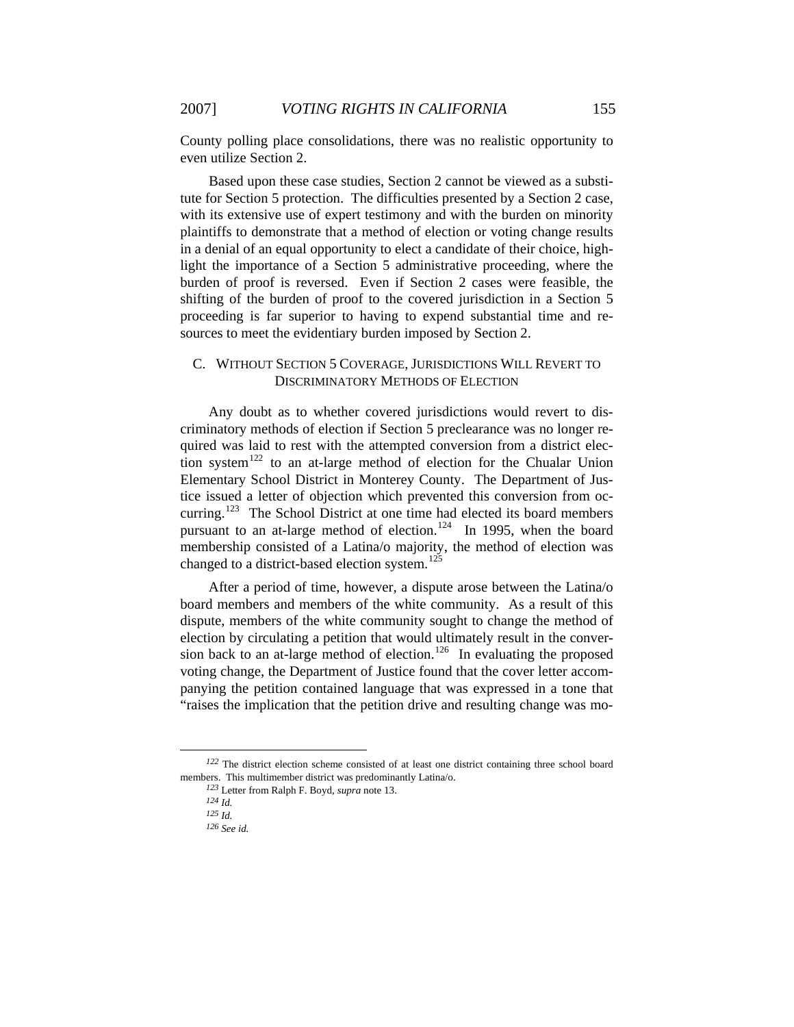County polling place consolidations, there was no realistic opportunity to even utilize Section 2.

Based upon these case studies, Section 2 cannot be viewed as a substitute for Section 5 protection. The difficulties presented by a Section 2 case, with its extensive use of expert testimony and with the burden on minority plaintiffs to demonstrate that a method of election or voting change results in a denial of an equal opportunity to elect a candidate of their choice, highlight the importance of a Section 5 administrative proceeding, where the burden of proof is reversed. Even if Section 2 cases were feasible, the shifting of the burden of proof to the covered jurisdiction in a Section 5 proceeding is far superior to having to expend substantial time and resources to meet the evidentiary burden imposed by Section 2.

# C. WITHOUT SECTION 5 COVERAGE, JURISDICTIONS WILL REVERT TO DISCRIMINATORY METHODS OF ELECTION

Any doubt as to whether covered jurisdictions would revert to discriminatory methods of election if Section 5 preclearance was no longer required was laid to rest with the attempted conversion from a district elec-tion system<sup>[122](#page-24-0)</sup> to an at-large method of election for the Chualar Union Elementary School District in Monterey County. The Department of Justice issued a letter of objection which prevented this conversion from oc-curring.<sup>[123](#page-24-1)</sup> The School District at one time had elected its board members pursuant to an at-large method of election.<sup>[124](#page-24-2)</sup> In 1995, when the board membership consisted of a Latina/o majority, the method of election was changed to a district-based election system.<sup>[125](#page-24-3)</sup>

After a period of time, however, a dispute arose between the Latina/o board members and members of the white community. As a result of this dispute, members of the white community sought to change the method of election by circulating a petition that would ultimately result in the conver-sion back to an at-large method of election.<sup>[126](#page-24-4)</sup> In evaluating the proposed voting change, the Department of Justice found that the cover letter accompanying the petition contained language that was expressed in a tone that "raises the implication that the petition drive and resulting change was mo-

<span id="page-24-4"></span><span id="page-24-3"></span><span id="page-24-2"></span><span id="page-24-1"></span><span id="page-24-0"></span>*<sup>122</sup>* The district election scheme consisted of at least one district containing three school board members. This multimember district was predominantly Latina/o.

*<sup>123</sup>* Letter from Ralph F. Boyd, *supra* note 13.

*<sup>124</sup> Id.*

*<sup>125</sup> Id.*

*<sup>126</sup> See id.*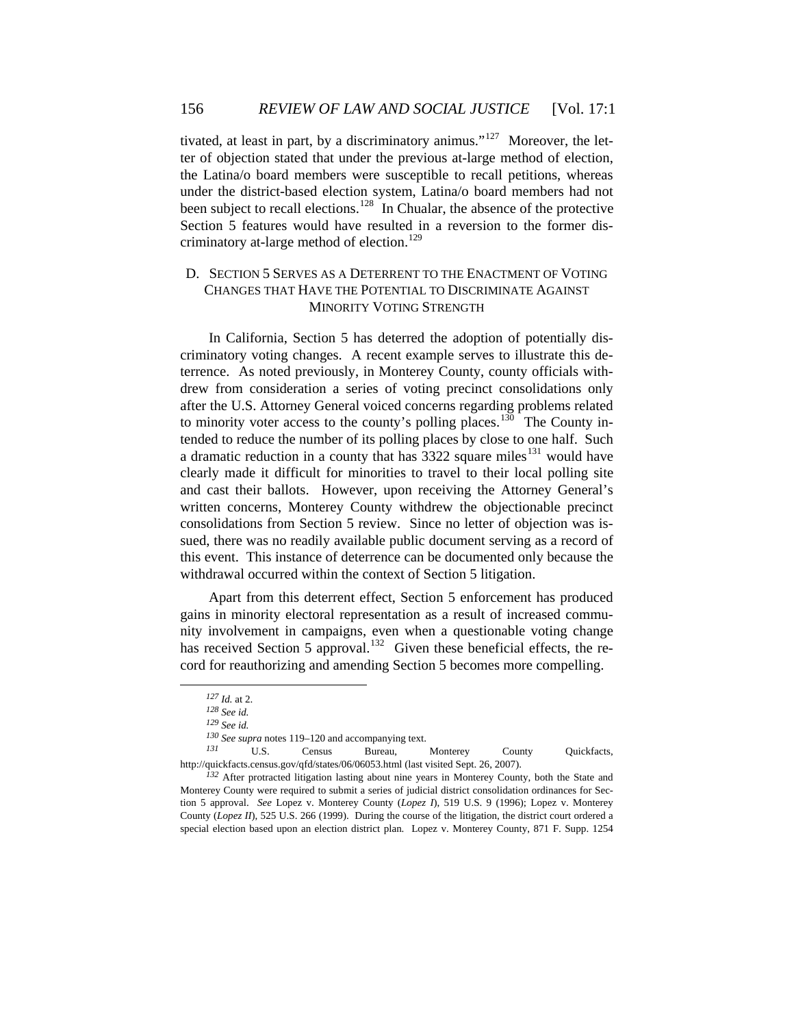tivated, at least in part, by a discriminatory animus."<sup>[127](#page-25-0)</sup> Moreover, the letter of objection stated that under the previous at-large method of election, the Latina/o board members were susceptible to recall petitions, whereas under the district-based election system, Latina/o board members had not been subject to recall elections.<sup>[128](#page-25-1)</sup> In Chualar, the absence of the protective Section 5 features would have resulted in a reversion to the former dis-criminatory at-large method of election.<sup>[129](#page-25-2)</sup>

# D. SECTION 5 SERVES AS A DETERRENT TO THE ENACTMENT OF VOTING CHANGES THAT HAVE THE POTENTIAL TO DISCRIMINATE AGAINST MINORITY VOTING STRENGTH

In California, Section 5 has deterred the adoption of potentially discriminatory voting changes. A recent example serves to illustrate this deterrence. As noted previously, in Monterey County, county officials withdrew from consideration a series of voting precinct consolidations only after the U.S. Attorney General voiced concerns regarding problems related to minority voter access to the county's polling places.<sup>[130](#page-25-3)</sup> The County intended to reduce the number of its polling places by close to one half. Such a dramatic reduction in a county that has  $3322$  square miles<sup>[131](#page-25-4)</sup> would have clearly made it difficult for minorities to travel to their local polling site and cast their ballots. However, upon receiving the Attorney General's written concerns, Monterey County withdrew the objectionable precinct consolidations from Section 5 review. Since no letter of objection was issued, there was no readily available public document serving as a record of this event. This instance of deterrence can be documented only because the withdrawal occurred within the context of Section 5 litigation.

Apart from this deterrent effect, Section 5 enforcement has produced gains in minority electoral representation as a result of increased community involvement in campaigns, even when a questionable voting change has received Section 5 approval.<sup>[132](#page-25-5)</sup> Given these beneficial effects, the record for reauthorizing and amending Section 5 becomes more compelling.

<span id="page-25-0"></span> $\overline{a}$ 

<span id="page-25-4"></span><span id="page-25-3"></span><span id="page-25-2"></span><span id="page-25-1"></span>*<sup>131</sup>* U.S. Census Bureau, Monterey County Quickfacts, http://quickfacts.census.gov/qfd/states/06/06053.html (last visited Sept. 26, 2007).

*<sup>127</sup> Id.* at 2.

*<sup>128</sup> See id.*

*<sup>129</sup> See id.*

*<sup>130</sup> See supra* notes 119–120 and accompanying text.

<span id="page-25-5"></span>*<sup>132</sup>* After protracted litigation lasting about nine years in Monterey County, both the State and Monterey County were required to submit a series of judicial district consolidation ordinances for Section 5 approval. *See* Lopez v. Monterey County (*Lopez I*), 519 U.S. 9 (1996); Lopez v. Monterey County (*Lopez II*), 525 U.S. 266 (1999). During the course of the litigation, the district court ordered a special election based upon an election district plan. Lopez v. Monterey County, 871 F. Supp. 1254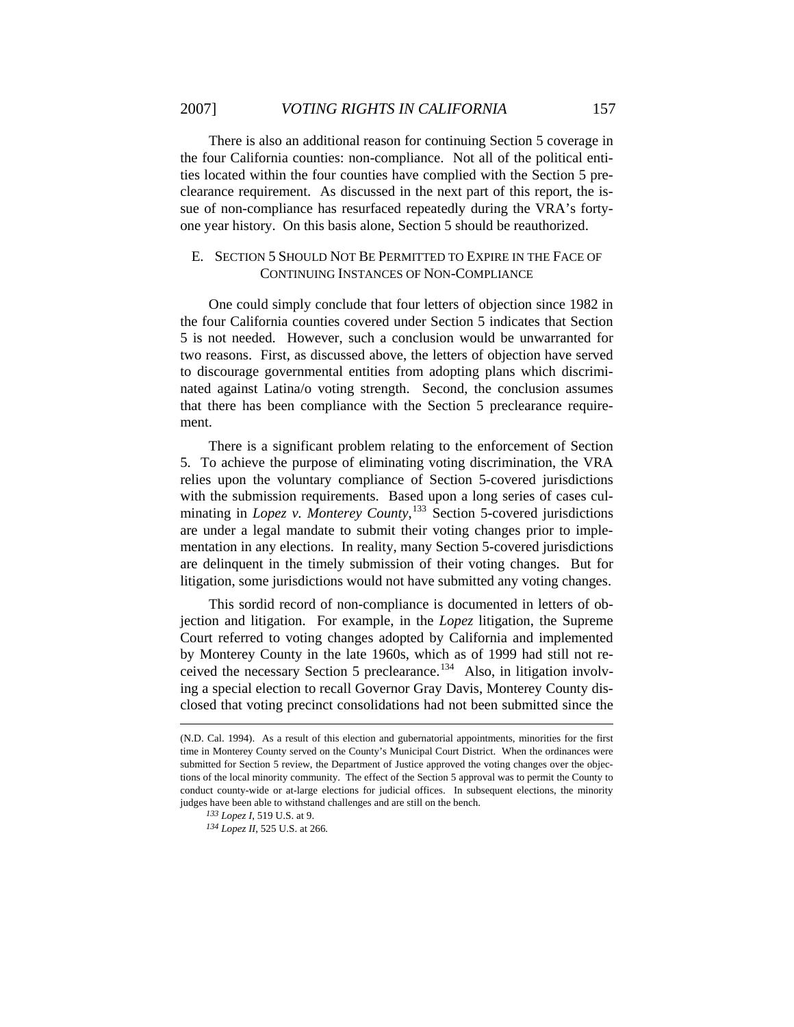There is also an additional reason for continuing Section 5 coverage in the four California counties: non-compliance. Not all of the political entities located within the four counties have complied with the Section 5 preclearance requirement. As discussed in the next part of this report, the issue of non-compliance has resurfaced repeatedly during the VRA's fortyone year history. On this basis alone, Section 5 should be reauthorized.

# E. SECTION 5 SHOULD NOT BE PERMITTED TO EXPIRE IN THE FACE OF CONTINUING INSTANCES OF NON-COMPLIANCE

One could simply conclude that four letters of objection since 1982 in the four California counties covered under Section 5 indicates that Section 5 is not needed. However, such a conclusion would be unwarranted for two reasons. First, as discussed above, the letters of objection have served to discourage governmental entities from adopting plans which discriminated against Latina/o voting strength. Second, the conclusion assumes that there has been compliance with the Section 5 preclearance requirement.

There is a significant problem relating to the enforcement of Section 5. To achieve the purpose of eliminating voting discrimination, the VRA relies upon the voluntary compliance of Section 5-covered jurisdictions with the submission requirements. Based upon a long series of cases culminating in *Lopez v. Monterey County*, [133](#page-26-0) Section 5-covered jurisdictions are under a legal mandate to submit their voting changes prior to implementation in any elections. In reality, many Section 5-covered jurisdictions are delinquent in the timely submission of their voting changes. But for litigation, some jurisdictions would not have submitted any voting changes.

This sordid record of non-compliance is documented in letters of objection and litigation. For example, in the *Lopez* litigation, the Supreme Court referred to voting changes adopted by California and implemented by Monterey County in the late 1960s, which as of 1999 had still not re-ceived the necessary Section 5 preclearance.<sup>[134](#page-26-1)</sup> Also, in litigation involving a special election to recall Governor Gray Davis, Monterey County disclosed that voting precinct consolidations had not been submitted since the

1

<span id="page-26-1"></span><span id="page-26-0"></span><sup>(</sup>N.D. Cal. 1994). As a result of this election and gubernatorial appointments, minorities for the first time in Monterey County served on the County's Municipal Court District. When the ordinances were submitted for Section 5 review, the Department of Justice approved the voting changes over the objections of the local minority community. The effect of the Section 5 approval was to permit the County to conduct county-wide or at-large elections for judicial offices. In subsequent elections, the minority judges have been able to withstand challenges and are still on the bench.

*<sup>133</sup> Lopez I*, 519 U.S. at 9.

*<sup>134</sup> Lopez II*, 525 U.S. at 266*.*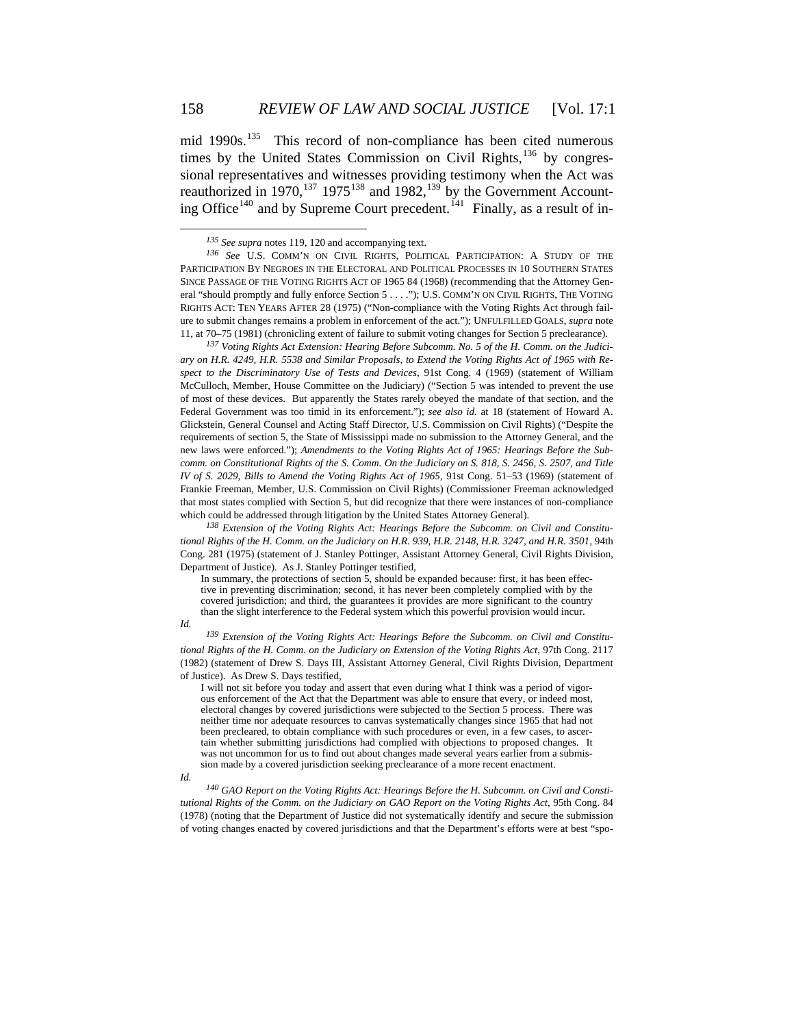mid 1990s.<sup>[135](#page-27-0)</sup> This record of non-compliance has been cited numerous times by the United States Commission on Civil Rights, $136$  by congressional representatives and witnesses providing testimony when the Act was reauthorized in 1970,<sup>[137](#page-27-2)</sup> 1975<sup>[138](#page-27-3)</sup> and 1982,<sup>[139](#page-27-4)</sup> by the Government Account-ing Office<sup>[140](#page-27-5)</sup> and by Supreme Court precedent.<sup>[141](#page-27-6)</sup> Finally, as a result of in-

<span id="page-27-2"></span>*<sup>137</sup> Voting Rights Act Extension: Hearing Before Subcomm. No. 5 of the H. Comm. on the Judiciary on H.R. 4249, H.R. 5538 and Similar Proposals, to Extend the Voting Rights Act of 1965 with Respect to the Discriminatory Use of Tests and Devices*, 91st Cong. 4 (1969) (statement of William McCulloch, Member, House Committee on the Judiciary) ("Section 5 was intended to prevent the use of most of these devices. But apparently the States rarely obeyed the mandate of that section, and the Federal Government was too timid in its enforcement."); *see also id.* at 18 (statement of Howard A. Glickstein, General Counsel and Acting Staff Director, U.S. Commission on Civil Rights) ("Despite the requirements of section 5, the State of Mississippi made no submission to the Attorney General, and the new laws were enforced."); *Amendments to the Voting Rights Act of 1965: Hearings Before the Subcomm. on Constitutional Rights of the S. Comm. On the Judiciary on S. 818, S. 2456, S. 2507, and Title IV of S. 2029, Bills to Amend the Voting Rights Act of 1965*, 91st Cong. 51–53 (1969) (statement of Frankie Freeman, Member, U.S. Commission on Civil Rights) (Commissioner Freeman acknowledged that most states complied with Section 5, but did recognize that there were instances of non-compliance which could be addressed through litigation by the United States Attorney General).

<span id="page-27-3"></span>*<sup>138</sup> Extension of the Voting Rights Act: Hearings Before the Subcomm. on Civil and Constitutional Rights of the H. Comm. on the Judiciary on H.R. 939, H.R. 2148, H.R. 3247, and H.R. 3501*, 94th Cong. 281 (1975) (statement of J. Stanley Pottinger, Assistant Attorney General, Civil Rights Division, Department of Justice). As J. Stanley Pottinger testified,

In summary, the protections of section  $\overline{5}$ , should be expanded because: first, it has been effective in preventing discrimination; second, it has never been completely complied with by the covered jurisdiction; and third, the guarantees it provides are more significant to the country than the slight interference to the Federal system which this powerful provision would incur.

 $\overline{a}$ 

<span id="page-27-6"></span><span id="page-27-4"></span>*Id. 139 Extension of the Voting Rights Act: Hearings Before the Subcomm. on Civil and Constitutional Rights of the H. Comm. on the Judiciary on Extension of the Voting Rights Act*, 97th Cong. 2117 (1982) (statement of Drew S. Days III, Assistant Attorney General, Civil Rights Division, Department of Justice). As Drew S. Days testified,

I will not sit before you today and assert that even during what I think was a period of vigorous enforcement of the Act that the Department was able to ensure that every, or indeed most, electoral changes by covered jurisdictions were subjected to the Section 5 process. There was neither time nor adequate resources to canvas systematically changes since 1965 that had not been precleared, to obtain compliance with such procedures or even, in a few cases, to ascertain whether submitting jurisdictions had complied with objections to proposed changes. It was not uncommon for us to find out about changes made several years earlier from a submission made by a covered jurisdiction seeking preclearance of a more recent enactment.

<span id="page-27-5"></span>*Id. 140 GAO Report on the Voting Rights Act: Hearings Before the H. Subcomm. on Civil and Constitutional Rights of the Comm. on the Judiciary on GAO Report on the Voting Rights Act*, 95th Cong. 84 (1978) (noting that the Department of Justice did not systematically identify and secure the submission of voting changes enacted by covered jurisdictions and that the Department's efforts were at best "spo-

*<sup>135</sup> See supra* notes 119, 120 and accompanying text.

<span id="page-27-1"></span><span id="page-27-0"></span>*<sup>136</sup> See* U.S. COMM'N ON CIVIL RIGHTS, POLITICAL PARTICIPATION: A STUDY OF THE PARTICIPATION BY NEGROES IN THE ELECTORAL AND POLITICAL PROCESSES IN 10 SOUTHERN STATES SINCE PASSAGE OF THE VOTING RIGHTS ACT OF 1965 84 (1968) (recommending that the Attorney General "should promptly and fully enforce Section 5 . . . ."); U.S. COMM'N ON CIVIL RIGHTS, THE VOTING RIGHTS ACT: TEN YEARS AFTER 28 (1975) ("Non-compliance with the Voting Rights Act through failure to submit changes remains a problem in enforcement of the act."); UNFULFILLED GOALS, *supra* note 11, at 70–75 (1981) (chronicling extent of failure to submit voting changes for Section 5 preclearance).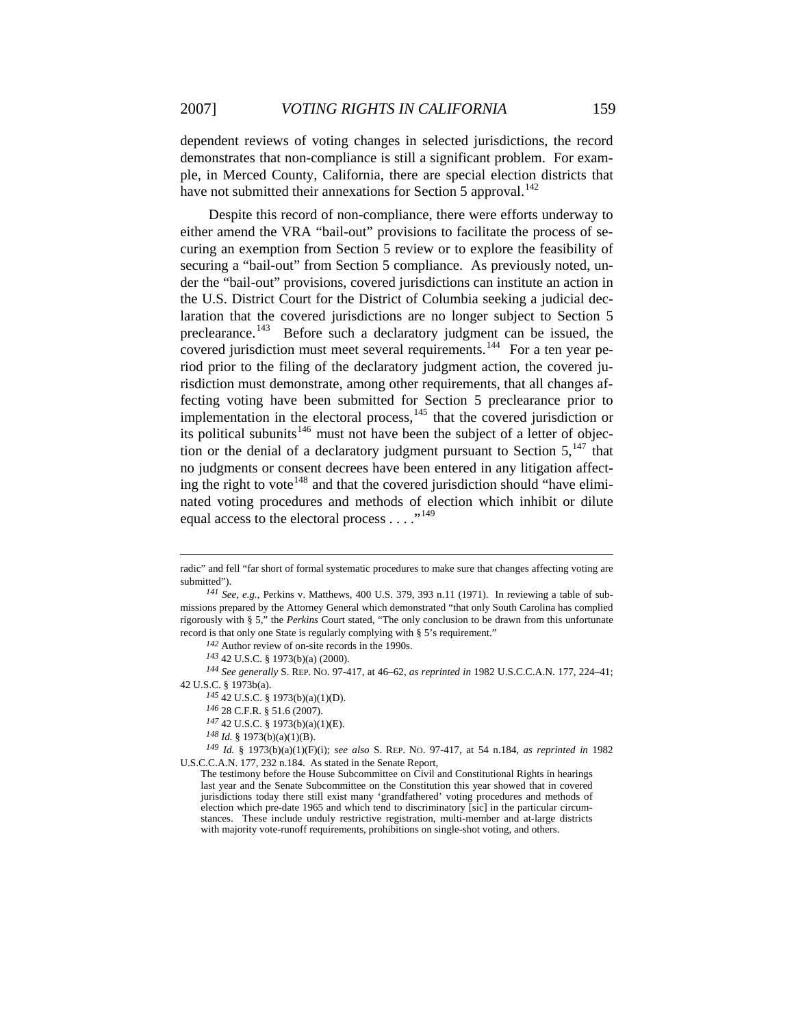dependent reviews of voting changes in selected jurisdictions, the record demonstrates that non-compliance is still a significant problem. For example, in Merced County, California, there are special election districts that have not submitted their annexations for Section 5 approval.<sup>[142](#page-28-0)</sup>

Despite this record of non-compliance, there were efforts underway to either amend the VRA "bail-out" provisions to facilitate the process of securing an exemption from Section 5 review or to explore the feasibility of securing a "bail-out" from Section 5 compliance. As previously noted, under the "bail-out" provisions, covered jurisdictions can institute an action in the U.S. District Court for the District of Columbia seeking a judicial declaration that the covered jurisdictions are no longer subject to Section 5 preclearance.<sup>[143](#page-28-1)</sup> Before such a declaratory judgment can be issued, the covered jurisdiction must meet several requirements.<sup>[144](#page-28-2)</sup> For a ten year period prior to the filing of the declaratory judgment action, the covered jurisdiction must demonstrate, among other requirements, that all changes affecting voting have been submitted for Section 5 preclearance prior to implementation in the electoral process,<sup>[145](#page-28-3)</sup> that the covered jurisdiction or its political subunits<sup>[146](#page-28-4)</sup> must not have been the subject of a letter of objection or the denial of a declaratory judgment pursuant to Section  $5<sup>147</sup>$  $5<sup>147</sup>$  $5<sup>147</sup>$ , that no judgments or consent decrees have been entered in any litigation affect-ing the right to vote<sup>[148](#page-28-6)</sup> and that the covered jurisdiction should "have eliminated voting procedures and methods of election which inhibit or dilute equal access to the electoral process . . . . "<sup>[149](#page-28-7)</sup>

*<sup>142</sup>* Author review of on-site records in the 1990s.

1

radic" and fell "far short of formal systematic procedures to make sure that changes affecting voting are submitted").

*<sup>141</sup> See, e.g.*, Perkins v. Matthews, 400 U.S. 379, 393 n.11 (1971). In reviewing a table of submissions prepared by the Attorney General which demonstrated "that only South Carolina has complied rigorously with § 5," the *Perkins* Court stated, "The only conclusion to be drawn from this unfortunate record is that only one State is regularly complying with § 5's requirement."

*<sup>143</sup>* 42 U.S.C. § 1973(b)(a) (2000).

<span id="page-28-3"></span><span id="page-28-2"></span><span id="page-28-1"></span><span id="page-28-0"></span>*<sup>144</sup> See generally* S. REP. NO. 97-417, at 46–62, *as reprinted in* 1982 U.S.C.C.A.N. 177, 224–41; 42 U.S.C. § 1973b(a).

*<sup>145</sup>* 42 U.S.C. § 1973(b)(a)(1)(D).

*<sup>146</sup>* 28 C.F.R. § 51.6 (2007).

*<sup>147</sup>* 42 U.S.C. § 1973(b)(a)(1)(E).

*<sup>148</sup> Id.* § 1973(b)(a)(1)(B).

<span id="page-28-7"></span><span id="page-28-6"></span><span id="page-28-5"></span><span id="page-28-4"></span>*<sup>149</sup> Id.* § 1973(b)(a)(1)(F)(i); *see also* S. REP. NO. 97-417, at 54 n.184, *as reprinted in* 1982 U.S.C.C.A.N. 177, 232 n.184. As stated in the Senate Report,

The testimony before the House Subcommittee on Civil and Constitutional Rights in hearings last year and the Senate Subcommittee on the Constitution this year showed that in covered jurisdictions today there still exist many 'grandfathered' voting procedures and methods of election which pre-date 1965 and which tend to discriminatory [sic] in the particular circumstances. These include unduly restrictive registration, multi-member and at-large districts with majority vote-runoff requirements, prohibitions on single-shot voting, and others.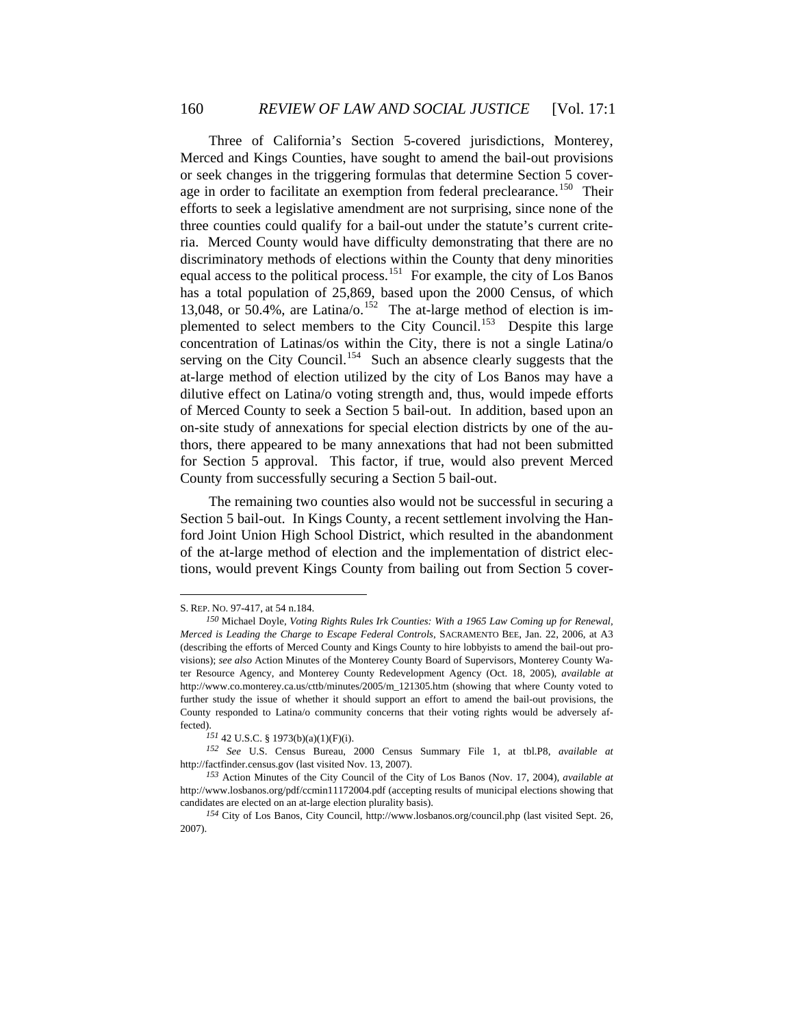Three of California's Section 5-covered jurisdictions, Monterey, Merced and Kings Counties, have sought to amend the bail-out provisions or seek changes in the triggering formulas that determine Section 5 cover-age in order to facilitate an exemption from federal preclearance.<sup>[150](#page-29-0)</sup> Their efforts to seek a legislative amendment are not surprising, since none of the three counties could qualify for a bail-out under the statute's current criteria. Merced County would have difficulty demonstrating that there are no discriminatory methods of elections within the County that deny minorities equal access to the political process.<sup>[151](#page-29-1)</sup> For example, the city of Los Banos has a total population of 25,869, based upon the 2000 Census, of which 13,048, or 50.4%, are Latina/o.<sup>[152](#page-29-2)</sup> The at-large method of election is im-plemented to select members to the City Council.<sup>[153](#page-29-3)</sup> Despite this large concentration of Latinas/os within the City, there is not a single Latina/o serving on the City Council.<sup>[154](#page-29-4)</sup> Such an absence clearly suggests that the at-large method of election utilized by the city of Los Banos may have a dilutive effect on Latina/o voting strength and, thus, would impede efforts of Merced County to seek a Section 5 bail-out. In addition, based upon an on-site study of annexations for special election districts by one of the authors, there appeared to be many annexations that had not been submitted for Section 5 approval. This factor, if true, would also prevent Merced County from successfully securing a Section 5 bail-out.

The remaining two counties also would not be successful in securing a Section 5 bail-out. In Kings County, a recent settlement involving the Hanford Joint Union High School District, which resulted in the abandonment of the at-large method of election and the implementation of district elections, would prevent Kings County from bailing out from Section 5 cover-

<span id="page-29-0"></span>S. REP. NO. 97-417, at 54 n.184.

*<sup>150</sup>* Michael Doyle, *Voting Rights Rules Irk Counties: With a 1965 Law Coming up for Renewal, Merced is Leading the Charge to Escape Federal Controls*, SACRAMENTO BEE, Jan. 22, 2006, at A3 (describing the efforts of Merced County and Kings County to hire lobbyists to amend the bail-out provisions); *see also* Action Minutes of the Monterey County Board of Supervisors, Monterey County Water Resource Agency, and Monterey County Redevelopment Agency (Oct. 18, 2005), *available at* http://www.co.monterey.ca.us/cttb/minutes/2005/m\_121305.htm (showing that where County voted to further study the issue of whether it should support an effort to amend the bail-out provisions, the County responded to Latina/o community concerns that their voting rights would be adversely affected).

*<sup>151</sup>* 42 U.S.C. § 1973(b)(a)(1)(F)(i).

<span id="page-29-2"></span><span id="page-29-1"></span>*<sup>152</sup> See* U.S. Census Bureau, 2000 Census Summary File 1, at tbl.P8, *available at* http://factfinder.census.gov (last visited Nov. 13, 2007).

<span id="page-29-3"></span>*<sup>153</sup>* Action Minutes of the City Council of the City of Los Banos (Nov. 17, 2004), *available at* http://www.losbanos.org/pdf/ccmin11172004.pdf (accepting results of municipal elections showing that candidates are elected on an at-large election plurality basis).

<span id="page-29-4"></span>*<sup>154</sup>* City of Los Banos, City Council, http://www.losbanos.org/council.php (last visited Sept. 26, 2007).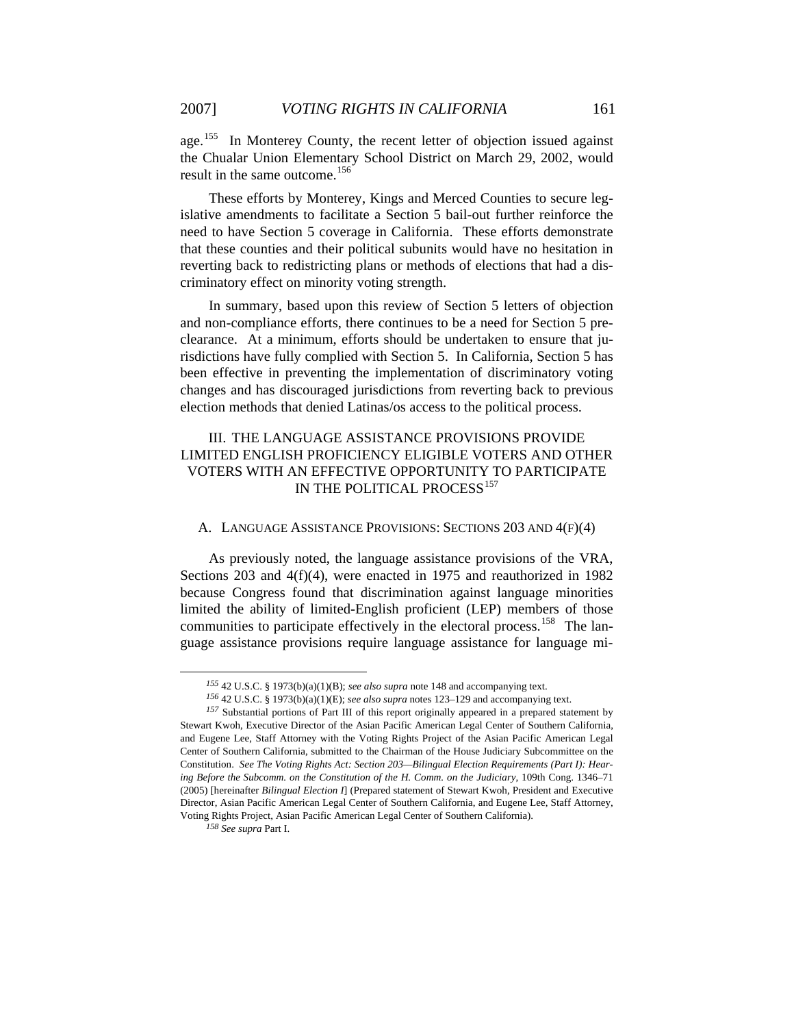age.<sup>[155](#page-30-0)</sup> In Monterey County, the recent letter of objection issued against the Chualar Union Elementary School District on March 29, 2002, would result in the same outcome.<sup>[156](#page-30-1)</sup>

These efforts by Monterey, Kings and Merced Counties to secure legislative amendments to facilitate a Section 5 bail-out further reinforce the need to have Section 5 coverage in California. These efforts demonstrate that these counties and their political subunits would have no hesitation in reverting back to redistricting plans or methods of elections that had a discriminatory effect on minority voting strength.

In summary, based upon this review of Section 5 letters of objection and non-compliance efforts, there continues to be a need for Section 5 preclearance. At a minimum, efforts should be undertaken to ensure that jurisdictions have fully complied with Section 5. In California, Section 5 has been effective in preventing the implementation of discriminatory voting changes and has discouraged jurisdictions from reverting back to previous election methods that denied Latinas/os access to the political process.

# III. THE LANGUAGE ASSISTANCE PROVISIONS PROVIDE LIMITED ENGLISH PROFICIENCY ELIGIBLE VOTERS AND OTHER VOTERS WITH AN EFFECTIVE OPPORTUNITY TO PARTICIPATE IN THE POLITICAL PROCESS<sup>[157](#page-30-2)</sup>

# A. LANGUAGE ASSISTANCE PROVISIONS: SECTIONS 203 AND 4(F)(4)

As previously noted, the language assistance provisions of the VRA, Sections 203 and 4(f)(4), were enacted in 1975 and reauthorized in 1982 because Congress found that discrimination against language minorities limited the ability of limited-English proficient (LEP) members of those communities to participate effectively in the electoral process.<sup>[158](#page-30-3)</sup> The language assistance provisions require language assistance for language mi-

*<sup>155</sup>* 42 U.S.C. § 1973(b)(a)(1)(B); *see also supra* note 148 and accompanying text.

*<sup>156</sup>* 42 U.S.C. § 1973(b)(a)(1)(E); *see also supra* notes 123–129 and accompanying text.

<span id="page-30-2"></span><span id="page-30-1"></span><span id="page-30-0"></span>*<sup>157</sup>* Substantial portions of Part III of this report originally appeared in a prepared statement by Stewart Kwoh, Executive Director of the Asian Pacific American Legal Center of Southern California, and Eugene Lee, Staff Attorney with the Voting Rights Project of the Asian Pacific American Legal Center of Southern California, submitted to the Chairman of the House Judiciary Subcommittee on the Constitution. *See The Voting Rights Act: Section 203—Bilingual Election Requirements (Part I): Hearing Before the Subcomm. on the Constitution of the H. Comm. on the Judiciary*, 109th Cong. 1346–71 (2005) [hereinafter *Bilingual Election I*] (Prepared statement of Stewart Kwoh, President and Executive Director, Asian Pacific American Legal Center of Southern California, and Eugene Lee, Staff Attorney, Voting Rights Project, Asian Pacific American Legal Center of Southern California).

<span id="page-30-3"></span>*<sup>158</sup> See supra* Part I.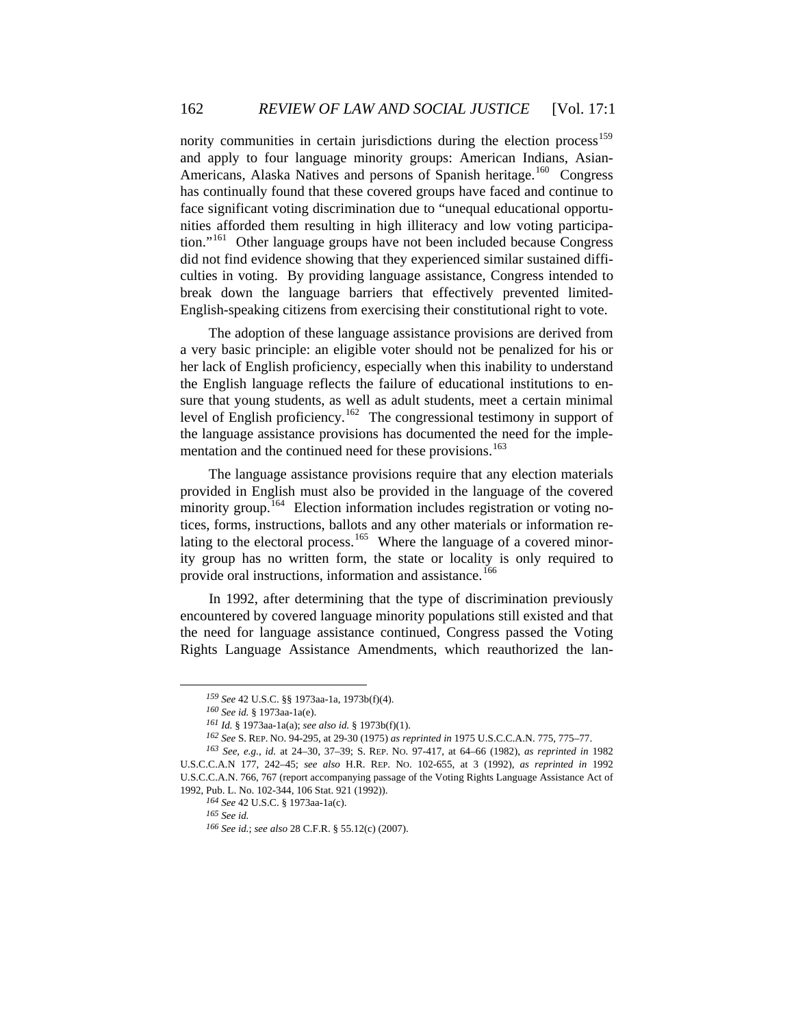nority communities in certain jurisdictions during the election process<sup>[159](#page-31-0)</sup> and apply to four language minority groups: American Indians, Asian-Americans, Alaska Natives and persons of Spanish heritage.<sup>[160](#page-31-1)</sup> Congress has continually found that these covered groups have faced and continue to face significant voting discrimination due to "unequal educational opportunities afforded them resulting in high illiteracy and low voting participa-tion."<sup>[161](#page-31-2)</sup> Other language groups have not been included because Congress did not find evidence showing that they experienced similar sustained difficulties in voting. By providing language assistance, Congress intended to break down the language barriers that effectively prevented limited-English-speaking citizens from exercising their constitutional right to vote.

The adoption of these language assistance provisions are derived from a very basic principle: an eligible voter should not be penalized for his or her lack of English proficiency, especially when this inability to understand the English language reflects the failure of educational institutions to ensure that young students, as well as adult students, meet a certain minimal level of English proficiency.[162](#page-31-3) The congressional testimony in support of the language assistance provisions has documented the need for the imple-mentation and the continued need for these provisions.<sup>[163](#page-31-4)</sup>

provide oral instructions, information and assistance.<sup>166</sup> The language assistance provisions require that any election materials provided in English must also be provided in the language of the covered minority group.<sup>[164](#page-31-5)</sup> Election information includes registration or voting notices, forms, instructions, ballots and any other materials or information re-lating to the electoral process.<sup>[165](#page-31-6)</sup> Where the language of a covered minority group has no written form, the state or locality is only required to

In 1992, after determining that the type of discrimination previously encountered by covered language minority populations still existed and that the need for language assistance continued, Congress passed the Voting Rights Language Assistance Amendments, which reauthorized the lan-

*<sup>159</sup> See* 42 U.S.C. §§ 1973aa-1a, 1973b(f)(4).

*<sup>160</sup> See id.* § 1973aa-1a(e).

*<sup>161</sup> Id.* § 1973aa-1a(a); *see also id.* § 1973b(f)(1).

*<sup>162</sup> See* S. REP. NO. 94-295, at 29-30 (1975) *as reprinted in* 1975 U.S.C.C.A.N. 775, 775–77.

<span id="page-31-6"></span><span id="page-31-5"></span><span id="page-31-4"></span><span id="page-31-3"></span><span id="page-31-2"></span><span id="page-31-1"></span><span id="page-31-0"></span>*<sup>163</sup> See*, *e.g.*, *id.* at 24–30, 37–39; S. REP. NO. 97-417, at 64–66 (1982), *as reprinted in* 1982 U.S.C.C.A.N 177, 242–45; *see also* H.R. REP. NO. 102-655, at 3 (1992), *as reprinted in* 1992 U.S.C.C.A.N. 766, 767 (report accompanying passage of the Voting Rights Language Assistance Act of 1992, Pub. L. No. 102-344, 106 Stat. 921 (1992)).

*<sup>164</sup> See* 42 U.S.C. § 1973aa-1a(c).

*<sup>165</sup> See id.*

*<sup>166</sup> See id.*; *see also* 28 C.F.R. § 55.12(c) (2007).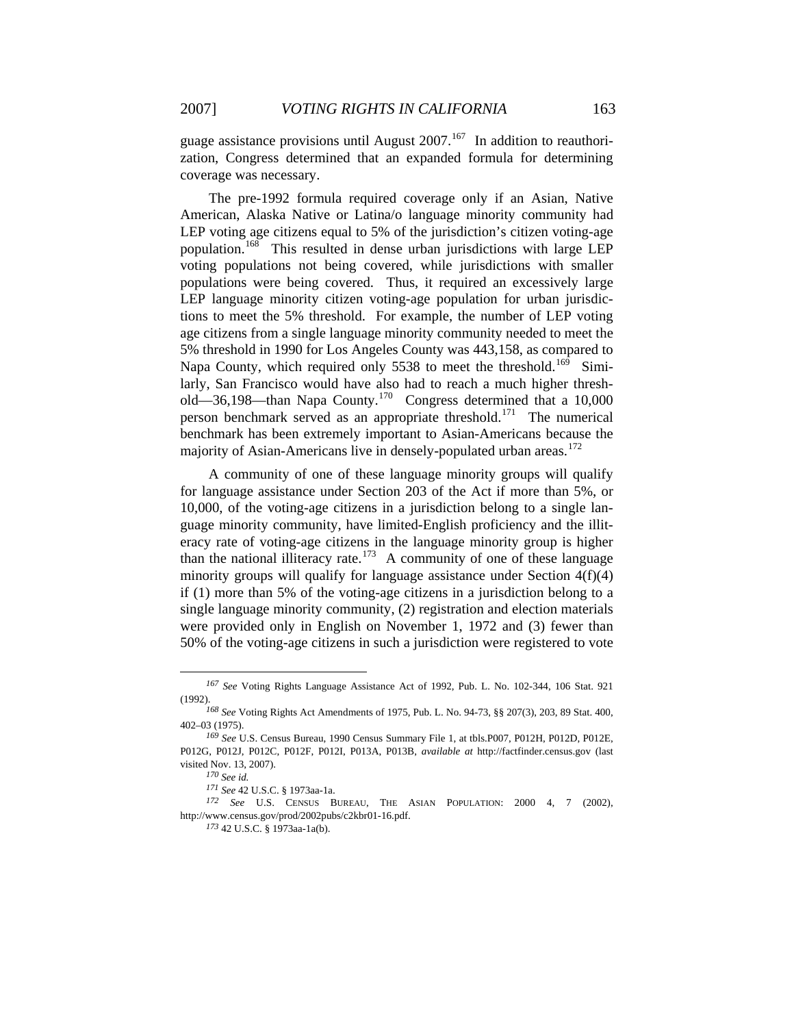guage assistance provisions until August  $2007$ .<sup>[167](#page-32-0)</sup> In addition to reauthori-

zation, Congress determined that an expanded formula for determining coverage was necessary.

The pre-1992 formula required coverage only if an Asian, Native American, Alaska Native or Latina/o language minority community had LEP voting age citizens equal to 5% of the jurisdiction's citizen voting-age population.[168](#page-32-1) This resulted in dense urban jurisdictions with large LEP voting populations not being covered, while jurisdictions with smaller populations were being covered. Thus, it required an excessively large LEP language minority citizen voting-age population for urban jurisdictions to meet the 5% threshold. For example, the number of LEP voting age citizens from a single language minority community needed to meet the 5% threshold in 1990 for Los Angeles County was 443,158, as compared to Napa County, which required only 5538 to meet the threshold.<sup>[169](#page-32-2)</sup> Similarly, San Francisco would have also had to reach a much higher threshold—36,198—than Napa County.[170](#page-32-3) Congress determined that a 10,000 person benchmark served as an appropriate threshold.<sup>[171](#page-32-4)</sup> The numerical benchmark has been extremely important to Asian-Americans because the majority of Asian-Americans live in densely-populated urban areas.<sup>[172](#page-32-5)</sup>

A community of one of these language minority groups will qualify for language assistance under Section 203 of the Act if more than 5%, or 10,000, of the voting-age citizens in a jurisdiction belong to a single language minority community, have limited-English proficiency and the illiteracy rate of voting-age citizens in the language minority group is higher than the national illiteracy rate.<sup>[173](#page-32-6)</sup> A community of one of these language minority groups will qualify for language assistance under Section 4(f)(4) if (1) more than 5% of the voting-age citizens in a jurisdiction belong to a single language minority community, (2) registration and election materials were provided only in English on November 1, 1972 and (3) fewer than 50% of the voting-age citizens in such a jurisdiction were registered to vote

<span id="page-32-0"></span>*<sup>167</sup> See* Voting Rights Language Assistance Act of 1992, Pub. L. No. 102-344, 106 Stat. 921 (1992).

<span id="page-32-1"></span>*<sup>168</sup> See* Voting Rights Act Amendments of 1975, Pub. L. No. 94-73, §§ 207(3), 203, 89 Stat. 400, 402–03 (1975).

<span id="page-32-2"></span>*<sup>169</sup> See* U.S. Census Bureau, 1990 Census Summary File 1, at tbls.P007, P012H, P012D, P012E, P012G, P012J, P012C, P012F, P012I, P013A, P013B, *available at* http://factfinder.census.gov (last visited Nov. 13, 2007).

*<sup>170</sup> See id.*

*<sup>171</sup> See* 42 U.S.C. § 1973aa-1a.

<span id="page-32-6"></span><span id="page-32-5"></span><span id="page-32-4"></span><span id="page-32-3"></span>*<sup>172</sup> See* U.S. CENSUS BUREAU, THE ASIAN POPULATION: 2000 4, 7 (2002), http://www.census.gov/prod/2002pubs/c2kbr01-16.pdf.

*<sup>173</sup>* 42 U.S.C. § 1973aa-1a(b).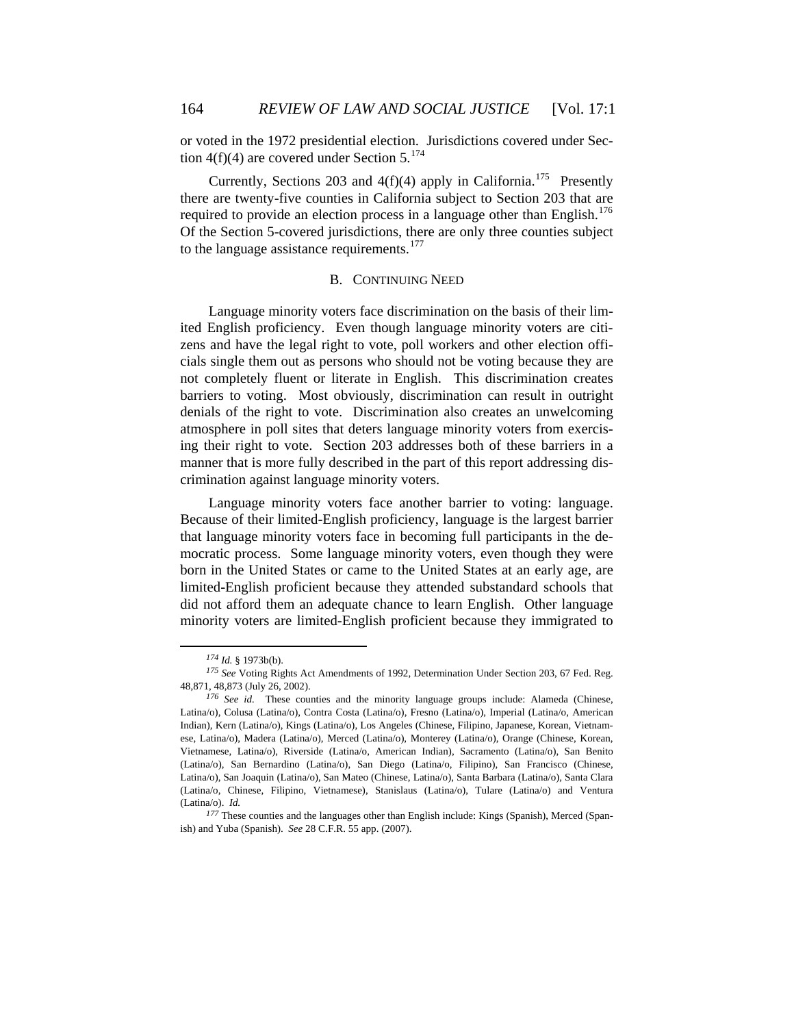or voted in the 1972 presidential election. Jurisdictions covered under Sec-tion 4(f)(4) are covered under Section 5.<sup>[174](#page-33-0)</sup>

Currently, Sections 203 and  $4(f)(4)$  apply in California.<sup>[175](#page-33-1)</sup> Presently there are twenty-five counties in California subject to Section 203 that are required to provide an election process in a language other than English.<sup>[176](#page-33-2)</sup> Of the Section 5-covered jurisdictions, there are only three counties subject to the language assistance requirements.<sup>[177](#page-33-3)</sup>

# B. CONTINUING NEED

Language minority voters face discrimination on the basis of their limited English proficiency. Even though language minority voters are citizens and have the legal right to vote, poll workers and other election officials single them out as persons who should not be voting because they are not completely fluent or literate in English. This discrimination creates barriers to voting. Most obviously, discrimination can result in outright denials of the right to vote. Discrimination also creates an unwelcoming atmosphere in poll sites that deters language minority voters from exercising their right to vote. Section 203 addresses both of these barriers in a manner that is more fully described in the part of this report addressing discrimination against language minority voters.

Language minority voters face another barrier to voting: language. Because of their limited-English proficiency, language is the largest barrier that language minority voters face in becoming full participants in the democratic process. Some language minority voters, even though they were born in the United States or came to the United States at an early age, are limited-English proficient because they attended substandard schools that did not afford them an adequate chance to learn English. Other language minority voters are limited-English proficient because they immigrated to

*<sup>174</sup> Id.* § 1973b(b).

<span id="page-33-1"></span><span id="page-33-0"></span>*<sup>175</sup> See* Voting Rights Act Amendments of 1992, Determination Under Section 203, 67 Fed. Reg. 48,871, 48,873 (July 26, 2002).

<span id="page-33-2"></span>*<sup>176</sup> See id.* These counties and the minority language groups include: Alameda (Chinese, Latina/o), Colusa (Latina/o), Contra Costa (Latina/o), Fresno (Latina/o), Imperial (Latina/o, American Indian), Kern (Latina/o), Kings (Latina/o), Los Angeles (Chinese, Filipino, Japanese, Korean, Vietnamese, Latina/o), Madera (Latina/o), Merced (Latina/o), Monterey (Latina/o), Orange (Chinese, Korean, Vietnamese, Latina/o), Riverside (Latina/o, American Indian), Sacramento (Latina/o), San Benito (Latina/o), San Bernardino (Latina/o), San Diego (Latina/o, Filipino), San Francisco (Chinese, Latina/o), San Joaquin (Latina/o), San Mateo (Chinese, Latina/o), Santa Barbara (Latina/o), Santa Clara (Latina/o, Chinese, Filipino, Vietnamese), Stanislaus (Latina/o), Tulare (Latina/o) and Ventura (Latina/o). *Id.*

<span id="page-33-3"></span>*<sup>177</sup>* These counties and the languages other than English include: Kings (Spanish), Merced (Spanish) and Yuba (Spanish). *See* 28 C.F.R. 55 app. (2007).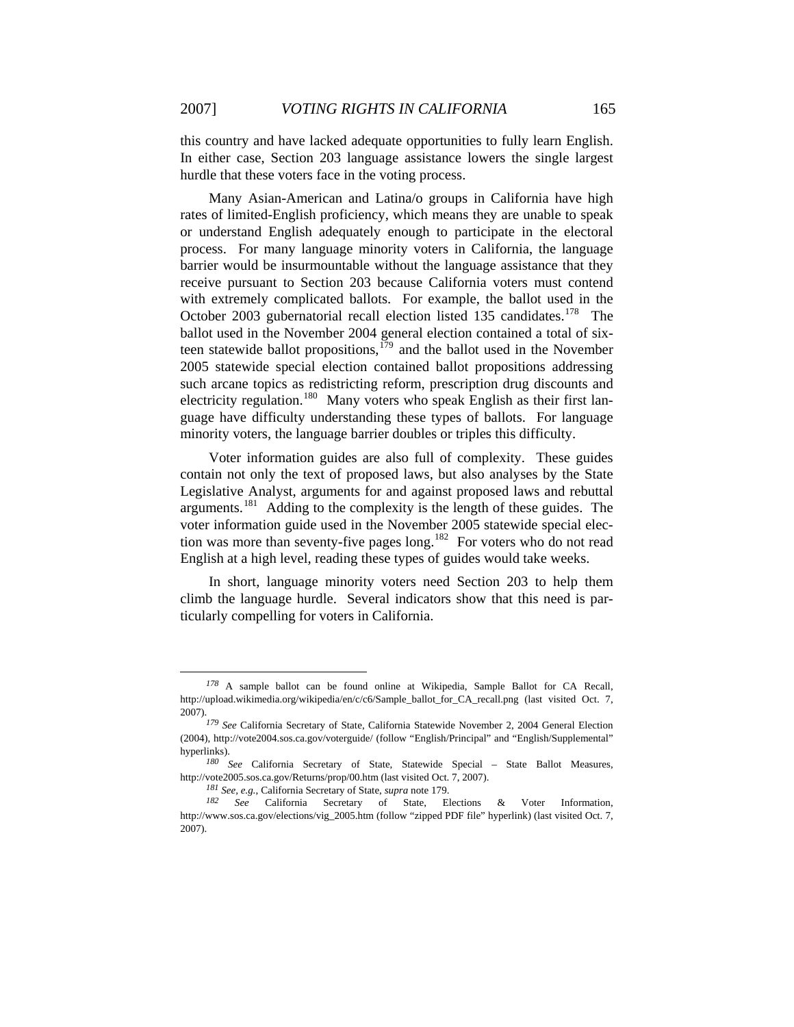this country and have lacked adequate opportunities to fully learn English. In either case, Section 203 language assistance lowers the single largest hurdle that these voters face in the voting process.

Many Asian-American and Latina/o groups in California have high rates of limited-English proficiency, which means they are unable to speak or understand English adequately enough to participate in the electoral process. For many language minority voters in California, the language barrier would be insurmountable without the language assistance that they receive pursuant to Section 203 because California voters must contend with extremely complicated ballots. For example, the ballot used in the October 2003 gubernatorial recall election listed 135 candidates.<sup>[178](#page-34-0)</sup> The ballot used in the November 2004 general election contained a total of sixteen statewide ballot propositions, $179$  and the ballot used in the November 2005 statewide special election contained ballot propositions addressing such arcane topics as redistricting reform, prescription drug discounts and electricity regulation.<sup>[180](#page-34-2)</sup> Many voters who speak English as their first language have difficulty understanding these types of ballots. For language minority voters, the language barrier doubles or triples this difficulty.

Voter information guides are also full of complexity. These guides contain not only the text of proposed laws, but also analyses by the State Legislative Analyst, arguments for and against proposed laws and rebuttal arguments.<sup>[181](#page-34-3)</sup> Adding to the complexity is the length of these guides. The voter information guide used in the November 2005 statewide special election was more than seventy-five pages  $\log$ ,<sup>[182](#page-34-4)</sup> For voters who do not read English at a high level, reading these types of guides would take weeks.

In short, language minority voters need Section 203 to help them climb the language hurdle. Several indicators show that this need is particularly compelling for voters in California.

<span id="page-34-0"></span>*<sup>178</sup>* A sample ballot can be found online at Wikipedia, Sample Ballot for CA Recall, http://upload.wikimedia.org/wikipedia/en/c/c6/Sample\_ballot\_for\_CA\_recall.png (last visited Oct. 7, 2007).

<span id="page-34-1"></span>*<sup>179</sup> See* California Secretary of State, California Statewide November 2, 2004 General Election (2004), http://vote2004.sos.ca.gov/voterguide/ (follow "English/Principal" and "English/Supplemental" hyperlinks).

<span id="page-34-2"></span>*<sup>180</sup> See* California Secretary of State, Statewide Special – State Ballot Measures, http://vote2005.sos.ca.gov/Returns/prop/00.htm (last visited Oct. 7, 2007).

*<sup>181</sup> See, e.g.*, California Secretary of State, *supra* note 179.

<span id="page-34-4"></span><span id="page-34-3"></span>See California Secretary of State, Elections & Voter Information, http://www.sos.ca.gov/elections/vig\_2005.htm (follow "zipped PDF file" hyperlink) (last visited Oct. 7, 2007).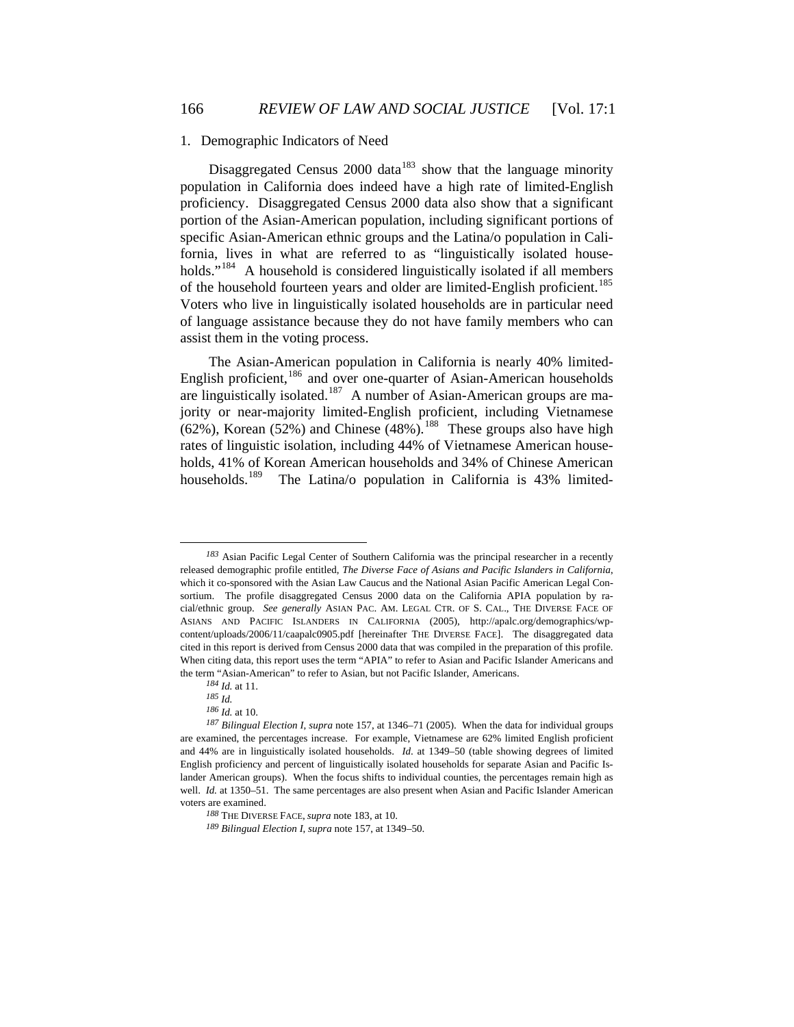### 1. Demographic Indicators of Need

Disaggregated Census 2000 data<sup>[183](#page-35-0)</sup> show that the language minority population in California does indeed have a high rate of limited-English proficiency. Disaggregated Census 2000 data also show that a significant portion of the Asian-American population, including significant portions of specific Asian-American ethnic groups and the Latina/o population in California, lives in what are referred to as "linguistically isolated house-holds."<sup>[184](#page-35-1)</sup> A household is considered linguistically isolated if all members of the household fourteen years and older are limited-English proficient.<sup>[185](#page-35-2)</sup> Voters who live in linguistically isolated households are in particular need of language assistance because they do not have family members who can assist them in the voting process.

The Asian-American population in California is nearly 40% limited-English proficient,<sup>[186](#page-35-3)</sup> and over one-quarter of Asian-American households are linguistically isolated.<sup>[187](#page-35-4)</sup> A number of Asian-American groups are majority or near-majority limited-English proficient, including Vietnamese  $(62%)$ , Korean  $(52%)$  and Chinese  $(48%)$ .<sup>[188](#page-35-5)</sup> These groups also have high rates of linguistic isolation, including 44% of Vietnamese American households, 41% of Korean American households and 34% of Chinese American households.<sup>[189](#page-35-6)</sup> The Latina/o population in California is 43% limited-

<span id="page-35-0"></span>*<sup>183</sup>* Asian Pacific Legal Center of Southern California was the principal researcher in a recently released demographic profile entitled, *The Diverse Face of Asians and Pacific Islanders in California*, which it co-sponsored with the Asian Law Caucus and the National Asian Pacific American Legal Consortium. The profile disaggregated Census 2000 data on the California APIA population by racial/ethnic group. *See generally* ASIAN PAC. AM. LEGAL CTR. OF S. CAL., THE DIVERSE FACE OF ASIANS AND PACIFIC ISLANDERS IN CALIFORNIA (2005), http://apalc.org/demographics/wpcontent/uploads/2006/11/caapalc0905.pdf [hereinafter THE DIVERSE FACE]. The disaggregated data cited in this report is derived from Census 2000 data that was compiled in the preparation of this profile. When citing data, this report uses the term "APIA" to refer to Asian and Pacific Islander Americans and the term "Asian-American" to refer to Asian, but not Pacific Islander, Americans.

*<sup>184</sup> Id.* at 11.

*<sup>185</sup> Id.*

*<sup>186</sup> Id.* at 10.

<span id="page-35-5"></span><span id="page-35-4"></span><span id="page-35-3"></span><span id="page-35-2"></span><span id="page-35-1"></span>*<sup>187</sup> Bilingual Election I*, *supra* note 157, at 1346–71 (2005). When the data for individual groups are examined, the percentages increase. For example, Vietnamese are 62% limited English proficient and 44% are in linguistically isolated households. *Id*. at 1349–50 (table showing degrees of limited English proficiency and percent of linguistically isolated households for separate Asian and Pacific Islander American groups). When the focus shifts to individual counties, the percentages remain high as well. *Id.* at 1350–51. The same percentages are also present when Asian and Pacific Islander American voters are examined.

*<sup>188</sup>* THE DIVERSE FACE, *supra* note 183, at 10.

<span id="page-35-6"></span>*<sup>189</sup> Bilingual Election I*, *supra* note 157, at 1349–50.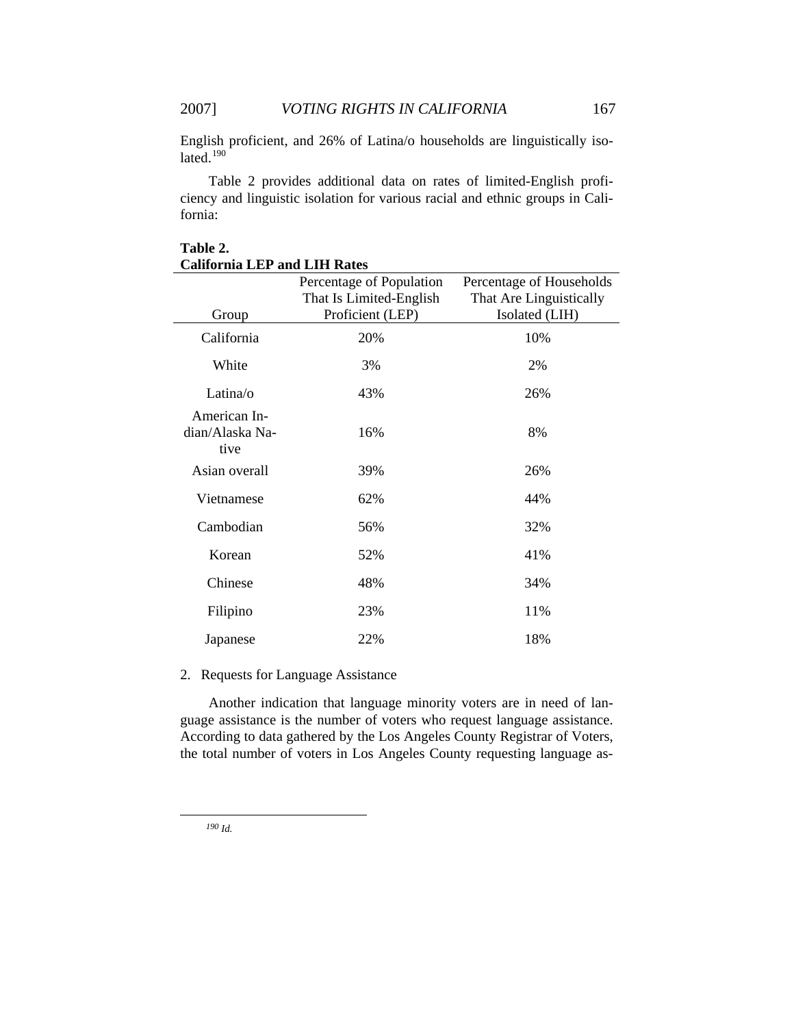English proficient, and 26% of Latina/o households are linguistically isolated. $190$ 

Table 2 provides additional data on rates of limited-English proficiency and linguistic isolation for various racial and ethnic groups in California:

| Group                                   | Percentage of Population<br>That Is Limited-English<br>Proficient (LEP) | Percentage of Households<br>That Are Linguistically<br>Isolated (LIH) |  |
|-----------------------------------------|-------------------------------------------------------------------------|-----------------------------------------------------------------------|--|
| California                              | 20%                                                                     | 10%                                                                   |  |
| White                                   | 3%                                                                      | 2%                                                                    |  |
| Latina/o                                | 43%                                                                     | 26%                                                                   |  |
| American In-<br>dian/Alaska Na-<br>tive | 16%                                                                     | 8%                                                                    |  |
| Asian overall                           | 39%                                                                     | 26%                                                                   |  |
| Vietnamese                              | 62%                                                                     | 44%                                                                   |  |
| Cambodian                               | 56%                                                                     | 32%                                                                   |  |
| Korean                                  | 52%                                                                     | 41%                                                                   |  |
| Chinese                                 | 48%                                                                     | 34%                                                                   |  |
| Filipino                                | 23%                                                                     | 11%                                                                   |  |
| Japanese                                | 22%                                                                     | 18%                                                                   |  |

# **Table 2. California LEP and LIH Rates**

# 2. Requests for Language Assistance

Another indication that language minority voters are in need of language assistance is the number of voters who request language assistance. According to data gathered by the Los Angeles County Registrar of Voters, the total number of voters in Los Angeles County requesting language as-

<span id="page-36-0"></span>*<sup>190</sup> Id.*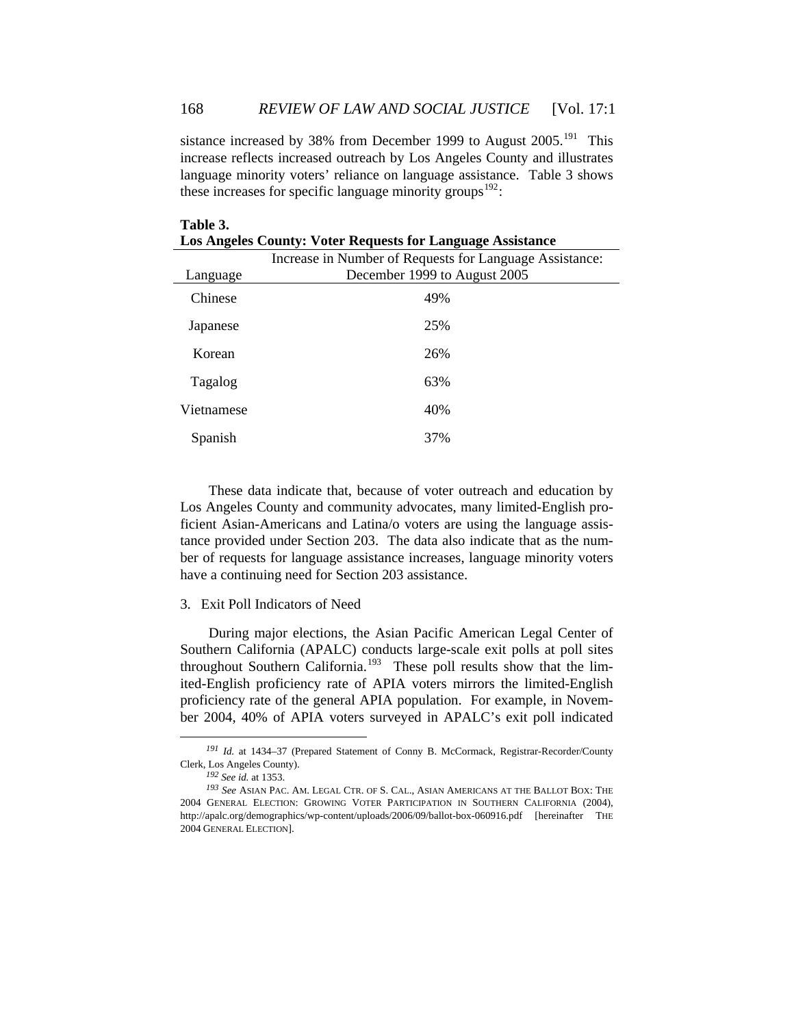sistance increased by 38% from December 1999 to August  $2005$ .<sup>191</sup> This increase reflects increased outreach by Los Angeles County and illustrates language minority voters' reliance on language assistance. Table 3 shows these increases for specific language minority groups<sup>[192](#page-37-1)</sup>:

| <b>Los Angeles County: Voter Requests for Language Assistance</b> |                                                         |  |  |
|-------------------------------------------------------------------|---------------------------------------------------------|--|--|
|                                                                   | Increase in Number of Requests for Language Assistance: |  |  |
| Language                                                          | December 1999 to August 2005                            |  |  |
| Chinese                                                           | 49%                                                     |  |  |
| Japanese                                                          | 25%                                                     |  |  |
| Korean                                                            | 26%                                                     |  |  |
| Tagalog                                                           | 63%                                                     |  |  |
| Vietnamese                                                        | 40%                                                     |  |  |
| Spanish                                                           | 37%                                                     |  |  |

These data indicate that, because of voter outreach and education by Los Angeles County and community advocates, many limited-English proficient Asian-Americans and Latina/o voters are using the language assistance provided under Section 203. The data also indicate that as the number of requests for language assistance increases, language minority voters have a continuing need for Section 203 assistance.

### 3. Exit Poll Indicators of Need

**Table 3.** 

During major elections, the Asian Pacific American Legal Center of Southern California (APALC) conducts large-scale exit polls at poll sites throughout Southern California.<sup>[193](#page-37-2)</sup> These poll results show that the limited-English proficiency rate of APIA voters mirrors the limited-English proficiency rate of the general APIA population. For example, in November 2004, 40% of APIA voters surveyed in APALC's exit poll indicated

<span id="page-37-0"></span>*<sup>191</sup> Id.* at 1434–37 (Prepared Statement of Conny B. McCormack, Registrar-Recorder/County Clerk, Los Angeles County).

*<sup>192</sup> See id.* at 1353.

<span id="page-37-2"></span><span id="page-37-1"></span>*<sup>193</sup> See* ASIAN PAC. AM. LEGAL CTR. OF S. CAL., ASIAN AMERICANS AT THE BALLOT BOX: THE 2004 GENERAL ELECTION: GROWING VOTER PARTICIPATION IN SOUTHERN CALIFORNIA (2004), http://apalc.org/demographics/wp-content/uploads/2006/09/ballot-box-060916.pdf [hereinafter THE 2004 GENERAL ELECTION].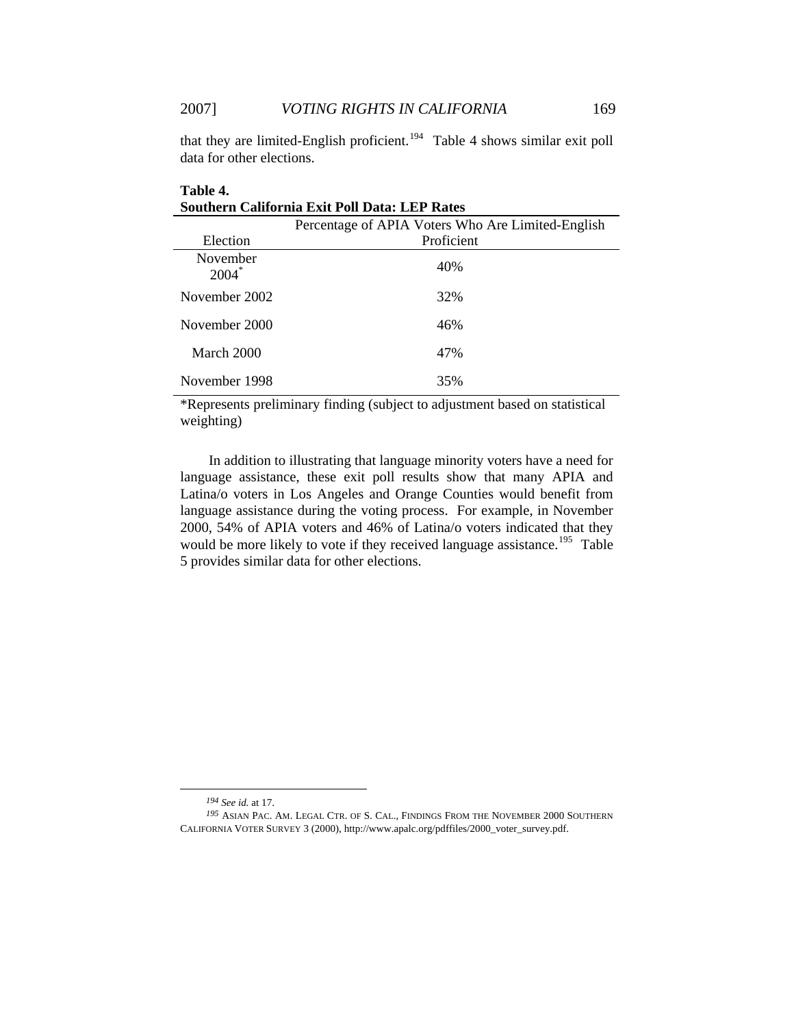**Table 4.** 

data for other elections. that they are limited-English proficient.<sup>[194](#page-38-0)</sup> Table 4 shows similar exit poll

| Southern California Exit Poll Data: LEP Rates |                                                   |  |  |  |
|-----------------------------------------------|---------------------------------------------------|--|--|--|
|                                               | Percentage of APIA Voters Who Are Limited-English |  |  |  |
| Election                                      | Proficient                                        |  |  |  |
| November<br>$2004*$                           | 40%                                               |  |  |  |
| November 2002                                 | 32%                                               |  |  |  |
| November 2000                                 | 46%                                               |  |  |  |
| March 2000                                    | 47%                                               |  |  |  |
| November 1998                                 | 35%                                               |  |  |  |

\*Represents preliminary finding (subject to adjustment based on statistical weighting)

In addition to illustrating that language minority voters have a need for language assistance, these exit poll results show that many APIA and Latina/o voters in Los Angeles and Orange Counties would benefit from language assistance during the voting process. For example, in November 2000, 54% of APIA voters and 46% of Latina/o voters indicated that they would be more likely to vote if they received language assistance.<sup>[195](#page-38-1)</sup> Table 5 provides similar data for other elections.

*<sup>194</sup> See id.* at 17.

<span id="page-38-1"></span><span id="page-38-0"></span>*<sup>195</sup>* ASIAN PAC. AM. LEGAL CTR. OF S. CAL., FINDINGS FROM THE NOVEMBER 2000 SOUTHERN CALIFORNIA VOTER SURVEY 3 (2000), http://www.apalc.org/pdffiles/2000\_voter\_survey.pdf.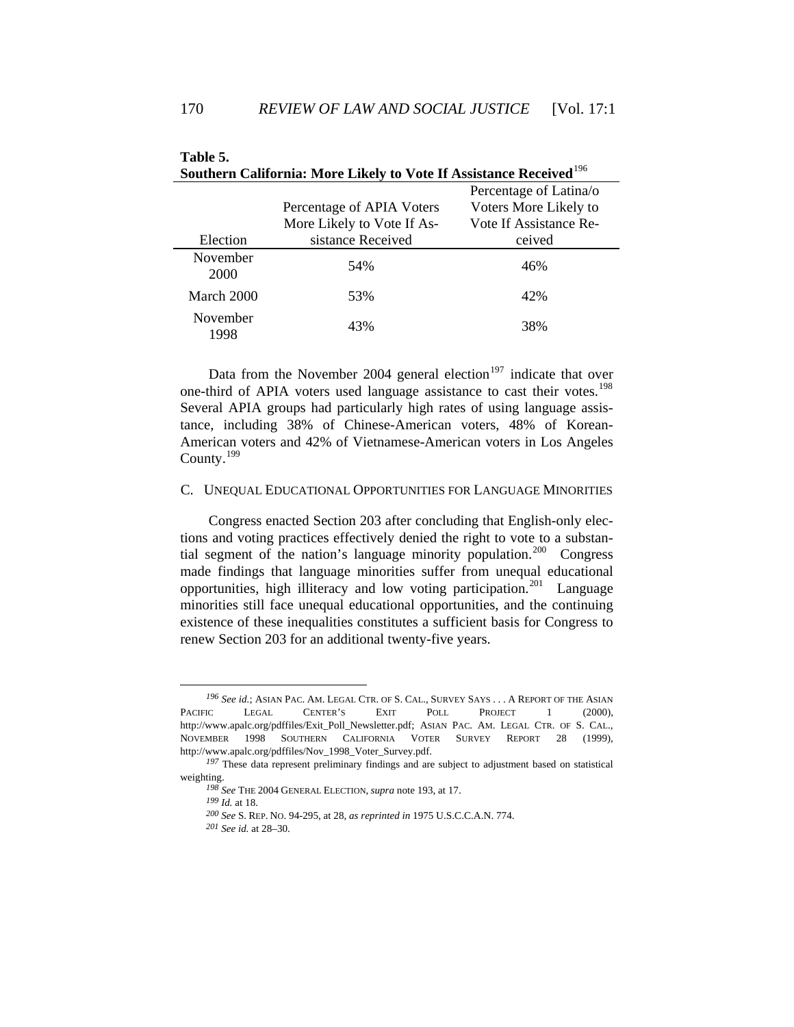| Southern California: More Likely to Vote II Assistance Received |                            |                        |  |  |  |
|-----------------------------------------------------------------|----------------------------|------------------------|--|--|--|
|                                                                 |                            | Percentage of Latina/o |  |  |  |
|                                                                 | Percentage of APIA Voters  | Voters More Likely to  |  |  |  |
|                                                                 | More Likely to Vote If As- | Vote If Assistance Re- |  |  |  |
| Election                                                        | sistance Received          | ceived                 |  |  |  |
| November<br>2000                                                | 54%                        | 46%                    |  |  |  |
| March 2000                                                      | 53%                        | 42%                    |  |  |  |
| November<br>1998                                                | 43%                        | 38%                    |  |  |  |

| Table 5.                                                                       |  |
|--------------------------------------------------------------------------------|--|
| Southern California: More Likely to Vote If Assistance Received <sup>196</sup> |  |

Data from the November 2004 general election<sup>[197](#page-39-1)</sup> indicate that over one-third of APIA voters used language assistance to cast their votes.<sup>[198](#page-39-2)</sup> Several APIA groups had particularly high rates of using language assistance, including 38% of Chinese-American voters, 48% of Korean-American voters and 42% of Vietnamese-American voters in Los Angeles County.[199](#page-39-3)

# C. UNEQUAL EDUCATIONAL OPPORTUNITIES FOR LANGUAGE MINORITIES

Congress enacted Section 203 after concluding that English-only elections and voting practices effectively denied the right to vote to a substan-tial segment of the nation's language minority population.<sup>[200](#page-39-4)</sup> Congress made findings that language minorities suffer from unequal educational opportunities, high illiteracy and low voting participation.<sup>[201](#page-39-5)</sup> Language minorities still face unequal educational opportunities, and the continuing existence of these inequalities constitutes a sufficient basis for Congress to renew Section 203 for an additional twenty-five years.

<span id="page-39-0"></span>*<sup>196</sup> See id.*; ASIAN PAC. AM. LEGAL CTR. OF S. CAL., SURVEY SAYS . . . A REPORT OF THE ASIAN PACIFIC LEGAL CENTER'S EXIT POLL PROJECT 1 (2000), http://www.apalc.org/pdffiles/Exit\_Poll\_Newsletter.pdf; ASIAN PAC. AM. LEGAL CTR. OF S. CAL., NOVEMBER 1998 SOUTHERN CALIFORNIA VOTER SURVEY REPORT 28 (1999), http://www.apalc.org/pdffiles/Nov\_1998\_Voter\_Survey.pdf.

<span id="page-39-5"></span><span id="page-39-4"></span><span id="page-39-3"></span><span id="page-39-2"></span><span id="page-39-1"></span><sup>&</sup>lt;sup>197</sup> These data represent preliminary findings and are subject to adjustment based on statistical weighting.

*<sup>198</sup> See* THE 2004 GENERAL ELECTION, *supra* note 193, at 17.

*<sup>199</sup> Id.* at 18.

*<sup>200</sup> See* S. REP. NO. 94-295, at 28, *as reprinted in* 1975 U.S.C.C.A.N. 774.

*<sup>201</sup> See id.* at 28–30.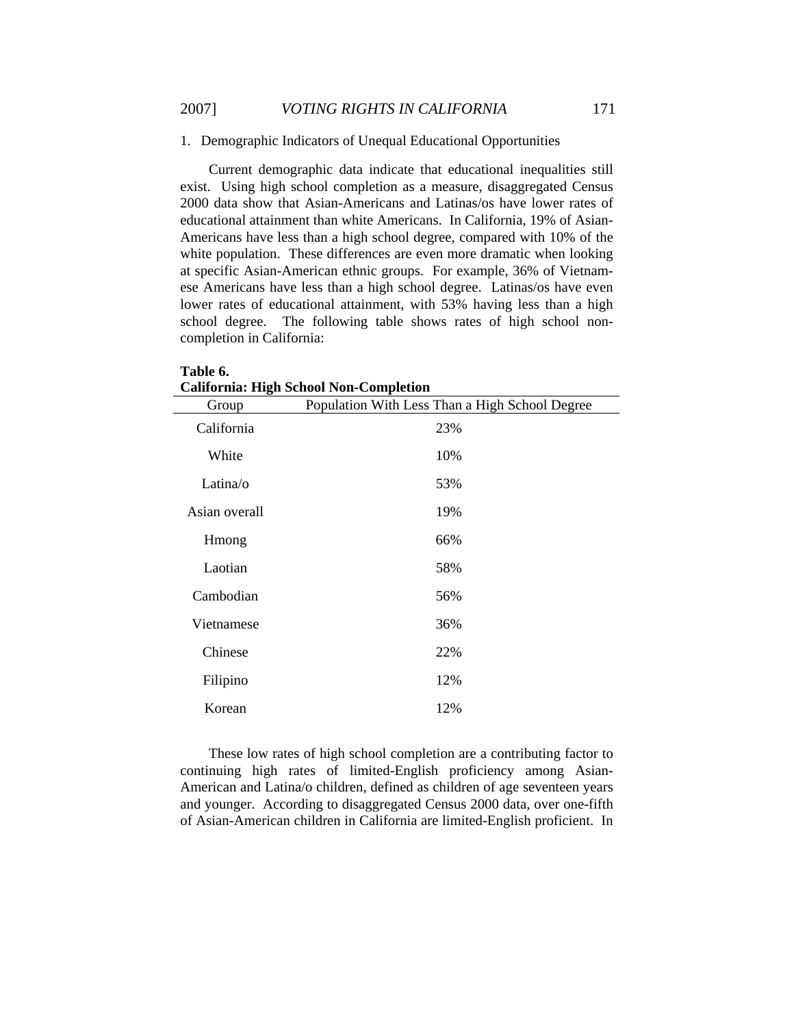1. Demographic Indicators of Unequal Educational Opportunities

Current demographic data indicate that educational inequalities still exist. Using high school completion as a measure, disaggregated Census 2000 data show that Asian-Americans and Latinas/os have lower rates of educational attainment than white Americans. In California, 19% of Asian-Americans have less than a high school degree, compared with 10% of the white population. These differences are even more dramatic when looking at specific Asian-American ethnic groups. For example, 36% of Vietnamese Americans have less than a high school degree. Latinas/os have even lower rates of educational attainment, with 53% having less than a high school degree. The following table shows rates of high school noncompletion in California:

|               | сангогина. тиди эсибот губи-соперссион         |
|---------------|------------------------------------------------|
| Group         | Population With Less Than a High School Degree |
| California    | 23%                                            |
| White         | 10%                                            |
| Latina/o      | 53%                                            |
| Asian overall | 19%                                            |
| Hmong         | 66%                                            |
| Laotian       | 58%                                            |
| Cambodian     | 56%                                            |
| Vietnamese    | 36%                                            |
| Chinese       | 22%                                            |
| Filipino      | 12%                                            |
| Korean        | 12%                                            |

**Table 6. California: High School Non-Completion**

These low rates of high school completion are a contributing factor to continuing high rates of limited-English proficiency among Asian-American and Latina/o children, defined as children of age seventeen years and younger. According to disaggregated Census 2000 data, over one-fifth of Asian-American children in California are limited-English proficient. In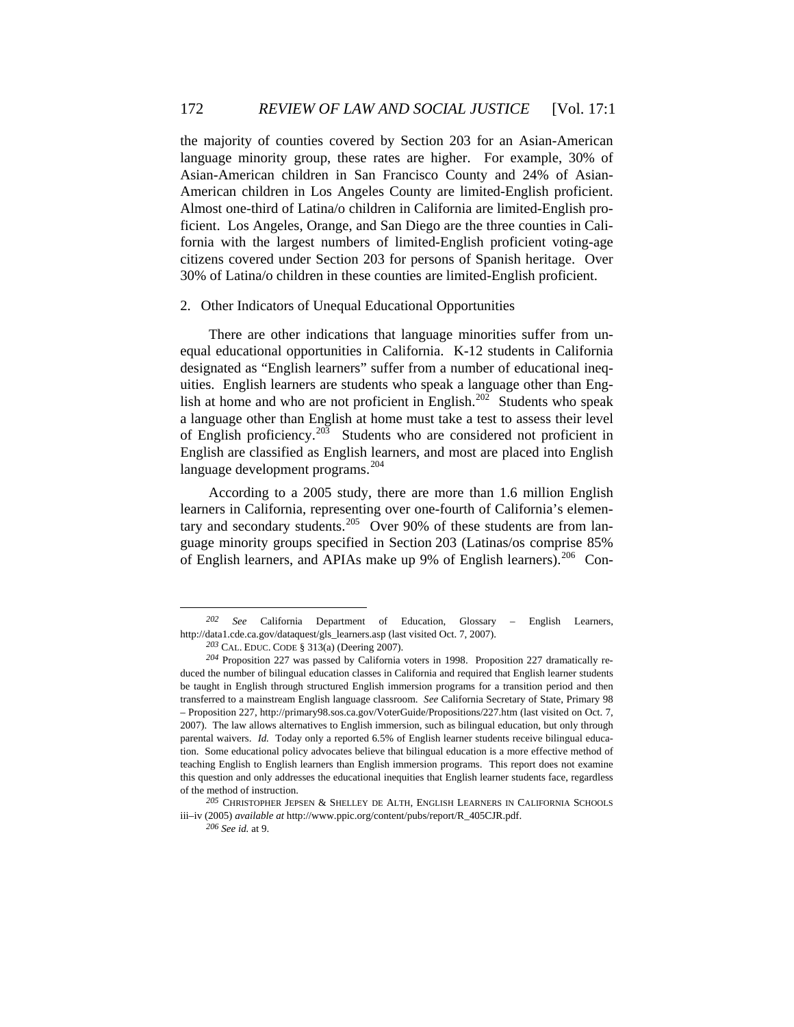the majority of counties covered by Section 203 for an Asian-American language minority group, these rates are higher. For example, 30% of Asian-American children in San Francisco County and 24% of Asian-American children in Los Angeles County are limited-English proficient. Almost one-third of Latina/o children in California are limited-English proficient. Los Angeles, Orange, and San Diego are the three counties in California with the largest numbers of limited-English proficient voting-age citizens covered under Section 203 for persons of Spanish heritage. Over 30% of Latina/o children in these counties are limited-English proficient.

# 2. Other Indicators of Unequal Educational Opportunities

There are other indications that language minorities suffer from unequal educational opportunities in California. K-12 students in California designated as "English learners" suffer from a number of educational inequities. English learners are students who speak a language other than Eng-lish at home and who are not proficient in English.<sup>[202](#page-41-0)</sup> Students who speak a language other than English at home must take a test to assess their level of English proficiency.[203](#page-41-1) Students who are considered not proficient in English are classified as English learners, and most are placed into English language development programs.<sup>[204](#page-41-2)</sup>

According to a 2005 study, there are more than 1.6 million English learners in California, representing over one-fourth of California's elemen-tary and secondary students.<sup>[205](#page-41-3)</sup> Over 90% of these students are from language minority groups specified in Section 203 (Latinas/os comprise 85% of English learners, and APIAs make up 9% of English learners).<sup>[206](#page-41-4)</sup> Con-

<span id="page-41-0"></span>*<sup>202</sup> See* California Department of Education, Glossary – English Learners, http://data1.cde.ca.gov/dataquest/gls\_learners.asp (last visited Oct. 7, 2007).

*<sup>203</sup>* CAL. EDUC. CODE § 313(a) (Deering 2007).

<span id="page-41-2"></span><span id="page-41-1"></span>*<sup>204</sup>* Proposition 227 was passed by California voters in 1998. Proposition 227 dramatically reduced the number of bilingual education classes in California and required that English learner students be taught in English through structured English immersion programs for a transition period and then transferred to a mainstream English language classroom. *See* California Secretary of State, Primary 98 – Proposition 227, http://primary98.sos.ca.gov/VoterGuide/Propositions/227.htm (last visited on Oct. 7, 2007). The law allows alternatives to English immersion, such as bilingual education, but only through parental waivers. *Id.* Today only a reported 6.5% of English learner students receive bilingual education. Some educational policy advocates believe that bilingual education is a more effective method of teaching English to English learners than English immersion programs. This report does not examine this question and only addresses the educational inequities that English learner students face, regardless of the method of instruction.

<span id="page-41-4"></span><span id="page-41-3"></span>*<sup>205</sup>* CHRISTOPHER JEPSEN & SHELLEY DE ALTH, ENGLISH LEARNERS IN CALIFORNIA SCHOOLS iii–iv (2005) *available at* http://www.ppic.org/content/pubs/report/R\_405CJR.pdf.

*<sup>206</sup> See id.* at 9.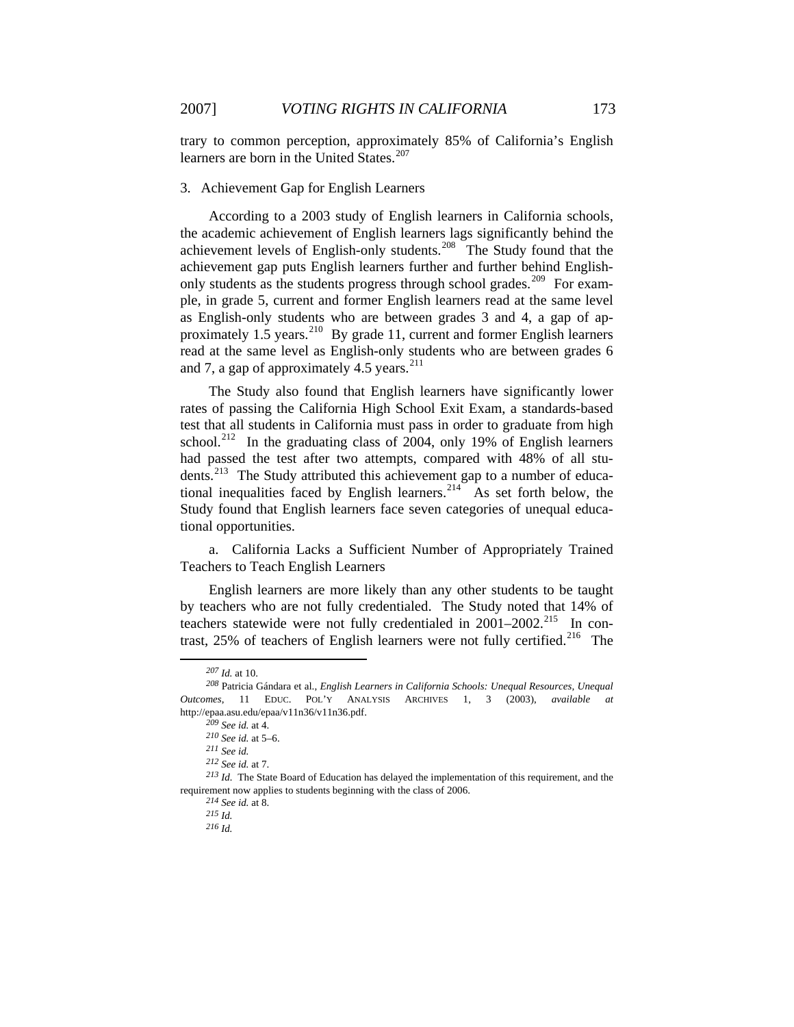trary to common perception, approximately 85% of California's English learners are born in the United States.<sup>[207](#page-42-0)</sup>

### 3. Achievement Gap for English Learners

According to a 2003 study of English learners in California schools, the academic achievement of English learners lags significantly behind the achievement levels of English-only students.[208](#page-42-1) The Study found that the achievement gap puts English learners further and further behind English-only students as the students progress through school grades.<sup>[209](#page-42-2)</sup> For example, in grade 5, current and former English learners read at the same level as English-only students who are between grades 3 and 4, a gap of ap-proximately 1.5 years.<sup>[210](#page-42-3)</sup> By grade 11, current and former English learners read at the same level as English-only students who are between grades 6 and 7, a gap of approximately 4.5 years. $^{211}$  $^{211}$  $^{211}$ 

The Study also found that English learners have significantly lower rates of passing the California High School Exit Exam, a standards-based test that all students in California must pass in order to graduate from high school.<sup>[212](#page-42-5)</sup> In the graduating class of 2004, only 19% of English learners had passed the test after two attempts, compared with 48% of all stu-dents.<sup>[213](#page-42-6)</sup> The Study attributed this achievement gap to a number of educa-tional inequalities faced by English learners.<sup>[214](#page-42-7)</sup> As set forth below, the Study found that English learners face seven categories of unequal educational opportunities.

a. California Lacks a Sufficient Number of Appropriately Trained Teachers to Teach English Learners

English learners are more likely than any other students to be taught by teachers who are not fully credentialed. The Study noted that 14% of teachers statewide were not fully credentialed in 2001–2002.<sup>[215](#page-42-8)</sup> In contrast,  $25\%$  of teachers of English learners were not fully certified.<sup>[216](#page-42-9)</sup> The

*<sup>207</sup> Id.* at 10.

<span id="page-42-2"></span><span id="page-42-1"></span><span id="page-42-0"></span>*<sup>208</sup>* Patricia Gándara et al., *English Learners in California Schools: Unequal Resources, Unequal Outcomes*, 11 EDUC. POL'Y ANALYSIS ARCHIVES 1, 3 (2003), *available at*  http://epaa.asu.edu/epaa/v11n36/v11n36.pdf.

*<sup>209</sup> See id.* at 4.

*<sup>210</sup> See id.* at 5–6.

*<sup>211</sup> See id.*

*<sup>212</sup> See id.* at 7.

<span id="page-42-9"></span><span id="page-42-8"></span><span id="page-42-7"></span><span id="page-42-6"></span><span id="page-42-5"></span><span id="page-42-4"></span><span id="page-42-3"></span>*<sup>213</sup> Id.* The State Board of Education has delayed the implementation of this requirement, and the requirement now applies to students beginning with the class of 2006.

*<sup>214</sup> See id.* at 8.

*<sup>215</sup> Id.*

*<sup>216</sup> Id.*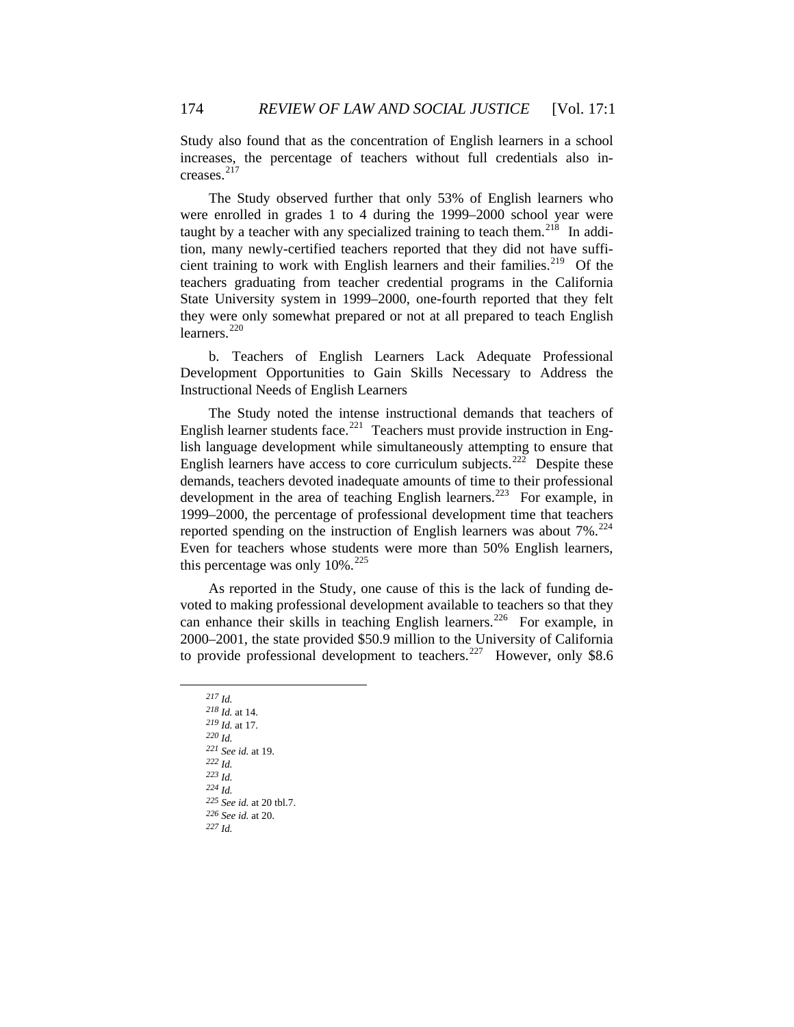creases.<sup>[217](#page-43-0)</sup> Study also found that as the concentration of English learners in a school increases, the percentage of teachers without full credentials also in-

[they were o](#page-43-2)nly somewhat prepared or not at all prepared to teach English learners.<sup>220</sup> [The Study observed further that only 53% of English learners who](#page-43-0)  [were enrolled in grades 1 to 4 during the 1999–2000 school year were](#page-43-0)  [taught by a teacher with any specialized training to teach them.](#page-43-0)<sup>218</sup> [In addi](#page-43-1)[tion, many newly-certified teachers reported that they did not have suffi](#page-43-1)[cient training to work with English learners and their families.](#page-43-1)<sup>219</sup> Of the [teachers graduating from teacher credential programs in the California](#page-43-2)  State University system [in 1999–2000, one-fourth reported that they felt](#page-43-2) 

Development Opportunities to Gain Skills Necessary to Address the Instr uctional Needs of English Learners b. Teachers of English Learners Lack Adequate Professional

Even for teachers whose students were more than 50% English learners, this percentage was only  $10\%$ .<sup>[225](#page-43-7)</sup> The Study noted the intense instructional demands that teachers of English learner students face.<sup>[221](#page-43-3)</sup> Teachers must provide instruction in English language development while simultaneously attempting to ensure that English learners have access to core curriculum subjects.<sup>[222](#page-43-4)</sup> Despite these demands, teachers devoted inadequate amounts of time to their professional development in the area of teaching English learners.<sup>[223](#page-43-5)</sup> For example, in 1999–2000, the percentage of professional development time that teachers reported spending on the instruction of English learners was about  $7\%$ <sup>[224](#page-43-6)</sup>

[As reported in the Study, one cause of this is the lack of funding de](#page-43-7)[voted to making professional development available to teachers so that they](#page-43-7)  [can enhance their skills in teaching English learners.](#page-43-7)<sup>226</sup> For example, in [2000–2001, the state provided \\$50.9 million to the University of California](#page-43-8)  [to provide professional development to teachers.](#page-43-8)<sup>227</sup> However, only \$8.6

<span id="page-43-8"></span><span id="page-43-7"></span><span id="page-43-6"></span><span id="page-43-5"></span><span id="page-43-4"></span><span id="page-43-3"></span><span id="page-43-2"></span><span id="page-43-1"></span><span id="page-43-0"></span>*<sup>217</sup> Id. <sup>218</sup> Id.* at 14. *<sup>219</sup> Id.* at 17. *<sup>220</sup> Id. <sup>221</sup> See id.* at 19. *<sup>222</sup> Id. <sup>223</sup> Id. <sup>224</sup> Id. <sup>225</sup> See id.* at 20 tbl.7. *<sup>226</sup> See id.* at 20. *<sup>227</sup> Id.*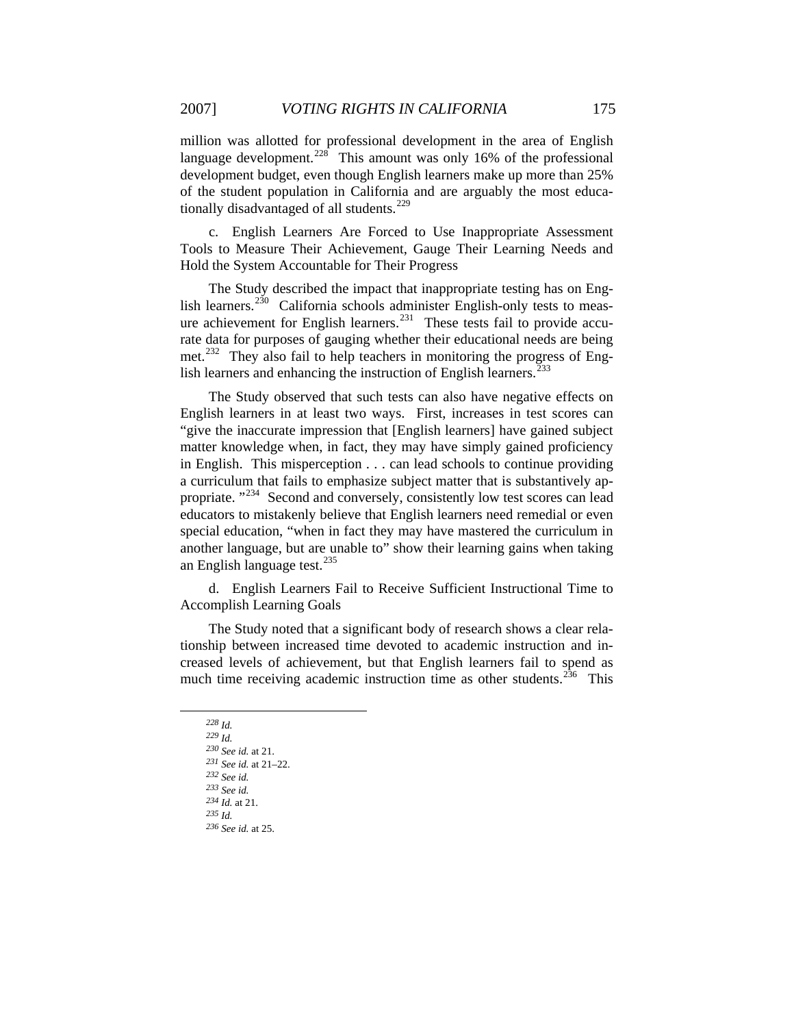[of the student population in California a](#page-44-1)nd are arguably the most educationally disadvantaged of all students.<sup>229</sup> [million was allotted for professional development in the area of English](#page-44-0)  [language development.](#page-44-0)<sup>228</sup> This amount was only 16% of the professional [development budget, even though English learners make up more than 25%](#page-44-1) 

Tools to Measure Their Achievement, Gauge Their Learning Needs and Hold the System Accountable for Their Progress c. English Learners Are Forced to Use Inappropriate Assessment

met.<sup>[232](#page-44-4)</sup> They also fail to help teachers in monitoring the progress of English learners and enhancing the instruction of English learners. $^{233}$  $^{233}$  $^{233}$ The Study described the impact that inappropriate testing has on Eng-lish learners.<sup>[230](#page-44-2)</sup> California schools administer English-only tests to meas-ure achievement for English learners.<sup>[231](#page-44-3)</sup> These tests fail to provide accurate data for purposes of gauging whether their educational needs are being

[another language, but are un](#page-44-6)able to" show their learning gains when taking an English language test.<sup>235</sup> [The Study observed that such tests can also have negative effects on](#page-44-5)  [English learners in at least two ways. First, increases in test scores can](#page-44-5)  ["give the inaccurate impression that \[English learners\] have gained subject](#page-44-5)  [matter knowledge when, in fact, they may have simply gained proficiency](#page-44-5)  [in English. This misperception . . . can lead schools to continue providing](#page-44-5)  [a curriculum that fails to emphasize subject matter that is substantively ap](#page-44-5)[propriate. "](#page-44-5)<sup>234</sup> Second and conversely, consistently low test scores can lead [educators to mistakenly believe that English learners need remedial or even](#page-44-6)  [special education, "when in fact they may have mastered the curriculum in](#page-44-6) 

d. English Learners Fail to Receive Sufficient Instructional Time to Acco mplish Learning Goals

The Study noted that a significant body of research shows a clear relationship between increased time devoted to academic instruction and increased levels of achievement, but that English learners fail to spend as much time receiving academic instruction time as other students.<sup>[236](#page-44-7)</sup> This

<span id="page-44-4"></span><span id="page-44-3"></span><span id="page-44-2"></span><span id="page-44-1"></span><span id="page-44-0"></span> $\overline{a}$ 

*<sup>230</sup> See id.* at 21.

*<sup>228</sup> Id.*

*<sup>229</sup> Id.*

*<sup>231</sup> See id.* at 21–22.

*<sup>232</sup> See id.*

*<sup>233</sup> See id. <sup>234</sup> Id.* at 21.

<span id="page-44-7"></span><span id="page-44-6"></span><span id="page-44-5"></span>*<sup>235</sup> Id.*

*<sup>236</sup> See id.* at 25.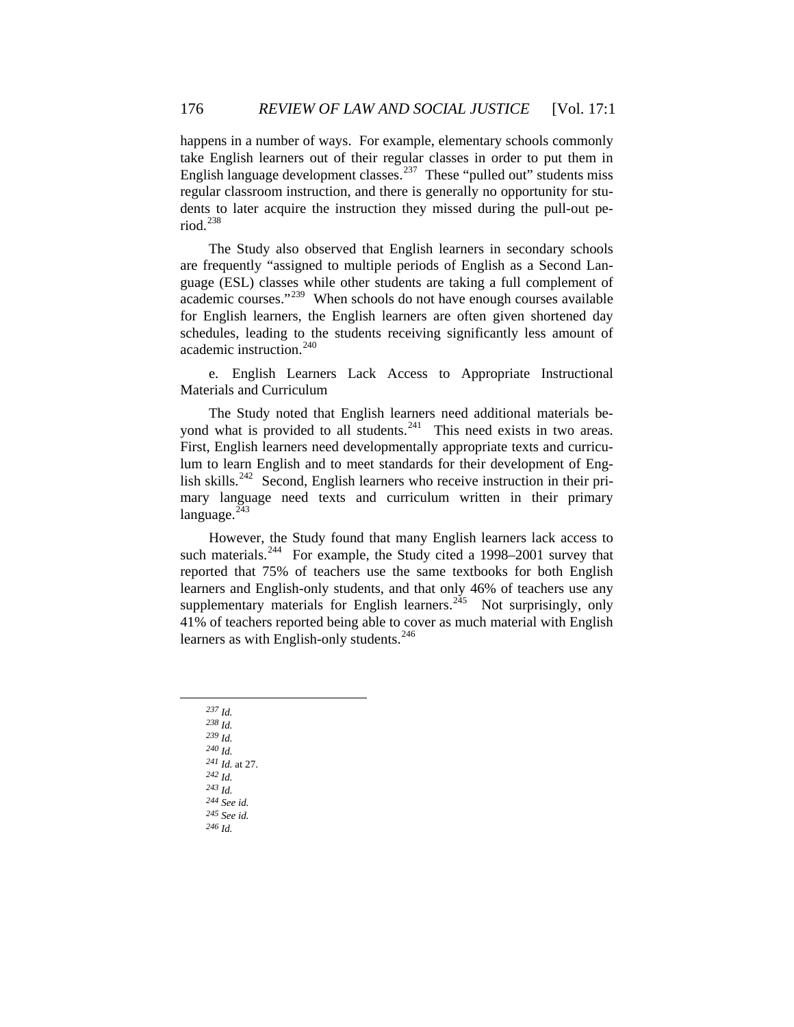dents to later acquire the instruction they missed during the pull-out period. [238](#page-45-1) happens in a number of ways. For example, elementary schools commonly take English learners out of their regular classes in order to put them in English language development classes.<sup>[237](#page-45-0)</sup> These "pulled out" students miss regular classroom instruction, and there is generally no opportunity for stu-

[schedules, leading to th](#page-45-2)e students receiving significantly less amount of academic instruction.<sup>240</sup> [The Study also observed that English learners in secondary schools](#page-45-1)  [are frequently "assigned to multiple periods of English as a Second Lan](#page-45-1)[guage \(ESL\) classes while other students are taking a full complement of](#page-45-1)  [academic courses."](#page-45-1)<sup>239</sup> When schools do not have enough courses available [for English learners, the English learners are often given shortened day](#page-45-2) 

e. English Learners Lack Access to Appropriate Instructional Mate rials and Curriculum

mary language need texts and curriculum written in their primary language.<sup>[243](#page-45-5)</sup> The Study noted that English learners need additional materials beyond what is provided to all students. $241$  This need exists in two areas. First, English learners need developmentally appropriate texts and curriculum to learn English and to meet standards for their development of Eng-lish skills.<sup>[242](#page-45-4)</sup> Second, English learners who receive instruction in their pri-

[41% of teachers reported being able to cov](#page-45-7)er as much material with English learners as with English-only students.<sup>246</sup> [However, the Study found that many English learners lack access to](#page-45-5)  [such materials.](#page-45-5)<sup>244</sup> For example, the Study cited a 1998–2001 survey that [reported that 75% of teachers use the same textbooks for both English](#page-45-6)  [learners and English-only students, and that only 46% of teachers use any](#page-45-6)  [supplementary materials for English learners.](#page-45-6)<sup>245</sup> Not surprisingly, only

<span id="page-45-7"></span><span id="page-45-6"></span><span id="page-45-5"></span><span id="page-45-4"></span><span id="page-45-3"></span><span id="page-45-2"></span><span id="page-45-1"></span><span id="page-45-0"></span>*<sup>237</sup> Id. <sup>238</sup> Id. <sup>239</sup> Id. <sup>240</sup> Id. <sup>241</sup> Id.* at 27. *<sup>242</sup> Id. <sup>243</sup> Id. <sup>244</sup> See id. <sup>245</sup> See id. <sup>246</sup> Id.*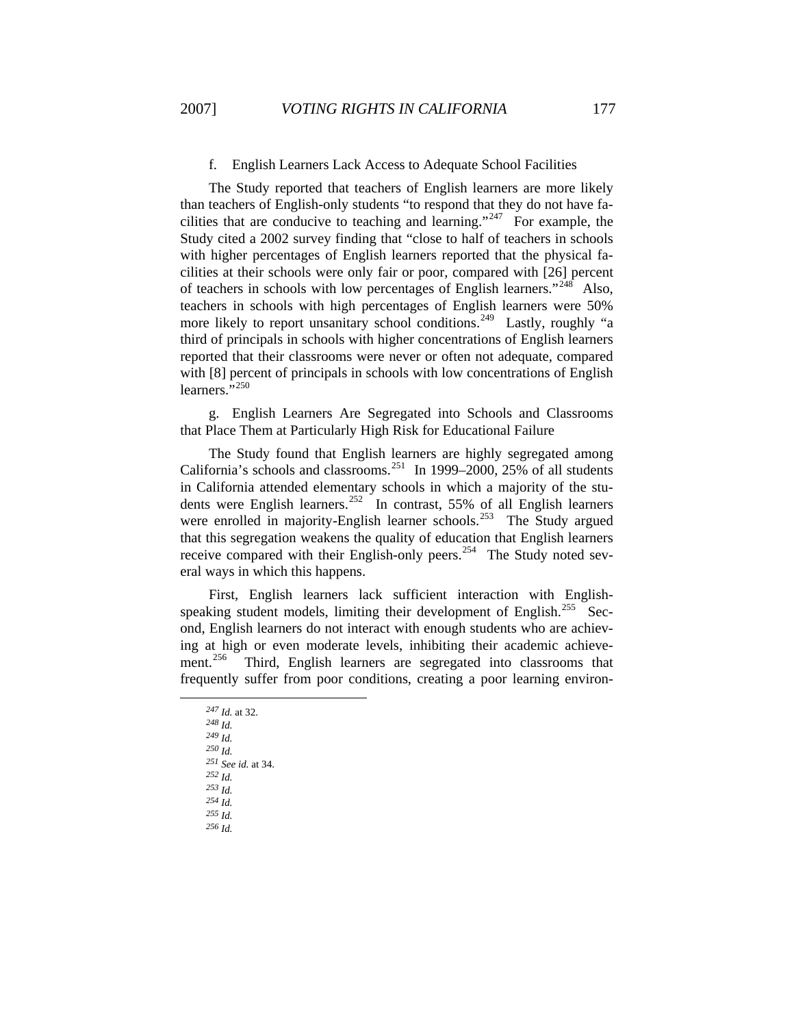# f. English Learners Lack Access to Adequate School Facilities

with [8] percent of principals in schools with low concentrations of English learners."<sup>250</sup> The Study reported that teachers of English learners are more likely than teachers of English-only students "to respond that they do not have fa-cilities that are conducive to teaching and learning."<sup>[247](#page-46-0)</sup> For example, the Study cited a 2002 survey finding that "close to half of teachers in schools with higher percentages of English learners reported that the physical facilities at their schools were only fair or poor, compared with [26] percent of teachers in schools with low percentages of English learners."<sup>[248](#page-46-1)</sup> Also, teachers in schools with high percentages of English learners were 50% more likely to report unsanitary school conditions.<sup>[249](#page-46-2)</sup> Lastly, roughly "a third of principals in schools with higher concentrations of English learners reported that their classrooms were never or often not adequate, compared

g. English Learners Are Segregated into Schools and Classrooms that Place Them at Particularly High Risk for Educational Failure

that this segregation weakens the quality of education that English learners receive compared with their English-only peers.<sup>254</sup> The Study noted several ways in which this happens. The Study found that English learners are highly segregated among California's schools and classrooms.<sup>[251](#page-46-3)</sup> In 1999–2000, 25% of all students in California attended elementary schools in which a majority of the stu-dents were English learners.<sup>[252](#page-46-4)</sup> In contrast, 55% of all English learners were enrolled in majority-English learner schools.<sup>[253](#page-46-5)</sup> The Study argued

ment.<sup>[256](#page-46-7)</sup> Third, English learners are segregated into classrooms that frequently suffer from poor conditions, creating a poor learning environ- First, English learners lack sufficient interaction with English-speaking student models, limiting their development of English.<sup>[255](#page-46-6)</sup> Second, English learners do not interact with enough students who are achieving at high or even moderate levels, inhibiting their academic achieve-

<span id="page-46-7"></span><span id="page-46-6"></span><span id="page-46-5"></span><span id="page-46-4"></span><span id="page-46-3"></span><span id="page-46-2"></span><span id="page-46-1"></span><span id="page-46-0"></span>247 *Id.* at 32. <sup>251</sup> See id. at 34. *<sup>248</sup> Id. <sup>249</sup> Id. <sup>250</sup> Id. <sup>251</sup> See 252 Id. <sup>253</sup> Id. <sup>254</sup> Id. <sup>255</sup> Id. <sup>256</sup> Id.*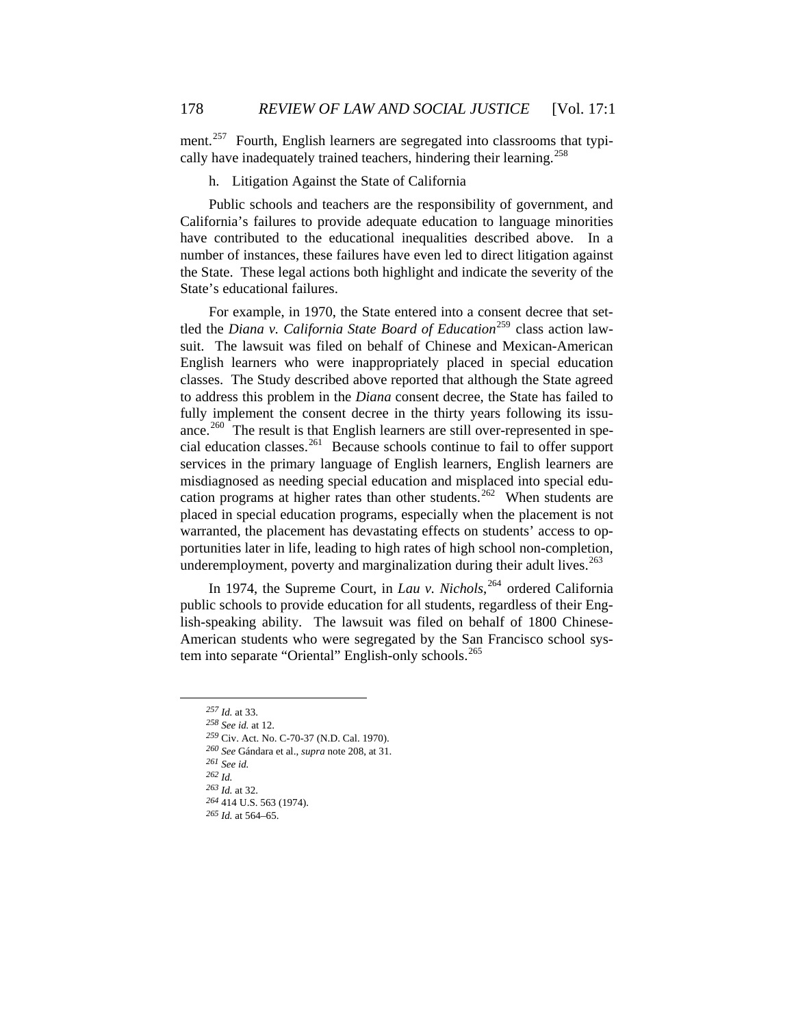cally have inadequately trained teachers, hindering their learning.<sup>258</sup> ment.<sup>[257](#page-47-0)</sup> Fourth, English learners are segregated into classrooms that typi-

# h. Litigation Against the State of California

Public schools and teachers are the responsibility of government, and California's failures to provide adequate education to language minorities have contributed to the educational inequalities described above. In a number of instances, these failures have even led to direct litigation against the State. These legal actions both highlight and indicate the severity of the State's educational failures.

For example, in 1970, the State entered into a consent decree that settled the *Diana v. California State Board of Education*[259](#page-47-1) class action lawsuit. The lawsuit was filed on behalf of Chinese and Mexican-American English learners who were inappropriately placed in special education classes. The Study described above reported that although the State agreed to address this problem in the *Diana* consent decree, the State has failed to fully implement the consent decree in the thirty years following its issu-ance.<sup>[260](#page-47-2)</sup> The result is that English learners are still over-represented in special education classes.[261](#page-47-3) Because schools continue to fail to offer support services in the primary language of English learners, English learners are misdiagnosed as needing special education and misplaced into special edu-cation programs at higher rates than other students.<sup>[262](#page-47-4)</sup> When students are placed in special education programs, especially when the placement is not warranted, the placement has devastating effects on students' access to opportunities later in life, leading to high rates of high school non-completion, underemployment, poverty and marginalization during their adult lives. $263$ 

In 1974, the Supreme Court, in *Lau v. Nichols*, [264](#page-47-6) ordered California public schools to provide education for all students, regardless of their English-speaking ability. The lawsuit was filed on behalf of 1800 Chinese-American students who were segregated by the San Francisco school sys-tem into separate "Oriental" English-only schools.<sup>[265](#page-47-7)</sup>

*<sup>261</sup> See id.*

- *<sup>262</sup> Id.*
- *<sup>263</sup> Id.* at 32.

*<sup>257</sup> Id.* at 33.

*<sup>258</sup> See id.* at 12.

<span id="page-47-0"></span>*<sup>259</sup>* Civ. Act. No. C-70-37 (N.D. Cal. 1970).

<span id="page-47-5"></span><span id="page-47-4"></span><span id="page-47-3"></span><span id="page-47-2"></span><span id="page-47-1"></span>*<sup>260</sup> See* Gándara et al., *supra* note 208, at 31.

*<sup>264</sup>* 414 U.S. 563 (1974).

<span id="page-47-7"></span><span id="page-47-6"></span>*<sup>265</sup> Id.* at 564–65.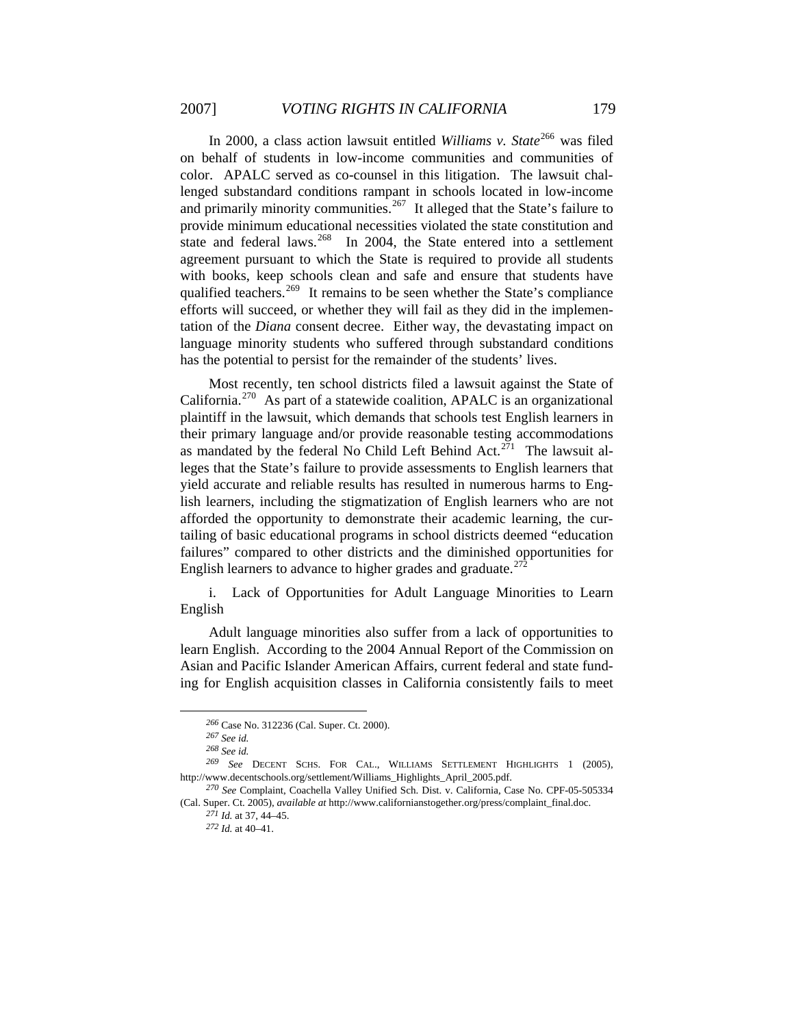In 2000, a class action lawsuit entitled *Williams v. State*<sup>[266](#page-48-0)</sup> was filed on behalf of students in low-income communities and communities of color. APALC served as co-counsel in this litigation. The lawsuit challenged substandard conditions rampant in schools located in low-income and primarily minority communities.<sup>[267](#page-48-1)</sup> It alleged that the State's failure to provide minimum educational necessities violated the state constitution and state and federal laws.<sup>[268](#page-48-2)</sup> In 2004, the State entered into a settlement agreement pursuant to which the State is required to provide all students with books, keep schools clean and safe and ensure that students have qualified teachers.<sup>[269](#page-48-3)</sup> It remains to be seen whether the State's compliance efforts will succeed, or whether they will fail as they did in the implementation of the *Diana* consent decree. Either way, the devastating impact on language minority students who suffered through substandard conditions has the potential to persist for the remainder of the students' lives.

Most recently, ten school districts filed a lawsuit against the State of California.<sup>[270](#page-48-4)</sup> As part of a statewide coalition, APALC is an organizational plaintiff in the lawsuit, which demands that schools test English learners in their primary language and/or provide reasonable testing accommodations as mandated by the federal No Child Left Behind Act.<sup>[271](#page-48-5)</sup> The lawsuit alleges that the State's failure to provide assessments to English learners that yield accurate and reliable results has resulted in numerous harms to English learners, including the stigmatization of English learners who are not afforded the opportunity to demonstrate their academic learning, the curtailing of basic educational programs in school districts deemed "education failures" compared to other districts and the diminished opportunities for English learners to advance to higher grades and graduate.<sup>[272](#page-48-6)</sup>

i. Lack of Opportunities for Adult Language Minorities to Learn English

Adult language minorities also suffer from a lack of opportunities to learn English. According to the 2004 Annual Report of the Commission on Asian and Pacific Islander American Affairs, current federal and state funding for English acquisition classes in California consistently fails to meet

*<sup>266</sup>* Case No. 312236 (Cal. Super. Ct. 2000).

*<sup>267</sup> See id.*

*<sup>268</sup> See id.*

<span id="page-48-3"></span><span id="page-48-2"></span><span id="page-48-1"></span><span id="page-48-0"></span>*<sup>269</sup> See* DECENT SCHS. FOR CAL., WILLIAMS SETTLEMENT HIGHLIGHTS 1 (2005), http://www.decentschools.org/settlement/Williams\_Highlights\_April\_2005.pdf.

<span id="page-48-6"></span><span id="page-48-5"></span><span id="page-48-4"></span>*<sup>270</sup> See* Complaint, Coachella Valley Unified Sch. Dist. v. California, Case No. CPF-05-505334 (Cal. Super. Ct. 2005), *available at* http://www.californianstogether.org/press/complaint\_final.doc.

*<sup>271</sup> Id.* at 37, 44–45.

*<sup>272</sup> Id.* at 40–41.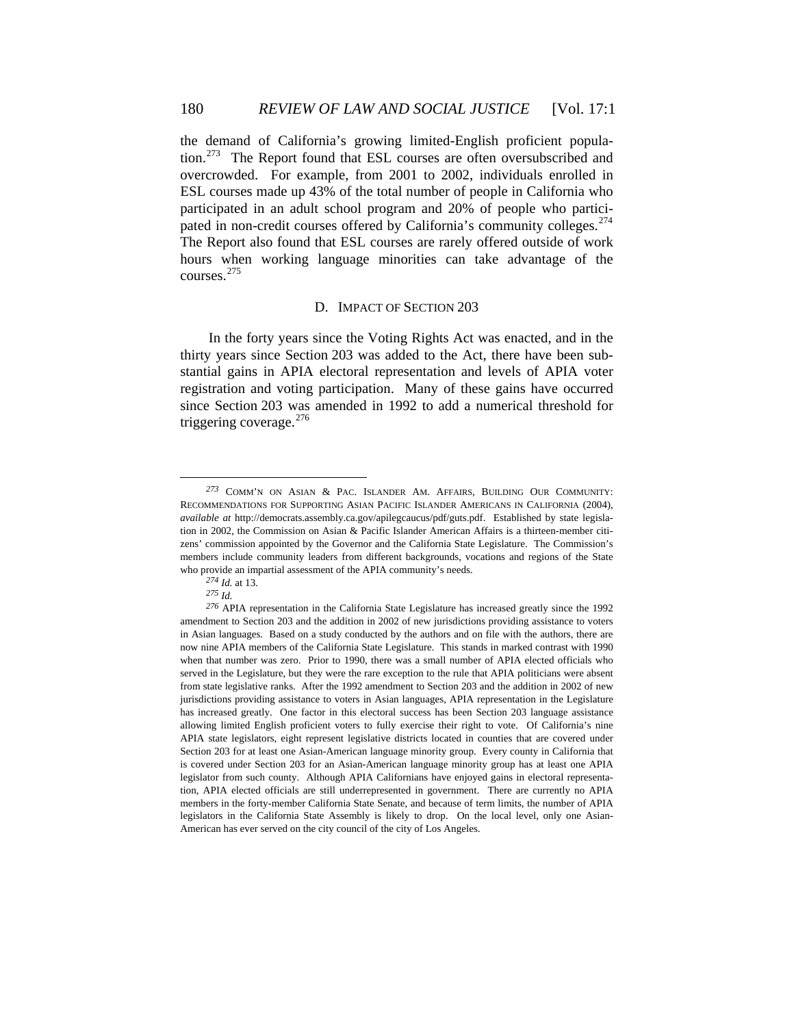the demand of California's growing limited-English proficient popula-tion.<sup>[273](#page-49-0)</sup> The Report found that ESL courses are often oversubscribed and overcrowded. For example, from 2001 to 2002, individuals enrolled in ESL courses made up 43% of the total number of people in California who participated in an adult school program and 20% of people who partici-pated in non-credit courses offered by California's community colleges.<sup>[274](#page-49-1)</sup> The Report also found that ESL courses are rarely offered outside of work hours when working language minorities can take advantage of the courses.[275](#page-49-2)

### D. IMPACT OF SECTION 203

In the forty years since the Voting Rights Act was enacted, and in the thirty years since Section 203 was added to the Act, there have been substantial gains in APIA electoral representation and levels of APIA voter registration and voting participation. Many of these gains have occurred since Section 203 was amended in 1992 to add a numerical threshold for triggering coverage. $276$ 

<span id="page-49-0"></span>*<sup>273</sup>* COMM'N ON ASIAN & PAC. ISLANDER AM. AFFAIRS, BUILDING OUR COMMUNITY: RECOMMENDATIONS FOR SUPPORTING ASIAN PACIFIC ISLANDER AMERICANS IN CALIFORNIA (2004), *available at* http://democrats.assembly.ca.gov/apilegcaucus/pdf/guts.pdf. Established by state legislation in 2002, the Commission on Asian & Pacific Islander American Affairs is a thirteen-member citizens' commission appointed by the Governor and the California State Legislature. The Commission's members include community leaders from different backgrounds, vocations and regions of the State who provide an impartial assessment of the APIA community's needs.

*<sup>274</sup> Id.* at 13.

*<sup>275</sup> Id.*

<span id="page-49-3"></span><span id="page-49-2"></span><span id="page-49-1"></span>*<sup>276</sup>* APIA representation in the California State Legislature has increased greatly since the 1992 amendment to Section 203 and the addition in 2002 of new jurisdictions providing assistance to voters in Asian languages. Based on a study conducted by the authors and on file with the authors, there are now nine APIA members of the California State Legislature. This stands in marked contrast with 1990 when that number was zero. Prior to 1990, there was a small number of APIA elected officials who served in the Legislature, but they were the rare exception to the rule that APIA politicians were absent from state legislative ranks. After the 1992 amendment to Section 203 and the addition in 2002 of new jurisdictions providing assistance to voters in Asian languages, APIA representation in the Legislature has increased greatly. One factor in this electoral success has been Section 203 language assistance allowing limited English proficient voters to fully exercise their right to vote. Of California's nine APIA state legislators, eight represent legislative districts located in counties that are covered under Section 203 for at least one Asian-American language minority group. Every county in California that is covered under Section 203 for an Asian-American language minority group has at least one APIA legislator from such county. Although APIA Californians have enjoyed gains in electoral representation, APIA elected officials are still underrepresented in government. There are currently no APIA members in the forty-member California State Senate, and because of term limits, the number of APIA legislators in the California State Assembly is likely to drop. On the local level, only one Asian-American has ever served on the city council of the city of Los Angeles.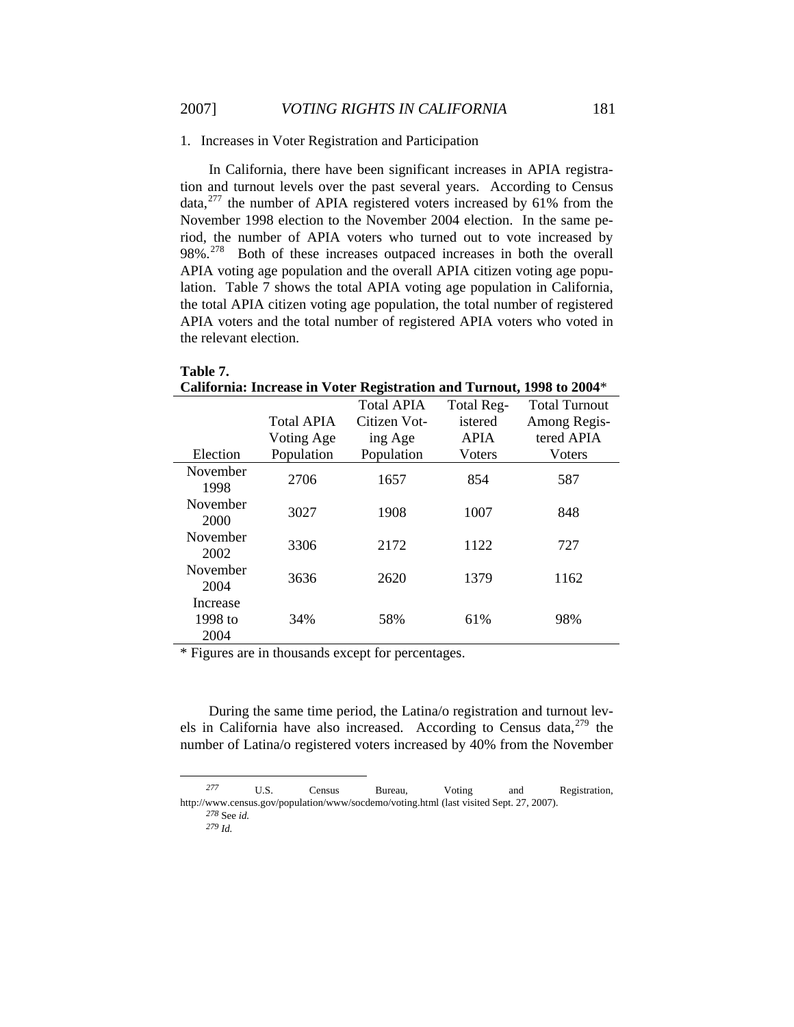### 1. Increases in Voter Registration and Participation

In California, there have been significant increases in APIA registration and turnout levels over the past several years. According to Census data, $277$  the number of APIA registered voters increased by 61% from the November 1998 election to the November 2004 election. In the same period, the number of APIA voters who turned out to vote increased by 98%<sup>[278](#page-50-1)</sup> Both of these increases outpaced increases in both the overall APIA voting age population and the overall APIA citizen voting age population. Table 7 shows the total APIA voting age population in California, the total APIA citizen voting age population, the total number of registered APIA voters and the total number of registered APIA voters who voted in the relevant election.

| California: Increase in Voter Registration and Turnout, 1998 to 2004* |                   |                   |             |                      |  |
|-----------------------------------------------------------------------|-------------------|-------------------|-------------|----------------------|--|
|                                                                       |                   | <b>Total APIA</b> | Total Reg-  | <b>Total Turnout</b> |  |
|                                                                       | <b>Total APIA</b> | Citizen Vot-      | istered     | Among Regis-         |  |
|                                                                       | Voting Age        | ing Age           | <b>APIA</b> | tered APIA           |  |
| Election                                                              | Population        | Population        | Voters      | Voters               |  |
| November<br>1998                                                      | 2706              | 1657              | 854         | 587                  |  |
| November<br>2000                                                      | 3027              | 1908              | 1007        | 848                  |  |
| November<br>2002                                                      | 3306              | 2172              | 1122        | 727                  |  |
| November<br>2004                                                      | 3636              | 2620              | 1379        | 1162                 |  |
| Increase<br>1998 to<br>2004                                           | 34%               | 58%               | 61%         | 98%                  |  |

\* Figures are in thousands except for percentages.

During the same time period, the Latina/o registration and turnout levels in California have also increased. According to Census data,  $279$  the number of Latina/o registered voters increased by 40% from the November

 $\overline{a}$ 

**Table 7.** 

<span id="page-50-2"></span><span id="page-50-1"></span><span id="page-50-0"></span>*<sup>277</sup>* U.S. Census Bureau, Voting and Registration, http://www.census.gov/population/www/socdemo/voting.html (last visited Sept. 27, 2007). *<sup>278</sup>* See *id.*

*<sup>279</sup> Id.*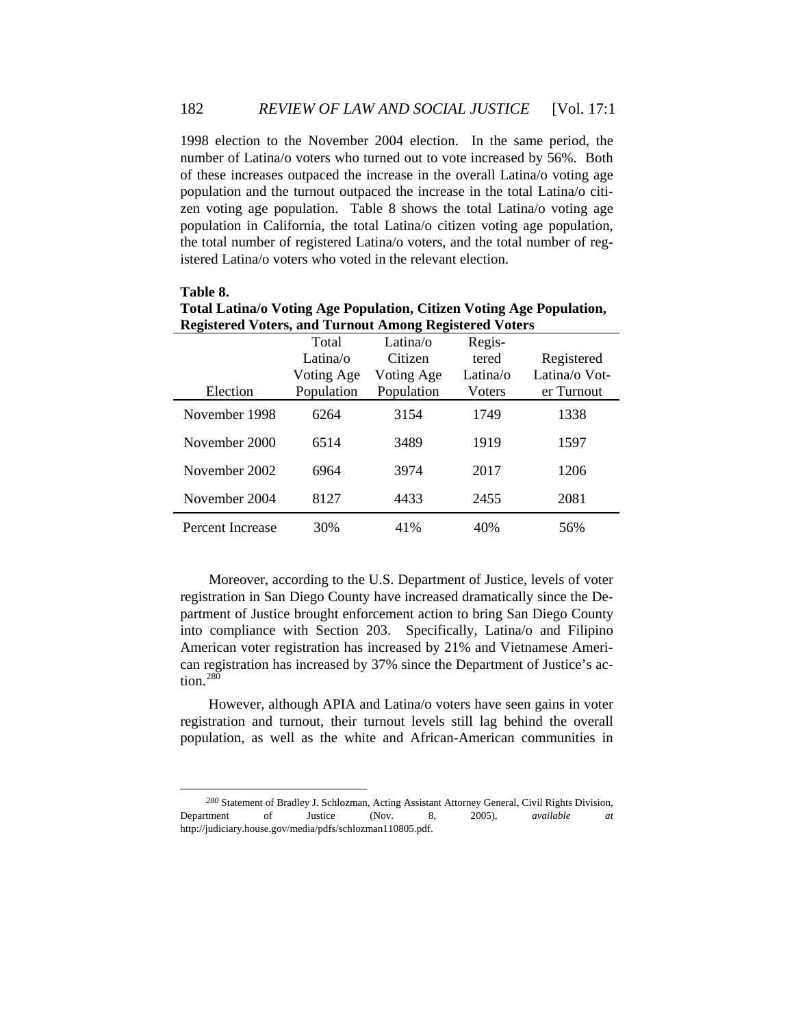1998 election to the November 2004 election. In the same period, the number of Latina/o voters who turned out to vote increased by 56%. Both of these increases outpaced the increase in the overall Latina/o voting age population and the turnout outpaced the increase in the total Latina/o citizen voting age population. Table 8 shows the total Latina/o voting age population in California, the total Latina/o citizen voting age population, the total number of registered Latina/o voters, and the total number of registered Latina/o voters who voted in the relevant election.

| Registered Voters, and Turnout Among Registered Voters |            |            |          |               |  |
|--------------------------------------------------------|------------|------------|----------|---------------|--|
|                                                        | Total      | Latina/o   | Regis-   |               |  |
|                                                        | Latina/o   | Citizen    | tered    | Registered    |  |
|                                                        | Voting Age | Voting Age | Latina/o | Latina/o Vot- |  |
| Election                                               | Population | Population | Voters   | er Turnout    |  |
| November 1998                                          | 6264       | 3154       | 1749     | 1338          |  |
| November 2000                                          | 6514       | 3489       | 1919     | 1597          |  |
| November 2002                                          | 6964       | 3974       | 2017     | 1206          |  |
| November 2004                                          | 8127       | 4433       | 2455     | 2081          |  |
| Percent Increase                                       | 30%        | 41%        | 40%      | 56%           |  |

**Total Latina/o Voting Age Population, Citizen Voting Age Population, Registered Voters, and Turnout Among Registered Voters**

**Table 8.** 

 $\overline{a}$ 

Moreover, according to the U.S. Department of Justice, levels of voter registration in San Diego County have increased dramatically since the Department of Justice brought enforcement action to bring San Diego County into compliance with Section 203. Specifically, Latina/o and Filipino American voter registration has increased by 21% and Vietnamese American registration has increased by 37% since the Department of Justice's action. $^{280}$  $^{280}$  $^{280}$ 

However, although APIA and Latina/o voters have seen gains in voter registration and turnout, their turnout levels still lag behind the overall population, as well as the white and African-American communities in

<span id="page-51-0"></span>*<sup>280</sup>* Statement of Bradley J. Schlozman, Acting Assistant Attorney General, Civil Rights Division, Department of Justice (Nov. 8, 2005), *available at* http://judiciary.house.gov/media/pdfs/schlozman110805.pdf.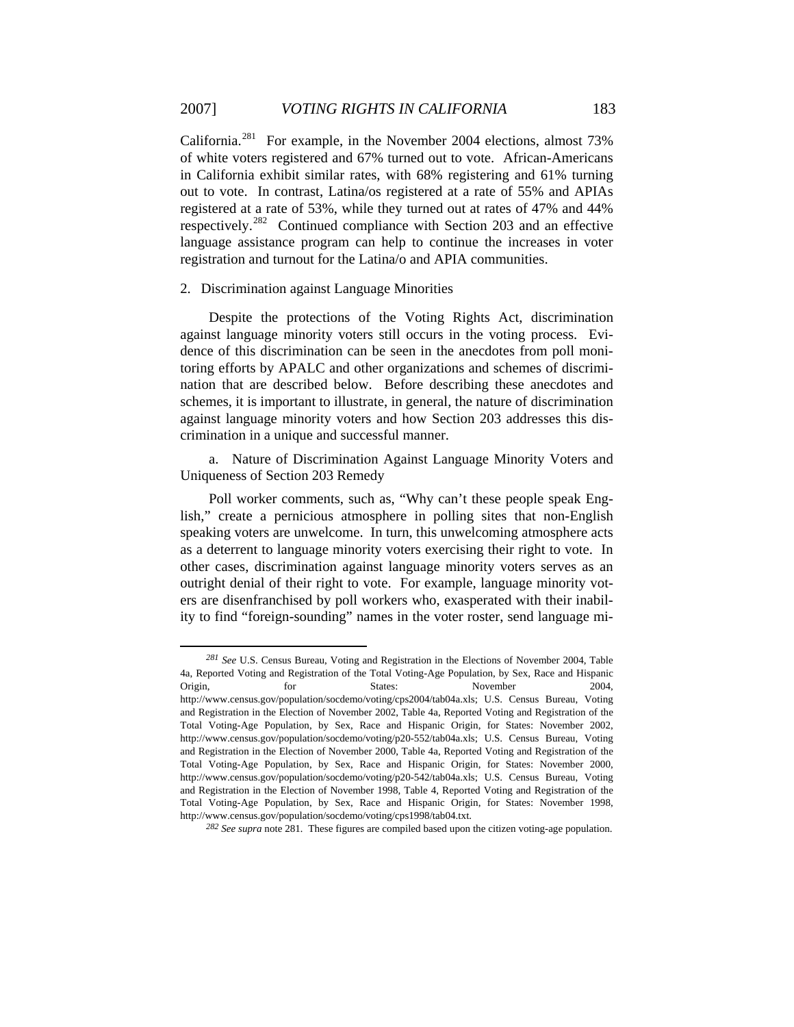California.<sup>[281](#page-52-0)</sup> For example, in the November 2004 elections, almost 73% of white voters registered and 67% turned out to vote. African-Americans in California exhibit similar rates, with 68% registering and 61% turning out to vote. In contrast, Latina/os registered at a rate of 55% and APIAs registered at a rate of 53%, while they turned out at rates of 47% and 44% respectively.<sup>[282](#page-52-1)</sup> Continued compliance with Section 203 and an effective language assistance program can help to continue the increases in voter registration and turnout for the Latina/o and APIA communities.

# 2. Discrimination against Language Minorities

 $\overline{a}$ 

Despite the protections of the Voting Rights Act, discrimination against language minority voters still occurs in the voting process. Evidence of this discrimination can be seen in the anecdotes from poll monitoring efforts by APALC and other organizations and schemes of discrimination that are described below. Before describing these anecdotes and schemes, it is important to illustrate, in general, the nature of discrimination against language minority voters and how Section 203 addresses this discrimination in a unique and successful manner.

a. Nature of Discrimination Against Language Minority Voters and Uniqueness of Section 203 Remedy

Poll worker comments, such as, "Why can't these people speak English," create a pernicious atmosphere in polling sites that non-English speaking voters are unwelcome. In turn, this unwelcoming atmosphere acts as a deterrent to language minority voters exercising their right to vote. In other cases, discrimination against language minority voters serves as an outright denial of their right to vote. For example, language minority voters are disenfranchised by poll workers who, exasperated with their inability to find "foreign-sounding" names in the voter roster, send language mi-

<span id="page-52-0"></span>*<sup>281</sup> See* U.S. Census Bureau, Voting and Registration in the Elections of November 2004, Table 4a, Reported Voting and Registration of the Total Voting-Age Population, by Sex, Race and Hispanic Origin, for States: November 2004, http://www.census.gov/population/socdemo/voting/cps2004/tab04a.xls; U.S. Census Bureau, Voting and Registration in the Election of November 2002, Table 4a, Reported Voting and Registration of the Total Voting-Age Population, by Sex, Race and Hispanic Origin, for States: November 2002, http://www.census.gov/population/socdemo/voting/p20-552/tab04a.xls; U.S. Census Bureau, Voting and Registration in the Election of November 2000, Table 4a, Reported Voting and Registration of the Total Voting-Age Population, by Sex, Race and Hispanic Origin, for States: November 2000, http://www.census.gov/population/socdemo/voting/p20-542/tab04a.xls; U.S. Census Bureau, Voting and Registration in the Election of November 1998, Table 4, Reported Voting and Registration of the Total Voting-Age Population, by Sex, Race and Hispanic Origin, for States: November 1998, http://www.census.gov/population/socdemo/voting/cps1998/tab04.txt.

<span id="page-52-1"></span>*<sup>282</sup> See supra* note 281*.* These figures are compiled based upon the citizen voting-age population.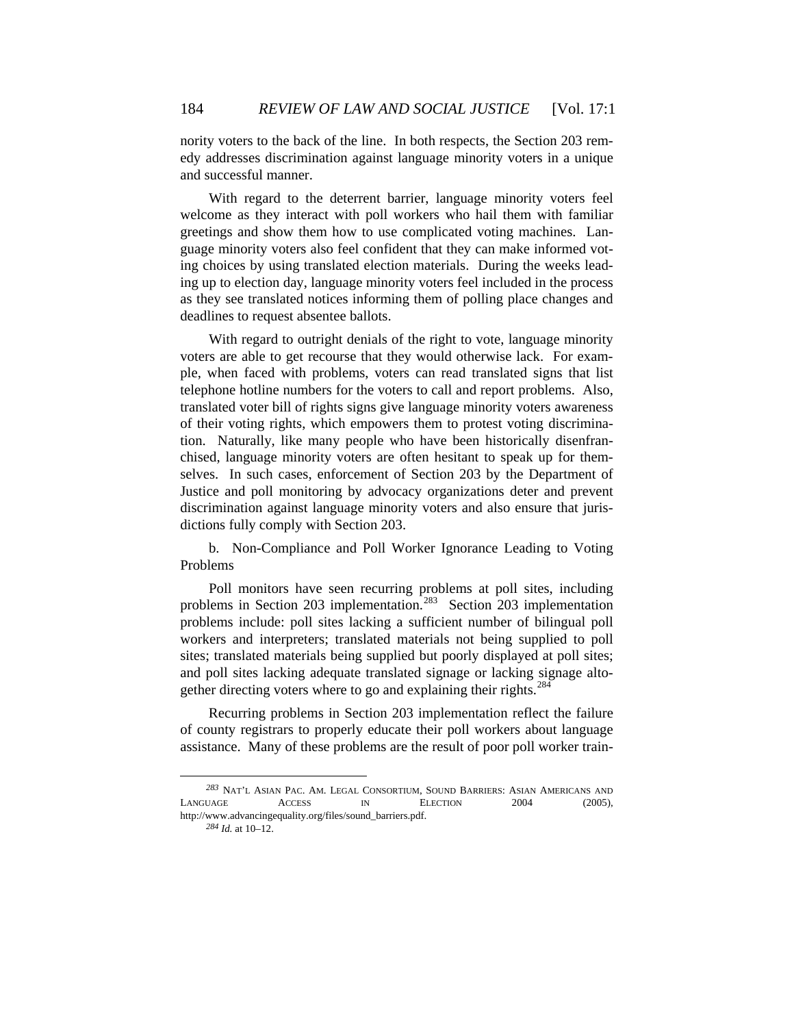nority voters to the back of the line. In both respects, the Section 203 remedy addresses discrimination against language minority voters in a unique and successful manner.

With regard to the deterrent barrier, language minority voters feel welcome as they interact with poll workers who hail them with familiar greetings and show them how to use complicated voting machines. Language minority voters also feel confident that they can make informed voting choices by using translated election materials. During the weeks leading up to election day, language minority voters feel included in the process as they see translated notices informing them of polling place changes and deadlines to request absentee ballots.

With regard to outright denials of the right to vote, language minority voters are able to get recourse that they would otherwise lack. For example, when faced with problems, voters can read translated signs that list telephone hotline numbers for the voters to call and report problems. Also, translated voter bill of rights signs give language minority voters awareness of their voting rights, which empowers them to protest voting discrimination. Naturally, like many people who have been historically disenfranchised, language minority voters are often hesitant to speak up for themselves. In such cases, enforcement of Section 203 by the Department of Justice and poll monitoring by advocacy organizations deter and prevent discrimination against language minority voters and also ensure that jurisdictions fully comply with Section 203.

b. Non-Compliance and Poll Worker Ignorance Leading to Voting Problems

Poll monitors have seen recurring problems at poll sites, including problems in Section 203 implementation.<sup>[283](#page-53-0)</sup> Section 203 implementation problems include: poll sites lacking a sufficient number of bilingual poll workers and interpreters; translated materials not being supplied to poll sites; translated materials being supplied but poorly displayed at poll sites; and poll sites lacking adequate translated signage or lacking signage alto-gether directing voters where to go and explaining their rights.<sup>[284](#page-53-1)</sup>

Recurring problems in Section 203 implementation reflect the failure of county registrars to properly educate their poll workers about language assistance. Many of these problems are the result of poor poll worker train-

<span id="page-53-1"></span><span id="page-53-0"></span>*<sup>283</sup>* NAT'L ASIAN PAC. AM. LEGAL CONSORTIUM, SOUND BARRIERS: ASIAN AMERICANS AND LANGUAGE ACCESS IN ELECTION 2004 (2005), http://www.advancingequality.org/files/sound\_barriers.pdf.

*<sup>284</sup> Id.* at 10–12.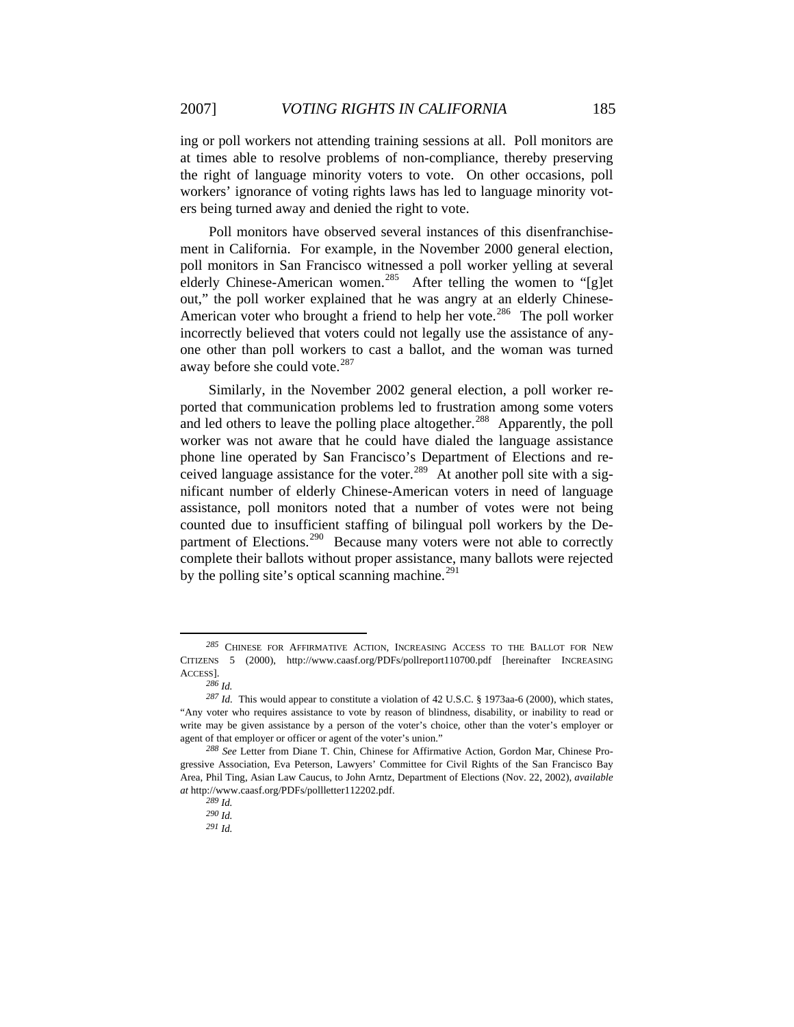ing or poll workers not attending training sessions at all. Poll monitors are at times able to resolve problems of non-compliance, thereby preserving the right of language minority voters to vote. On other occasions, poll workers' ignorance of voting rights laws has led to language minority voters being turned away and denied the right to vote.

Poll monitors have observed several instances of this disenfranchisement in California. For example, in the November 2000 general election, poll monitors in San Francisco witnessed a poll worker yelling at several elderly Chinese-American women.<sup>[285](#page-54-0)</sup> After telling the women to "[g]et out," the poll worker explained that he was angry at an elderly Chinese-American voter who brought a friend to help her vote.<sup>[286](#page-54-1)</sup> The poll worker incorrectly believed that voters could not legally use the assistance of anyone other than poll workers to cast a ballot, and the woman was turned away before she could vote. $287$ 

Similarly, in the November 2002 general election, a poll worker reported that communication problems led to frustration among some voters and led others to leave the polling place altogether.<sup>[288](#page-54-3)</sup> Apparently, the poll worker was not aware that he could have dialed the language assistance phone line operated by San Francisco's Department of Elections and re-ceived language assistance for the voter.<sup>[289](#page-54-4)</sup> At another poll site with a significant number of elderly Chinese-American voters in need of language assistance, poll monitors noted that a number of votes were not being counted due to insufficient staffing of bilingual poll workers by the De-partment of Elections.<sup>[290](#page-54-5)</sup> Because many voters were not able to correctly complete their ballots without proper assistance, many ballots were rejected by the polling site's optical scanning machine.<sup>[291](#page-54-6)</sup>

<span id="page-54-0"></span>*<sup>285</sup>* CHINESE FOR AFFIRMATIVE ACTION, INCREASING ACCESS TO THE BALLOT FOR NEW CITIZENS 5 (2000), http://www.caasf.org/PDFs/pollreport110700.pdf [hereinafter INCREASING ACCESS].

*<sup>286</sup> Id.*

<span id="page-54-2"></span><span id="page-54-1"></span>*<sup>287</sup> Id.* This would appear to constitute a violation of 42 U.S.C. § 1973aa-6 (2000), which states, "Any voter who requires assistance to vote by reason of blindness, disability, or inability to read or write may be given assistance by a person of the voter's choice, other than the voter's employer or agent of that employer or officer or agent of the voter's union."

<span id="page-54-6"></span><span id="page-54-5"></span><span id="page-54-4"></span><span id="page-54-3"></span>*<sup>288</sup> See* Letter from Diane T. Chin, Chinese for Affirmative Action, Gordon Mar, Chinese Progressive Association, Eva Peterson, Lawyers' Committee for Civil Rights of the San Francisco Bay Area, Phil Ting, Asian Law Caucus, to John Arntz, Department of Elections (Nov. 22, 2002), *available at* http://www.caasf.org/PDFs/pollletter112202.pdf.

*<sup>289</sup> Id.*

*<sup>290</sup> Id.*

*<sup>291</sup> Id.*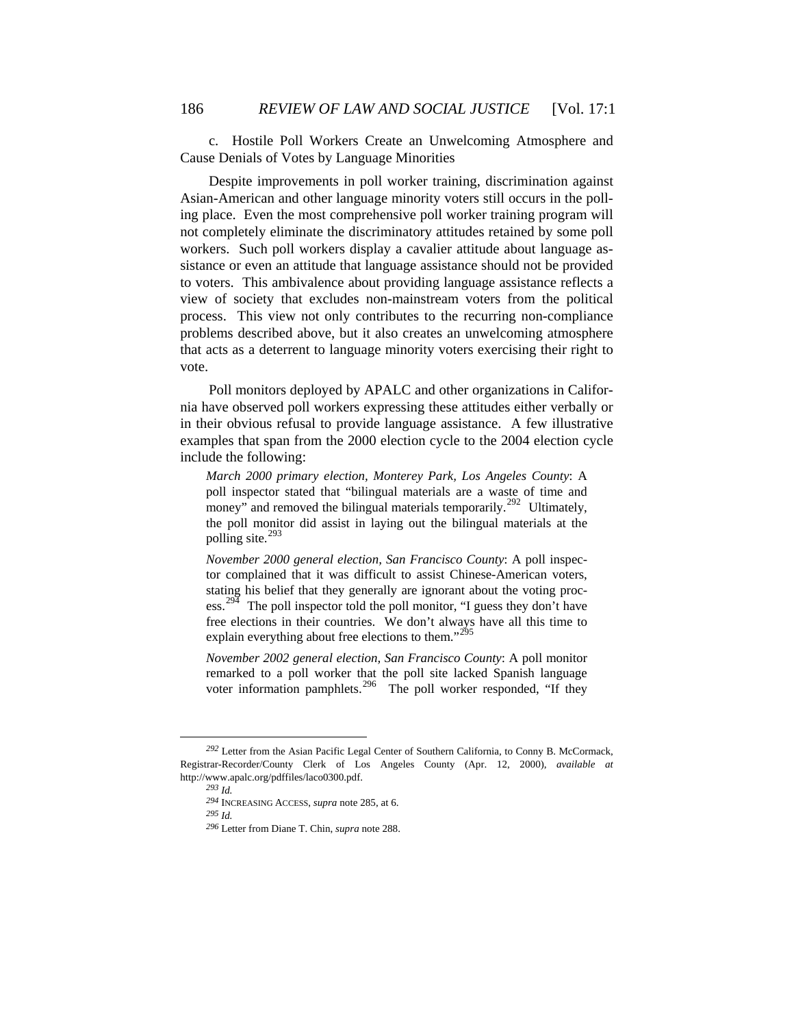c. Hostile Poll Workers Create an Unwelcoming Atmosphere and Cause Denials of Votes by Language Minorities

Despite improvements in poll worker training, discrimination against Asian-American and other language minority voters still occurs in the polling place. Even the most comprehensive poll worker training program will not completely eliminate the discriminatory attitudes retained by some poll workers. Such poll workers display a cavalier attitude about language assistance or even an attitude that language assistance should not be provided to voters. This ambivalence about providing language assistance reflects a view of society that excludes non-mainstream voters from the political process. This view not only contributes to the recurring non-compliance problems described above, but it also creates an unwelcoming atmosphere that acts as a deterrent to language minority voters exercising their right to vote.

Poll monitors deployed by APALC and other organizations in California have observed poll workers expressing these attitudes either verbally or in their obvious refusal to provide language assistance. A few illustrative examples that span from the 2000 election cycle to the 2004 election cycle include the following:

*March 2000 primary election, Monterey Park, Los Angeles County*: A poll inspector stated that "bilingual materials are a waste of time and money" and removed the bilingual materials temporarily.<sup>[292](#page-55-0)</sup> Ultimately, the poll monitor did assist in laying out the bilingual materials at the polling site. $^{293}$  $^{293}$  $^{293}$ 

*November 2000 general election, San Francisco County*: A poll inspector complained that it was difficult to assist Chinese-American voters, stating his belief that they generally are ignorant about the voting proc-ess.<sup>[294](#page-55-2)</sup> The poll inspector told the poll monitor, "I guess they don't have free elections in their countries. We don't always have all this time to explain everything about free elections to them."<sup>[295](#page-55-3)</sup>

*November 2002 general election, San Francisco County*: A poll monitor remarked to a poll worker that the poll site lacked Spanish language voter information pamphlets.<sup>[296](#page-55-4)</sup> The poll worker responded, "If they

<span id="page-55-4"></span><span id="page-55-3"></span><span id="page-55-2"></span><span id="page-55-1"></span><span id="page-55-0"></span>*<sup>292</sup>* Letter from the Asian Pacific Legal Center of Southern California, to Conny B. McCormack, Registrar-Recorder/County Clerk of Los Angeles County (Apr. 12, 2000), *available at*  http://www.apalc.org/pdffiles/laco0300.pdf.

*<sup>293</sup> Id.*

*<sup>294</sup>* INCREASING ACCESS, *supra* note 285, at 6.

*<sup>295</sup> Id.*

*<sup>296</sup>* Letter from Diane T. Chin, *supra* note 288.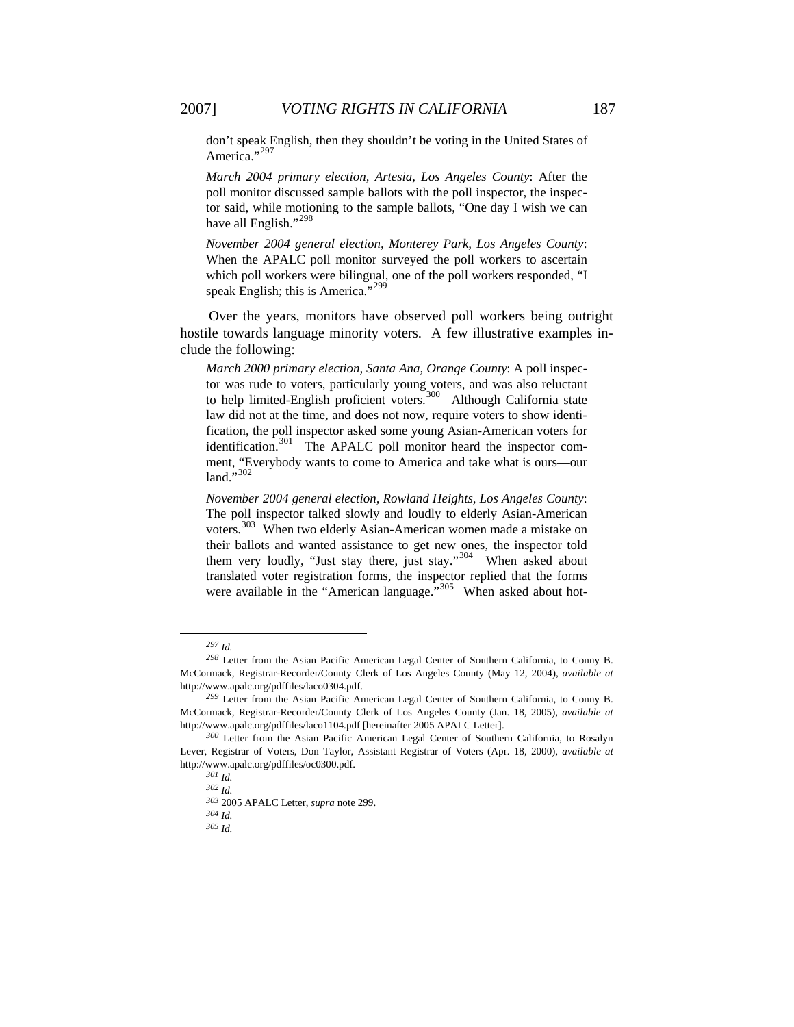don't speak English, then they shouldn't be voting in the United States of America."<sup>[297](#page-56-0)</sup>

*March 2004 primary election, Artesia, Los Angeles County*: After the poll monitor discussed sample ballots with the poll inspector, the inspector said, while motioning to the sample ballots, "One day I wish we can have all English."<sup>[298](#page-56-1)</sup>

*November 2004 general election, Monterey Park, Los Angeles County*: When the APALC poll monitor surveyed the poll workers to ascertain which poll workers were bilingual, one of the poll workers responded, "I speak English; this is America."<sup>[299](#page-56-2)</sup>

Over the years, monitors have observed poll workers being outright hostile towards language minority voters. A few illustrative examples include the following:

*March 2000 primary election, Santa Ana, Orange County*: A poll inspector was rude to voters, particularly young voters, and was also reluctant to help limited-English proficient voters.<sup>[300](#page-56-3)</sup> Although California state law did not at the time, and does not now, require voters to show identification, the poll inspector asked some young Asian-American voters for identification.<sup>[301](#page-56-4)</sup> The APALC poll monitor heard the inspector comment, "Everybody wants to come to America and take what is ours—our land."[302](#page-56-5)

*November 2004 general election, Rowland Heights, Los Angeles County*: The poll inspector talked slowly and loudly to elderly Asian-American voters.[303](#page-56-6) When two elderly Asian-American women made a mistake on their ballots and wanted assistance to get new ones, the inspector told them very loudly, "Just stay there, just stay."<sup>[304](#page-56-7)</sup> When asked about translated voter registration forms, the inspector replied that the forms were available in the "American language."<sup>[305](#page-56-8)</sup> When asked about hot-

*<sup>297</sup> Id.*

<span id="page-56-1"></span><span id="page-56-0"></span>*<sup>298</sup>* Letter from the Asian Pacific American Legal Center of Southern California, to Conny B. McCormack, Registrar-Recorder/County Clerk of Los Angeles County (May 12, 2004), *available at*  http://www.apalc.org/pdffiles/laco0304.pdf.

<span id="page-56-2"></span>*<sup>299</sup>* Letter from the Asian Pacific American Legal Center of Southern California, to Conny B. McCormack, Registrar-Recorder/County Clerk of Los Angeles County (Jan. 18, 2005), *available at*  http://www.apalc.org/pdffiles/laco1104.pdf [hereinafter 2005 APALC Letter].

<span id="page-56-8"></span><span id="page-56-7"></span><span id="page-56-6"></span><span id="page-56-5"></span><span id="page-56-4"></span><span id="page-56-3"></span>*<sup>300</sup>* Letter from the Asian Pacific American Legal Center of Southern California, to Rosalyn Lever, Registrar of Voters, Don Taylor, Assistant Registrar of Voters (Apr. 18, 2000), *available at*  http://www.apalc.org/pdffiles/oc0300.pdf.

*<sup>301</sup> Id.*

*<sup>302</sup> Id.*

*<sup>303</sup>* 2005 APALC Letter, *supra* note 299.

*<sup>304</sup> Id.*

*<sup>305</sup> Id.*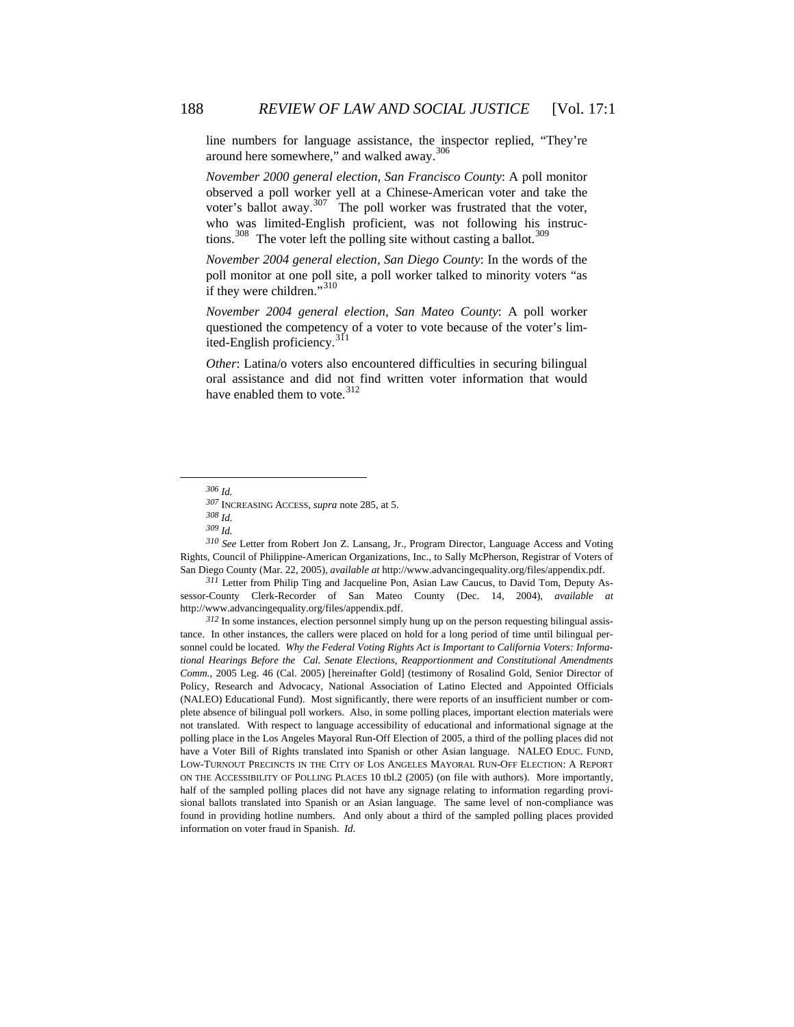line numbers for language assistance, the inspector replied, "They're around here somewhere," and walked away.<sup>[306](#page-57-0)</sup>

*November 2000 general election, San Francisco County*: A poll monitor observed a poll worker yell at a Chinese-American voter and take the voter's ballot away.<sup>[307](#page-57-1)</sup> The poll worker was frustrated that the voter, who was limited-English proficient, was not following his instruc-tions.<sup>[308](#page-57-2)</sup> The voter left the polling site without casting a ballot.<sup>[309](#page-57-3)</sup>

*November 2004 general election, San Diego County*: In the words of the poll monitor at one poll site, a poll worker talked to minority voters "as if they were children."[310](#page-57-4)

*November 2004 general election, San Mateo County*: A poll worker questioned the competency of a voter to vote because of the voter's lim-ited-English proficiency.<sup>[311](#page-57-5)</sup>

*Other*: Latina/o voters also encountered difficulties in securing bilingual oral assistance and did not find written voter information that would have enabled them to vote.  $312$ 

<span id="page-57-1"></span><span id="page-57-0"></span> $\overline{a}$ 

<span id="page-57-4"></span><span id="page-57-3"></span><span id="page-57-2"></span>*<sup>310</sup> See* Letter from Robert Jon Z. Lansang, Jr., Program Director, Language Access and Voting Rights, Council of Philippine-American Organizations, Inc., to Sally McPherson, Registrar of Voters of San Diego County (Mar. 22, 2005), *available at* http://www.advancingequality.org/files/appendix.pdf.

<span id="page-57-5"></span>*<sup>311</sup>* Letter from Philip Ting and Jacqueline Pon, Asian Law Caucus, to David Tom, Deputy Assessor-County Clerk-Recorder of San Mateo County (Dec. 14, 2004), *available at* http://www.advancingequality.org/files/appendix.pdf.

<span id="page-57-6"></span>*<sup>312</sup>* In some instances, election personnel simply hung up on the person requesting bilingual assistance. In other instances, the callers were placed on hold for a long period of time until bilingual personnel could be located. *Why the Federal Voting Rights Act is Important to California Voters: Informational Hearings Before the Cal. Senate Elections, Reapportionment and Constitutional Amendments Comm.*, 2005 Leg. 46 (Cal. 2005) [hereinafter Gold] (testimony of Rosalind Gold, Senior Director of Policy, Research and Advocacy, National Association of Latino Elected and Appointed Officials (NALEO) Educational Fund). Most significantly, there were reports of an insufficient number or complete absence of bilingual poll workers. Also, in some polling places, important election materials were not translated. With respect to language accessibility of educational and informational signage at the polling place in the Los Angeles Mayoral Run-Off Election of 2005, a third of the polling places did not have a Voter Bill of Rights translated into Spanish or other Asian language. NALEO EDUC. FUND, LOW-TURNOUT PRECINCTS IN THE CITY OF LOS ANGELES MAYORAL RUN-OFF ELECTION: A REPORT ON THE ACCESSIBILITY OF POLLING PLACES 10 tbl.2 (2005) (on file with authors). More importantly, half of the sampled polling places did not have any signage relating to information regarding provisional ballots translated into Spanish or an Asian language. The same level of non-compliance was found in providing hotline numbers. And only about a third of the sampled polling places provided information on voter fraud in Spanish. *Id*.

*<sup>306</sup> Id.*

*<sup>307</sup>* INCREASING ACCESS, *supra* note 285, at 5.

*<sup>308</sup> Id. <sup>309</sup> Id.*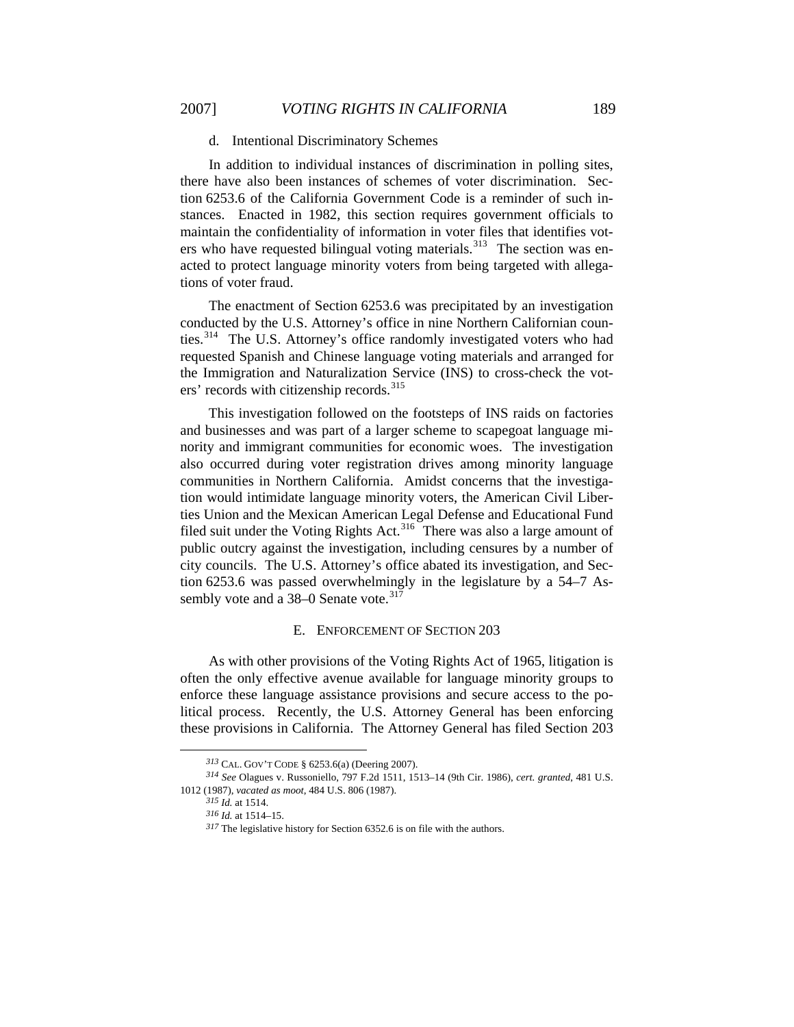### d. Intentional Discriminatory Schemes

In addition to individual instances of discrimination in polling sites, there have also been instances of schemes of voter discrimination. Section 6253.6 of the California Government Code is a reminder of such instances. Enacted in 1982, this section requires government officials to maintain the confidentiality of information in voter files that identifies vot-ers who have requested bilingual voting materials.<sup>[313](#page-58-0)</sup> The section was enacted to protect language minority voters from being targeted with allegations of voter fraud.

The enactment of Section 6253.6 was precipitated by an investigation conducted by the U.S. Attorney's office in nine Northern Californian counties.[314](#page-58-1) The U.S. Attorney's office randomly investigated voters who had requested Spanish and Chinese language voting materials and arranged for the Immigration and Naturalization Service (INS) to cross-check the vot-ers' records with citizenship records.<sup>[315](#page-58-2)</sup>

This investigation followed on the footsteps of INS raids on factories and businesses and was part of a larger scheme to scapegoat language minority and immigrant communities for economic woes. The investigation also occurred during voter registration drives among minority language communities in Northern California. Amidst concerns that the investigation would intimidate language minority voters, the American Civil Liberties Union and the Mexican American Legal Defense and Educational Fund filed suit under the Voting Rights Act.<sup>[316](#page-58-3)</sup> There was also a large amount of public outcry against the investigation, including censures by a number of city councils. The U.S. Attorney's office abated its investigation, and Section 6253.6 was passed overwhelmingly in the legislature by a 54–7 As-sembly vote and a 38–0 Senate vote.<sup>[317](#page-58-4)</sup>

#### E. ENFORCEMENT OF SECTION 203

As with other provisions of the Voting Rights Act of 1965, litigation is often the only effective avenue available for language minority groups to enforce these language assistance provisions and secure access to the political process. Recently, the U.S. Attorney General has been enforcing these provisions in California. The Attorney General has filed Section 203

*<sup>313</sup>* CAL. GOV'T CODE § 6253.6(a) (Deering 2007).

<span id="page-58-4"></span><span id="page-58-3"></span><span id="page-58-2"></span><span id="page-58-1"></span><span id="page-58-0"></span>*<sup>314</sup> See* Olagues v. Russoniello, 797 F.2d 1511, 1513–14 (9th Cir. 1986), *cert. granted*, 481 U.S. 1012 (1987), *vacated as moot*, 484 U.S. 806 (1987).

*<sup>315</sup> Id.* at 1514.

*<sup>316</sup> Id.* at 1514–15.

*<sup>317</sup>* The legislative history for Section 6352.6 is on file with the authors.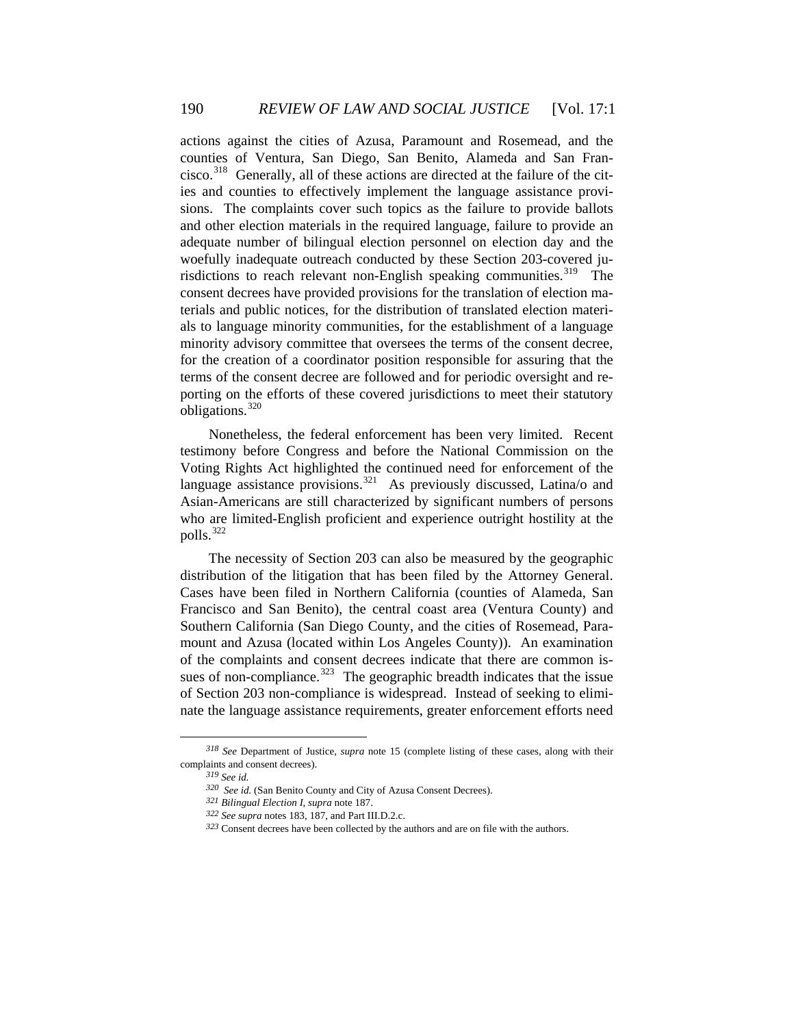actions against the cities of Azusa, Paramount and Rosemead, and the counties of Ventura, San Diego, San Benito, Alameda and San Francisco.[318](#page-59-0) Generally, all of these actions are directed at the failure of the cities and counties to effectively implement the language assistance provisions. The complaints cover such topics as the failure to provide ballots and other election materials in the required language, failure to provide an adequate number of bilingual election personnel on election day and the woefully inadequate outreach conducted by these Section 203-covered ju-risdictions to reach relevant non-English speaking communities.<sup>[319](#page-59-1)</sup> The consent decrees have provided provisions for the translation of election materials and public notices, for the distribution of translated election materials to language minority communities, for the establishment of a language minority advisory committee that oversees the terms of the consent decree, for the creation of a coordinator position responsible for assuring that the terms of the consent decree are followed and for periodic oversight and reporting on the efforts of these covered jurisdictions to meet their statutory obligations.[320](#page-59-2)

Nonetheless, the federal enforcement has been very limited. Recent testimony before Congress and before the National Commission on the Voting Rights Act highlighted the continued need for enforcement of the language assistance provisions.<sup>[321](#page-59-3)</sup> As previously discussed, Latina/o and Asian-Americans are still characterized by significant numbers of persons who are limited-English proficient and experience outright hostility at the polls.[322](#page-59-4)

The necessity of Section 203 can also be measured by the geographic distribution of the litigation that has been filed by the Attorney General. Cases have been filed in Northern California (counties of Alameda, San Francisco and San Benito), the central coast area (Ventura County) and Southern California (San Diego County, and the cities of Rosemead, Paramount and Azusa (located within Los Angeles County)). An examination of the complaints and consent decrees indicate that there are common is-sues of non-compliance.<sup>[323](#page-59-5)</sup> The geographic breadth indicates that the issue of Section 203 non-compliance is widespread. Instead of seeking to eliminate the language assistance requirements, greater enforcement efforts need

<span id="page-59-5"></span><span id="page-59-4"></span><span id="page-59-3"></span><span id="page-59-2"></span><span id="page-59-1"></span><span id="page-59-0"></span>*<sup>318</sup> See* Department of Justice, *supra* note 15 (complete listing of these cases, along with their complaints and consent decrees).

*<sup>319</sup> See id.*

*<sup>320</sup> See id.* (San Benito County and City of Azusa Consent Decrees).

*<sup>321</sup> Bilingual Election I*, *supra* note 187.

*<sup>322</sup> See supra* notes 183, 187, and Part III.D.2.c.

*<sup>323</sup>* Consent decrees have been collected by the authors and are on file with the authors.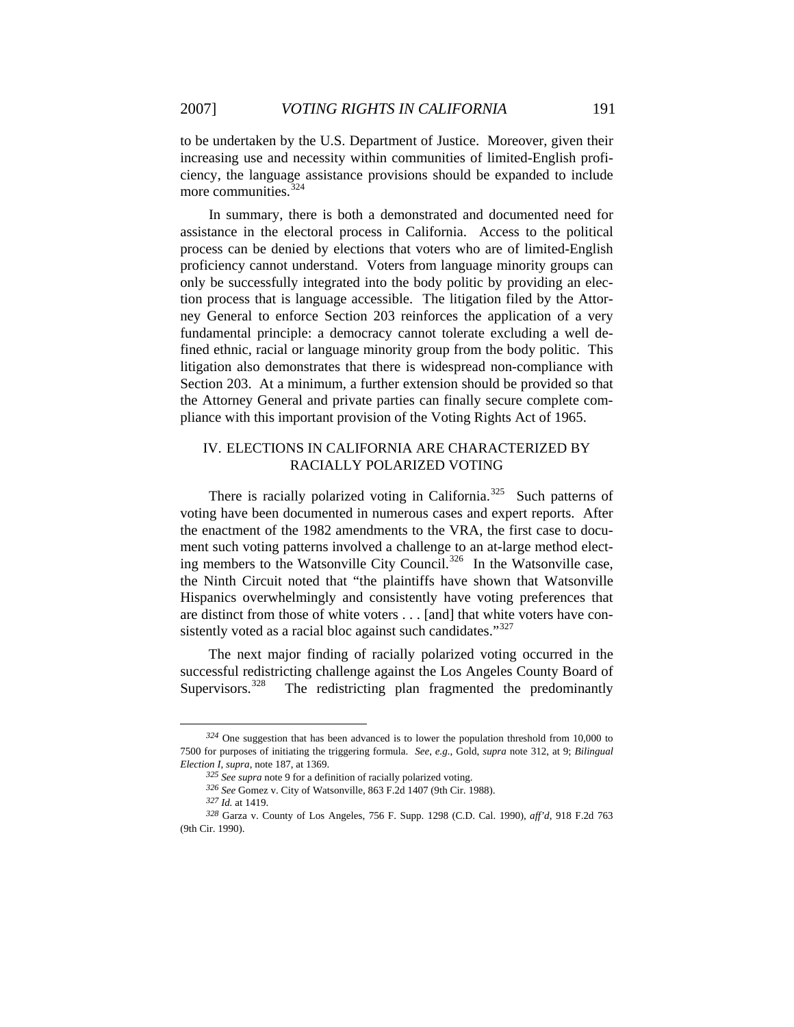to be undertaken by the U.S. Department of Justice. Moreover, given their increasing use and necessity within communities of limited-English proficiency, the language assistance provisions should be expanded to include more communities.<sup>[324](#page-60-0)</sup>

In summary, there is both a demonstrated and documented need for assistance in the electoral process in California. Access to the political process can be denied by elections that voters who are of limited-English proficiency cannot understand. Voters from language minority groups can only be successfully integrated into the body politic by providing an election process that is language accessible. The litigation filed by the Attorney General to enforce Section 203 reinforces the application of a very fundamental principle: a democracy cannot tolerate excluding a well defined ethnic, racial or language minority group from the body politic. This litigation also demonstrates that there is widespread non-compliance with Section 203. At a minimum, a further extension should be provided so that the Attorney General and private parties can finally secure complete compliance with this important provision of the Voting Rights Act of 1965.

# IV. ELECTIONS IN CALIFORNIA ARE CHARACTERIZED BY RACIALLY POLARIZED VOTING

There is racially polarized voting in California.<sup>[325](#page-60-1)</sup> Such patterns of voting have been documented in numerous cases and expert reports. After the enactment of the 1982 amendments to the VRA, the first case to document such voting patterns involved a challenge to an at-large method elect-ing members to the Watsonville City Council.<sup>[326](#page-60-2)</sup> In the Watsonville case, the Ninth Circuit noted that "the plaintiffs have shown that Watsonville Hispanics overwhelmingly and consistently have voting preferences that are distinct from those of white voters . . . [and] that white voters have con-sistently voted as a racial bloc against such candidates."<sup>[327](#page-60-3)</sup>

The next major finding of racially polarized voting occurred in the successful redistricting challenge against the Los Angeles County Board of Supervisors.<sup>[328](#page-60-4)</sup> The redistricting plan fragmented the predominantly

<span id="page-60-0"></span>*<sup>324</sup>* One suggestion that has been advanced is to lower the population threshold from 10,000 to 7500 for purposes of initiating the triggering formula. *See*, *e.g.*, Gold, *supra* note 312, at 9; *Bilingual Election I*, *supra*, note 187, at 1369.

*<sup>325</sup> See supra* note 9 for a definition of racially polarized voting.

*<sup>326</sup> See* Gomez v. City of Watsonville, 863 F.2d 1407 (9th Cir. 1988).

*<sup>327</sup> Id.* at 1419.

<span id="page-60-4"></span><span id="page-60-3"></span><span id="page-60-2"></span><span id="page-60-1"></span>*<sup>328</sup>* Garza v. County of Los Angeles, 756 F. Supp. 1298 (C.D. Cal. 1990), *aff'd*, 918 F.2d 763 (9th Cir. 1990).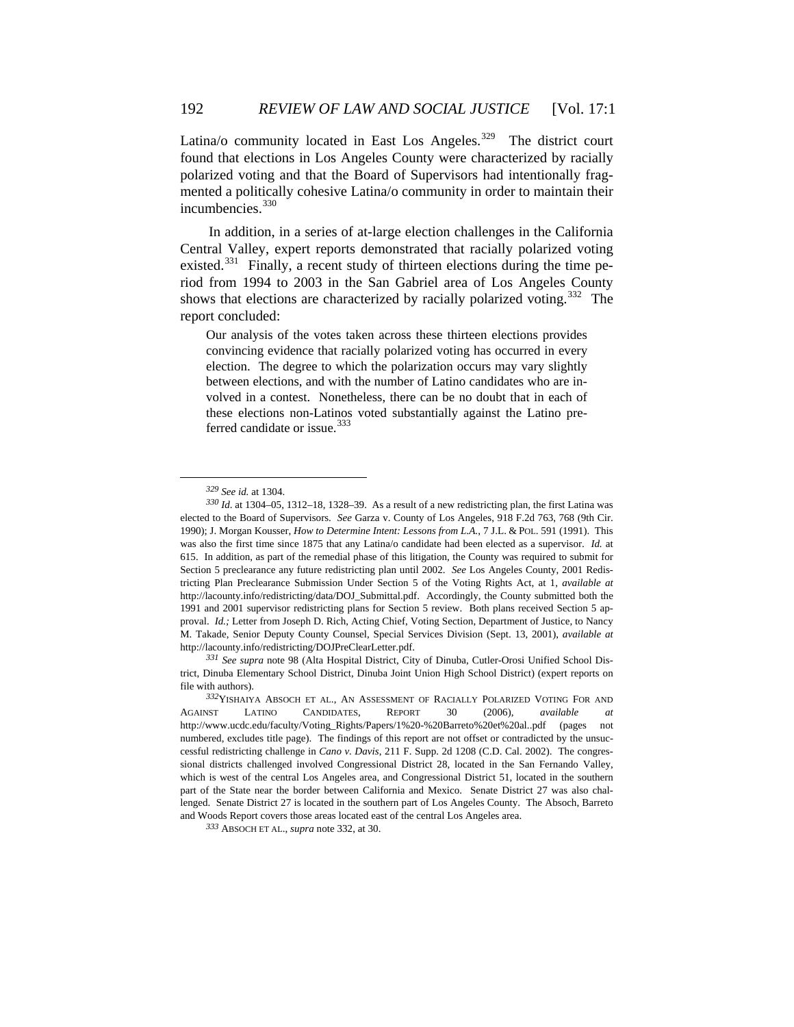Latina/o community located in East Los Angeles.<sup>[329](#page-61-0)</sup> The district court found that elections in Los Angeles County were characterized by racially polarized voting and that the Board of Supervisors had intentionally fragmented a politically cohesive Latina/o community in order to maintain their incumbencies.<sup>[330](#page-61-1)</sup>

In addition, in a series of at-large election challenges in the California Central Valley, expert reports demonstrated that racially polarized voting existed.<sup>[331](#page-61-2)</sup> Finally, a recent study of thirteen elections during the time period from 1994 to 2003 in the San Gabriel area of Los Angeles County shows that elections are characterized by racially polarized voting.<sup>[332](#page-61-3)</sup> The report concluded:

Our analysis of the votes taken across these thirteen elections provides convincing evidence that racially polarized voting has occurred in every election. The degree to which the polarization occurs may vary slightly between elections, and with the number of Latino candidates who are involved in a contest. Nonetheless, there can be no doubt that in each of these elections non-Latinos voted substantially against the Latino pre-ferred candidate or issue.<sup>[333](#page-61-4)</sup>

*<sup>329</sup> See id.* at 1304.

<span id="page-61-1"></span><span id="page-61-0"></span>*<sup>330</sup> Id*. at 1304–05, 1312–18, 1328–39. As a result of a new redistricting plan, the first Latina was elected to the Board of Supervisors. *See* Garza v. County of Los Angeles, 918 F.2d 763, 768 (9th Cir. 1990); J. Morgan Kousser, *How to Determine Intent: Lessons from L.A.*, 7 J.L. & POL. 591 (1991). This was also the first time since 1875 that any Latina/o candidate had been elected as a supervisor. *Id.* at 615. In addition, as part of the remedial phase of this litigation, the County was required to submit for Section 5 preclearance any future redistricting plan until 2002. *See* Los Angeles County, 2001 Redistricting Plan Preclearance Submission Under Section 5 of the Voting Rights Act, at 1, *available at*  http://lacounty.info/redistricting/data/DOJ\_Submittal.pdf. Accordingly, the County submitted both the 1991 and 2001 supervisor redistricting plans for Section 5 review. Both plans received Section 5 approval. *Id.;* Letter from Joseph D. Rich, Acting Chief, Voting Section, Department of Justice, to Nancy M. Takade, Senior Deputy County Counsel, Special Services Division (Sept. 13, 2001), *available at*  http://lacounty.info/redistricting/DOJPreClearLetter.pdf.

<span id="page-61-2"></span>*<sup>331</sup> See supra* note 98 (Alta Hospital District, City of Dinuba, Cutler-Orosi Unified School District, Dinuba Elementary School District, Dinuba Joint Union High School District) (expert reports on file with authors).

<span id="page-61-3"></span>*<sup>332</sup>*YISHAIYA ABSOCH ET AL., AN ASSESSMENT OF RACIALLY POLARIZED VOTING FOR AND AGAINST LATINO CANDIDATES, REPORT 30 (2006), *available at* http://www.ucdc.edu/faculty/Voting\_Rights/Papers/1%20-%20Barreto%20et%20al..pdf (pages not numbered, excludes title page). The findings of this report are not offset or contradicted by the unsuccessful redistricting challenge in *Cano v. Davis*, 211 F. Supp. 2d 1208 (C.D. Cal. 2002). The congressional districts challenged involved Congressional District 28, located in the San Fernando Valley, which is west of the central Los Angeles area, and Congressional District 51, located in the southern part of the State near the border between California and Mexico. Senate District 27 was also challenged. Senate District 27 is located in the southern part of Los Angeles County. The Absoch, Barreto and Woods Report covers those areas located east of the central Los Angeles area.

<span id="page-61-4"></span>*<sup>333</sup>* ABSOCH ET AL., *supra* note 332, at 30.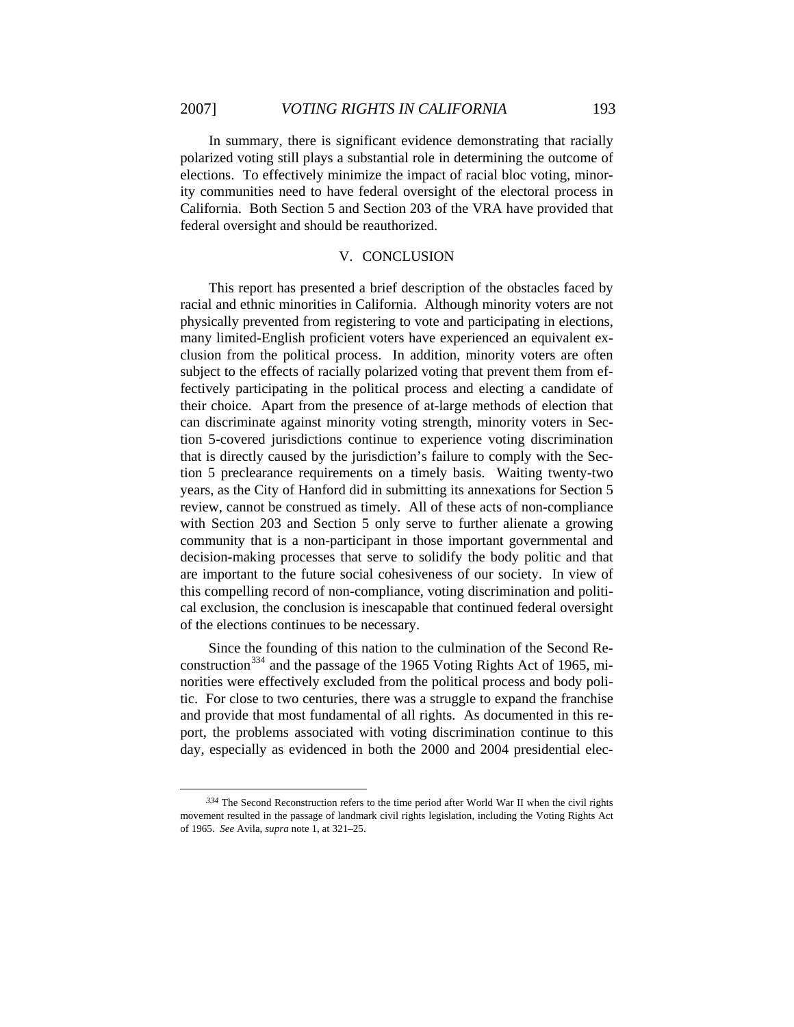$\overline{a}$ 

In summary, there is significant evidence demonstrating that racially polarized voting still plays a substantial role in determining the outcome of elections. To effectively minimize the impact of racial bloc voting, minority communities need to have federal oversight of the electoral process in California. Both Section 5 and Section 203 of the VRA have provided that federal oversight and should be reauthorized.

#### V. CONCLUSION

This report has presented a brief description of the obstacles faced by racial and ethnic minorities in California. Although minority voters are not physically prevented from registering to vote and participating in elections, many limited-English proficient voters have experienced an equivalent exclusion from the political process. In addition, minority voters are often subject to the effects of racially polarized voting that prevent them from effectively participating in the political process and electing a candidate of their choice. Apart from the presence of at-large methods of election that can discriminate against minority voting strength, minority voters in Section 5-covered jurisdictions continue to experience voting discrimination that is directly caused by the jurisdiction's failure to comply with the Section 5 preclearance requirements on a timely basis. Waiting twenty-two years, as the City of Hanford did in submitting its annexations for Section 5 review, cannot be construed as timely. All of these acts of non-compliance with Section 203 and Section 5 only serve to further alienate a growing community that is a non-participant in those important governmental and decision-making processes that serve to solidify the body politic and that are important to the future social cohesiveness of our society. In view of this compelling record of non-compliance, voting discrimination and political exclusion, the conclusion is inescapable that continued federal oversight of the elections continues to be necessary.

Since the founding of this nation to the culmination of the Second Re-construction<sup>[334](#page-62-0)</sup> and the passage of the 1965 Voting Rights Act of 1965, minorities were effectively excluded from the political process and body politic. For close to two centuries, there was a struggle to expand the franchise and provide that most fundamental of all rights. As documented in this report, the problems associated with voting discrimination continue to this day, especially as evidenced in both the 2000 and 2004 presidential elec-

<span id="page-62-0"></span>*<sup>334</sup>* The Second Reconstruction refers to the time period after World War II when the civil rights movement resulted in the passage of landmark civil rights legislation, including the Voting Rights Act of 1965. *See* Avila, *supra* note 1, at 321–25.